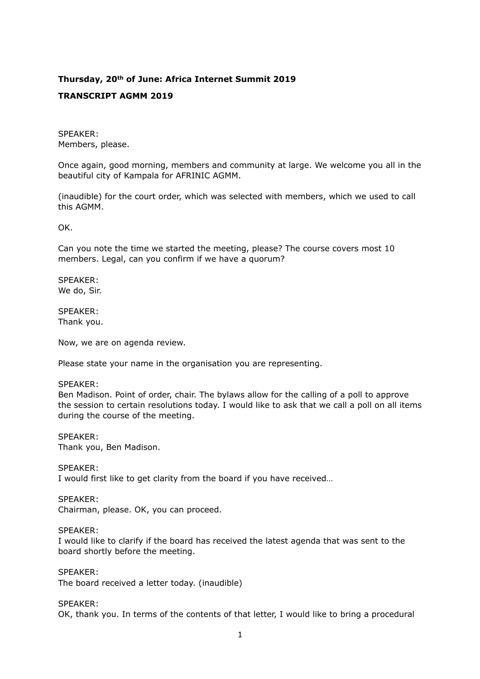# **Thursday, 20th of June: Africa Internet Summit 2019**

# **TRANSCRIPT AGMM 2019**

SPEAKER: Members, please.

Once again, good morning, members and community at large. We welcome you all in the beautiful city of Kampala for AFRINIC AGMM.

(inaudible) for the court order, which was selected with members, which we used to call this AGMM.

OK.

Can you note the time we started the meeting, please? The course covers most 10 members. Legal, can you confirm if we have a quorum?

SPEAKER: We do, Sir.

SPEAKER: Thank you.

Now, we are on agenda review.

Please state your name in the organisation you are representing.

#### SPEAKER:

Ben Madison. Point of order, chair. The bylaws allow for the calling of a poll to approve the session to certain resolutions today. I would like to ask that we call a poll on all items during the course of the meeting.

#### SPEAKER:

Thank you, Ben Madison.

SPEAKER:

I would first like to get clarity from the board if you have received…

# SPEAKER:

Chairman, please. OK, you can proceed.

# SPEAKER:

I would like to clarify if the board has received the latest agenda that was sent to the board shortly before the meeting.

#### SPEAKER:

The board received a letter today. (inaudible)

#### SPEAKER:

OK, thank you. In terms of the contents of that letter, I would like to bring a procedural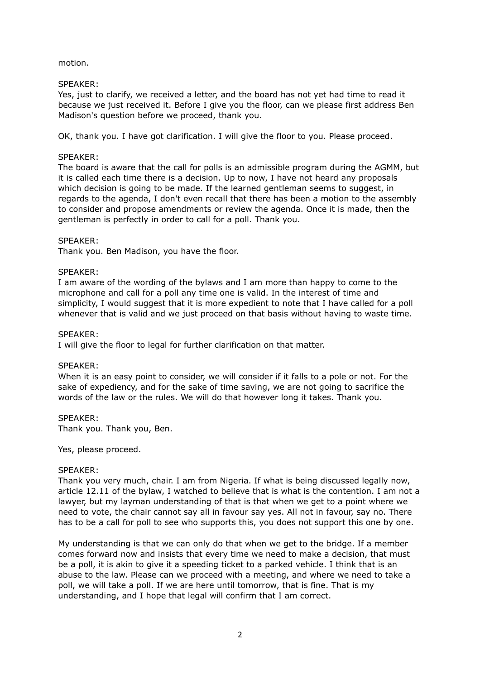#### motion.

# SPEAKER:

Yes, just to clarify, we received a letter, and the board has not yet had time to read it because we just received it. Before I give you the floor, can we please first address Ben Madison's question before we proceed, thank you.

OK, thank you. I have got clarification. I will give the floor to you. Please proceed.

# SPEAKER:

The board is aware that the call for polls is an admissible program during the AGMM, but it is called each time there is a decision. Up to now, I have not heard any proposals which decision is going to be made. If the learned gentleman seems to suggest, in regards to the agenda, I don't even recall that there has been a motion to the assembly to consider and propose amendments or review the agenda. Once it is made, then the gentleman is perfectly in order to call for a poll. Thank you.

# SPEAKER:

Thank you. Ben Madison, you have the floor.

# SPEAKER:

I am aware of the wording of the bylaws and I am more than happy to come to the microphone and call for a poll any time one is valid. In the interest of time and simplicity, I would suggest that it is more expedient to note that I have called for a poll whenever that is valid and we just proceed on that basis without having to waste time.

# SPEAKER:

I will give the floor to legal for further clarification on that matter.

#### SPEAKER:

When it is an easy point to consider, we will consider if it falls to a pole or not. For the sake of expediency, and for the sake of time saving, we are not going to sacrifice the words of the law or the rules. We will do that however long it takes. Thank you.

#### SPEAKER:

Thank you. Thank you, Ben.

Yes, please proceed.

#### SPEAKER:

Thank you very much, chair. I am from Nigeria. If what is being discussed legally now, article 12.11 of the bylaw, I watched to believe that is what is the contention. I am not a lawyer, but my layman understanding of that is that when we get to a point where we need to vote, the chair cannot say all in favour say yes. All not in favour, say no. There has to be a call for poll to see who supports this, you does not support this one by one.

My understanding is that we can only do that when we get to the bridge. If a member comes forward now and insists that every time we need to make a decision, that must be a poll, it is akin to give it a speeding ticket to a parked vehicle. I think that is an abuse to the law. Please can we proceed with a meeting, and where we need to take a poll, we will take a poll. If we are here until tomorrow, that is fine. That is my understanding, and I hope that legal will confirm that I am correct.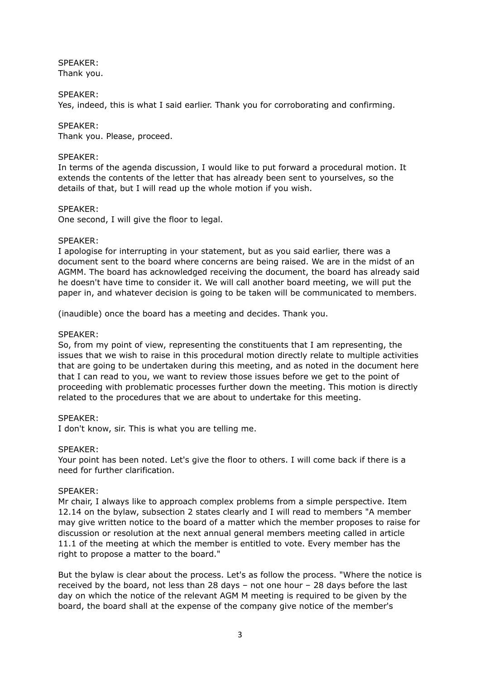SPEAKER: Thank you.

#### SPEAKER:

Yes, indeed, this is what I said earlier. Thank you for corroborating and confirming.

#### SPEAKER:

Thank you. Please, proceed.

#### SPEAKER:

In terms of the agenda discussion, I would like to put forward a procedural motion. It extends the contents of the letter that has already been sent to yourselves, so the details of that, but I will read up the whole motion if you wish.

#### SPEAKER:

One second, I will give the floor to legal.

# SPEAKER:

I apologise for interrupting in your statement, but as you said earlier, there was a document sent to the board where concerns are being raised. We are in the midst of an AGMM. The board has acknowledged receiving the document, the board has already said he doesn't have time to consider it. We will call another board meeting, we will put the paper in, and whatever decision is going to be taken will be communicated to members.

(inaudible) once the board has a meeting and decides. Thank you.

# SPEAKER:

So, from my point of view, representing the constituents that I am representing, the issues that we wish to raise in this procedural motion directly relate to multiple activities that are going to be undertaken during this meeting, and as noted in the document here that I can read to you, we want to review those issues before we get to the point of proceeding with problematic processes further down the meeting. This motion is directly related to the procedures that we are about to undertake for this meeting.

#### SPEAKER:

I don't know, sir. This is what you are telling me.

#### SPEAKER:

Your point has been noted. Let's give the floor to others. I will come back if there is a need for further clarification.

#### SPEAKER:

Mr chair, I always like to approach complex problems from a simple perspective. Item 12.14 on the bylaw, subsection 2 states clearly and I will read to members "A member may give written notice to the board of a matter which the member proposes to raise for discussion or resolution at the next annual general members meeting called in article 11.1 of the meeting at which the member is entitled to vote. Every member has the right to propose a matter to the board."

But the bylaw is clear about the process. Let's as follow the process. "Where the notice is received by the board, not less than 28 days – not one hour – 28 days before the last day on which the notice of the relevant AGM M meeting is required to be given by the board, the board shall at the expense of the company give notice of the member's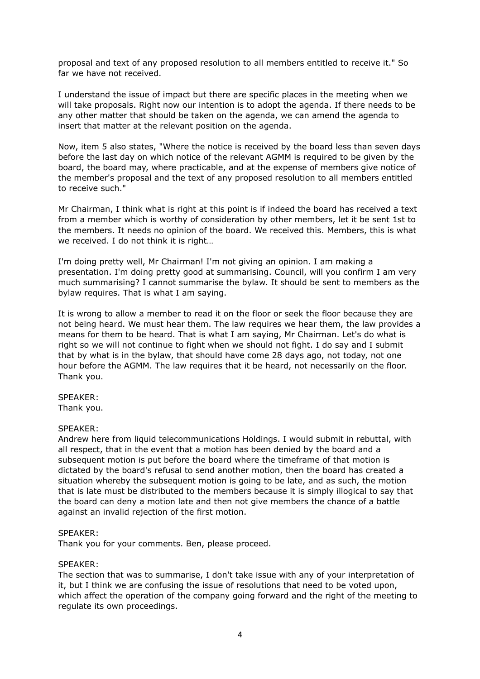proposal and text of any proposed resolution to all members entitled to receive it." So far we have not received.

I understand the issue of impact but there are specific places in the meeting when we will take proposals. Right now our intention is to adopt the agenda. If there needs to be any other matter that should be taken on the agenda, we can amend the agenda to insert that matter at the relevant position on the agenda.

Now, item 5 also states, "Where the notice is received by the board less than seven days before the last day on which notice of the relevant AGMM is required to be given by the board, the board may, where practicable, and at the expense of members give notice of the member's proposal and the text of any proposed resolution to all members entitled to receive such."

Mr Chairman, I think what is right at this point is if indeed the board has received a text from a member which is worthy of consideration by other members, let it be sent 1st to the members. It needs no opinion of the board. We received this. Members, this is what we received. I do not think it is right…

I'm doing pretty well, Mr Chairman! I'm not giving an opinion. I am making a presentation. I'm doing pretty good at summarising. Council, will you confirm I am very much summarising? I cannot summarise the bylaw. It should be sent to members as the bylaw requires. That is what I am saying.

It is wrong to allow a member to read it on the floor or seek the floor because they are not being heard. We must hear them. The law requires we hear them, the law provides a means for them to be heard. That is what I am saying, Mr Chairman. Let's do what is right so we will not continue to fight when we should not fight. I do say and I submit that by what is in the bylaw, that should have come 28 days ago, not today, not one hour before the AGMM. The law requires that it be heard, not necessarily on the floor. Thank you.

SPEAKER:

Thank you.

#### SPEAKER:

Andrew here from liquid telecommunications Holdings. I would submit in rebuttal, with all respect, that in the event that a motion has been denied by the board and a subsequent motion is put before the board where the timeframe of that motion is dictated by the board's refusal to send another motion, then the board has created a situation whereby the subsequent motion is going to be late, and as such, the motion that is late must be distributed to the members because it is simply illogical to say that the board can deny a motion late and then not give members the chance of a battle against an invalid rejection of the first motion.

#### SPEAKER:

Thank you for your comments. Ben, please proceed.

#### SPEAKER:

The section that was to summarise, I don't take issue with any of your interpretation of it, but I think we are confusing the issue of resolutions that need to be voted upon, which affect the operation of the company going forward and the right of the meeting to regulate its own proceedings.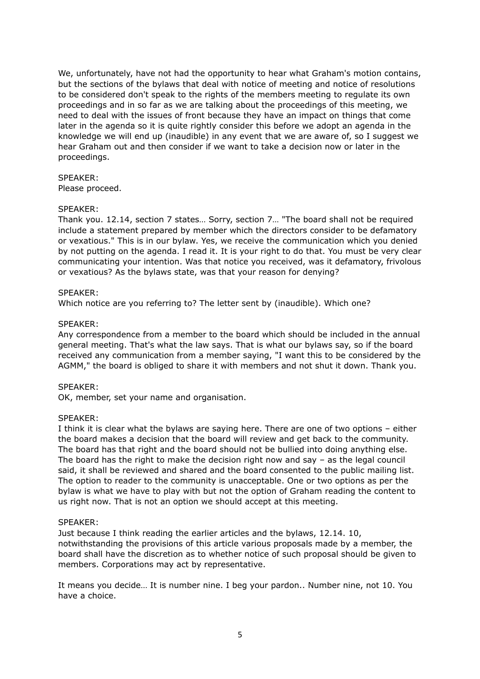We, unfortunately, have not had the opportunity to hear what Graham's motion contains, but the sections of the bylaws that deal with notice of meeting and notice of resolutions to be considered don't speak to the rights of the members meeting to regulate its own proceedings and in so far as we are talking about the proceedings of this meeting, we need to deal with the issues of front because they have an impact on things that come later in the agenda so it is quite rightly consider this before we adopt an agenda in the knowledge we will end up (inaudible) in any event that we are aware of, so I suggest we hear Graham out and then consider if we want to take a decision now or later in the proceedings.

# SPEAKER:

Please proceed.

# SPEAKER:

Thank you. 12.14, section 7 states… Sorry, section 7… "The board shall not be required include a statement prepared by member which the directors consider to be defamatory or vexatious." This is in our bylaw. Yes, we receive the communication which you denied by not putting on the agenda. I read it. It is your right to do that. You must be very clear communicating your intention. Was that notice you received, was it defamatory, frivolous or vexatious? As the bylaws state, was that your reason for denying?

# SPEAKER:

Which notice are you referring to? The letter sent by (inaudible). Which one?

# SPEAKER:

Any correspondence from a member to the board which should be included in the annual general meeting. That's what the law says. That is what our bylaws say, so if the board received any communication from a member saying, "I want this to be considered by the AGMM," the board is obliged to share it with members and not shut it down. Thank you.

#### SPEAKER:

OK, member, set your name and organisation.

#### SPEAKER:

I think it is clear what the bylaws are saying here. There are one of two options – either the board makes a decision that the board will review and get back to the community. The board has that right and the board should not be bullied into doing anything else. The board has the right to make the decision right now and say  $-$  as the legal council said, it shall be reviewed and shared and the board consented to the public mailing list. The option to reader to the community is unacceptable. One or two options as per the bylaw is what we have to play with but not the option of Graham reading the content to us right now. That is not an option we should accept at this meeting.

#### SPEAKER:

Just because I think reading the earlier articles and the bylaws, 12.14. 10, notwithstanding the provisions of this article various proposals made by a member, the board shall have the discretion as to whether notice of such proposal should be given to members. Corporations may act by representative.

It means you decide… It is number nine. I beg your pardon.. Number nine, not 10. You have a choice.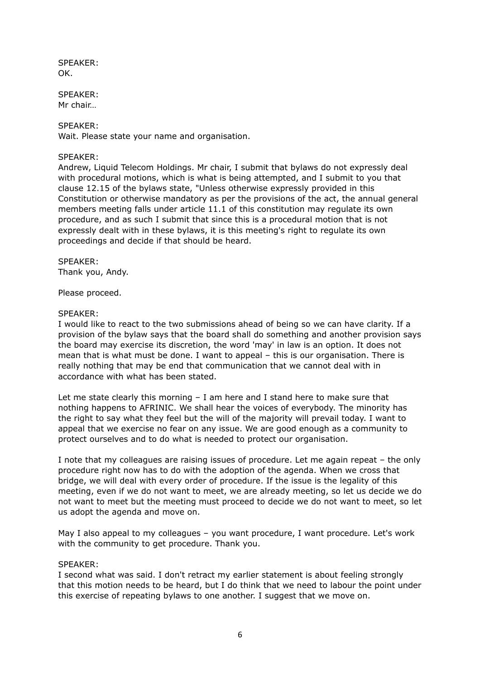SPEAKER: OK.

SPEAKER: Mr chair…

SPEAKER:

Wait. Please state your name and organisation.

#### SPEAKER:

Andrew, Liquid Telecom Holdings. Mr chair, I submit that bylaws do not expressly deal with procedural motions, which is what is being attempted, and I submit to you that clause 12.15 of the bylaws state, "Unless otherwise expressly provided in this Constitution or otherwise mandatory as per the provisions of the act, the annual general members meeting falls under article 11.1 of this constitution may regulate its own procedure, and as such I submit that since this is a procedural motion that is not expressly dealt with in these bylaws, it is this meeting's right to regulate its own proceedings and decide if that should be heard.

#### SPEAKER:

Thank you, Andy.

Please proceed.

#### SPEAKER:

I would like to react to the two submissions ahead of being so we can have clarity. If a provision of the bylaw says that the board shall do something and another provision says the board may exercise its discretion, the word 'may' in law is an option. It does not mean that is what must be done. I want to appeal – this is our organisation. There is really nothing that may be end that communication that we cannot deal with in accordance with what has been stated.

Let me state clearly this morning – I am here and I stand here to make sure that nothing happens to AFRINIC. We shall hear the voices of everybody. The minority has the right to say what they feel but the will of the majority will prevail today. I want to appeal that we exercise no fear on any issue. We are good enough as a community to protect ourselves and to do what is needed to protect our organisation.

I note that my colleagues are raising issues of procedure. Let me again repeat – the only procedure right now has to do with the adoption of the agenda. When we cross that bridge, we will deal with every order of procedure. If the issue is the legality of this meeting, even if we do not want to meet, we are already meeting, so let us decide we do not want to meet but the meeting must proceed to decide we do not want to meet, so let us adopt the agenda and move on.

May I also appeal to my colleagues – you want procedure, I want procedure. Let's work with the community to get procedure. Thank you.

#### SPEAKER:

I second what was said. I don't retract my earlier statement is about feeling strongly that this motion needs to be heard, but I do think that we need to labour the point under this exercise of repeating bylaws to one another. I suggest that we move on.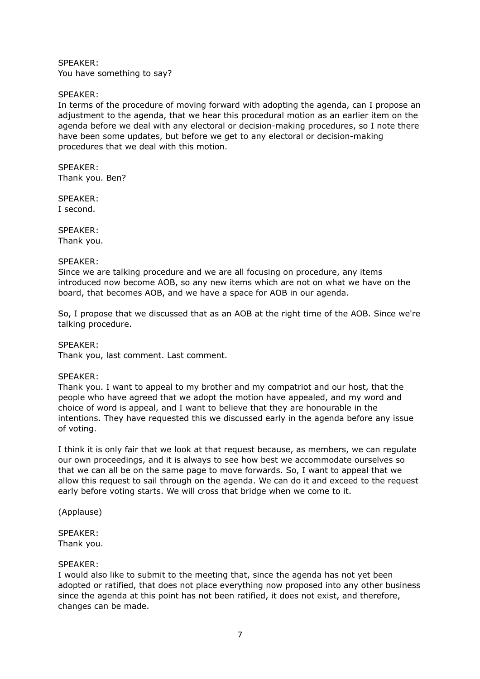SPEAKER: You have something to say?

# SPEAKER:

In terms of the procedure of moving forward with adopting the agenda, can I propose an adjustment to the agenda, that we hear this procedural motion as an earlier item on the agenda before we deal with any electoral or decision-making procedures, so I note there have been some updates, but before we get to any electoral or decision-making procedures that we deal with this motion.

SPEAKER: Thank you. Ben?

SPEAKER: I second.

SPEAKER: Thank you.

#### SPEAKER:

Since we are talking procedure and we are all focusing on procedure, any items introduced now become AOB, so any new items which are not on what we have on the board, that becomes AOB, and we have a space for AOB in our agenda.

So, I propose that we discussed that as an AOB at the right time of the AOB. Since we're talking procedure.

SPEAKER:

Thank you, last comment. Last comment.

#### SPEAKER:

Thank you. I want to appeal to my brother and my compatriot and our host, that the people who have agreed that we adopt the motion have appealed, and my word and choice of word is appeal, and I want to believe that they are honourable in the intentions. They have requested this we discussed early in the agenda before any issue of voting.

I think it is only fair that we look at that request because, as members, we can regulate our own proceedings, and it is always to see how best we accommodate ourselves so that we can all be on the same page to move forwards. So, I want to appeal that we allow this request to sail through on the agenda. We can do it and exceed to the request early before voting starts. We will cross that bridge when we come to it.

(Applause)

# SPEAKER:

Thank you.

#### SPEAKER:

I would also like to submit to the meeting that, since the agenda has not yet been adopted or ratified, that does not place everything now proposed into any other business since the agenda at this point has not been ratified, it does not exist, and therefore, changes can be made.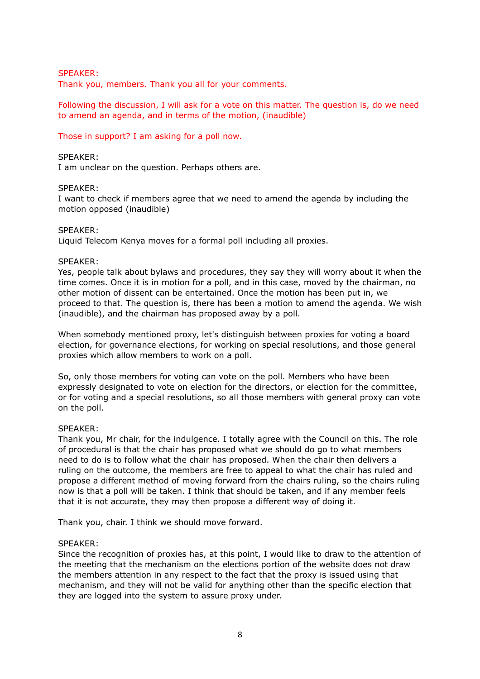#### SPEAKER:

Thank you, members. Thank you all for your comments.

Following the discussion, I will ask for a vote on this matter. The question is, do we need to amend an agenda, and in terms of the motion, (inaudible)

# Those in support? I am asking for a poll now.

# SPEAKER:

I am unclear on the question. Perhaps others are.

#### SPEAKER:

I want to check if members agree that we need to amend the agenda by including the motion opposed (inaudible)

#### SPEAKER:

Liquid Telecom Kenya moves for a formal poll including all proxies.

#### SPEAKER:

Yes, people talk about bylaws and procedures, they say they will worry about it when the time comes. Once it is in motion for a poll, and in this case, moved by the chairman, no other motion of dissent can be entertained. Once the motion has been put in, we proceed to that. The question is, there has been a motion to amend the agenda. We wish (inaudible), and the chairman has proposed away by a poll.

When somebody mentioned proxy, let's distinguish between proxies for voting a board election, for governance elections, for working on special resolutions, and those general proxies which allow members to work on a poll.

So, only those members for voting can vote on the poll. Members who have been expressly designated to vote on election for the directors, or election for the committee, or for voting and a special resolutions, so all those members with general proxy can vote on the poll.

#### SPEAKER:

Thank you, Mr chair, for the indulgence. I totally agree with the Council on this. The role of procedural is that the chair has proposed what we should do go to what members need to do is to follow what the chair has proposed. When the chair then delivers a ruling on the outcome, the members are free to appeal to what the chair has ruled and propose a different method of moving forward from the chairs ruling, so the chairs ruling now is that a poll will be taken. I think that should be taken, and if any member feels that it is not accurate, they may then propose a different way of doing it.

Thank you, chair. I think we should move forward.

#### SPEAKER:

Since the recognition of proxies has, at this point, I would like to draw to the attention of the meeting that the mechanism on the elections portion of the website does not draw the members attention in any respect to the fact that the proxy is issued using that mechanism, and they will not be valid for anything other than the specific election that they are logged into the system to assure proxy under.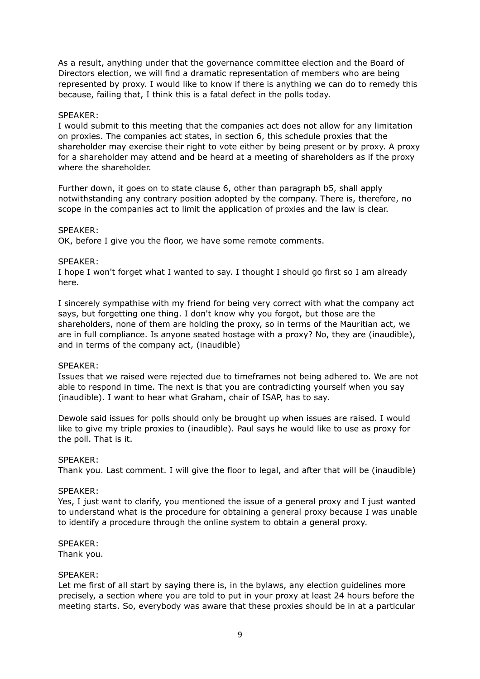As a result, anything under that the governance committee election and the Board of Directors election, we will find a dramatic representation of members who are being represented by proxy. I would like to know if there is anything we can do to remedy this because, failing that, I think this is a fatal defect in the polls today.

#### SPEAKER:

I would submit to this meeting that the companies act does not allow for any limitation on proxies. The companies act states, in section 6, this schedule proxies that the shareholder may exercise their right to vote either by being present or by proxy. A proxy for a shareholder may attend and be heard at a meeting of shareholders as if the proxy where the shareholder.

Further down, it goes on to state clause 6, other than paragraph b5, shall apply notwithstanding any contrary position adopted by the company. There is, therefore, no scope in the companies act to limit the application of proxies and the law is clear.

#### SPEAKER:

OK, before I give you the floor, we have some remote comments.

#### SPEAKER:

I hope I won't forget what I wanted to say. I thought I should go first so I am already here.

I sincerely sympathise with my friend for being very correct with what the company act says, but forgetting one thing. I don't know why you forgot, but those are the shareholders, none of them are holding the proxy, so in terms of the Mauritian act, we are in full compliance. Is anyone seated hostage with a proxy? No, they are (inaudible), and in terms of the company act, (inaudible)

#### SPEAKER:

Issues that we raised were rejected due to timeframes not being adhered to. We are not able to respond in time. The next is that you are contradicting yourself when you say (inaudible). I want to hear what Graham, chair of ISAP, has to say.

Dewole said issues for polls should only be brought up when issues are raised. I would like to give my triple proxies to (inaudible). Paul says he would like to use as proxy for the poll. That is it.

#### SPEAKER:

Thank you. Last comment. I will give the floor to legal, and after that will be (inaudible)

#### SPEAKER:

Yes, I just want to clarify, you mentioned the issue of a general proxy and I just wanted to understand what is the procedure for obtaining a general proxy because I was unable to identify a procedure through the online system to obtain a general proxy.

#### SPEAKER:

Thank you.

#### SPEAKER:

Let me first of all start by saying there is, in the bylaws, any election guidelines more precisely, a section where you are told to put in your proxy at least 24 hours before the meeting starts. So, everybody was aware that these proxies should be in at a particular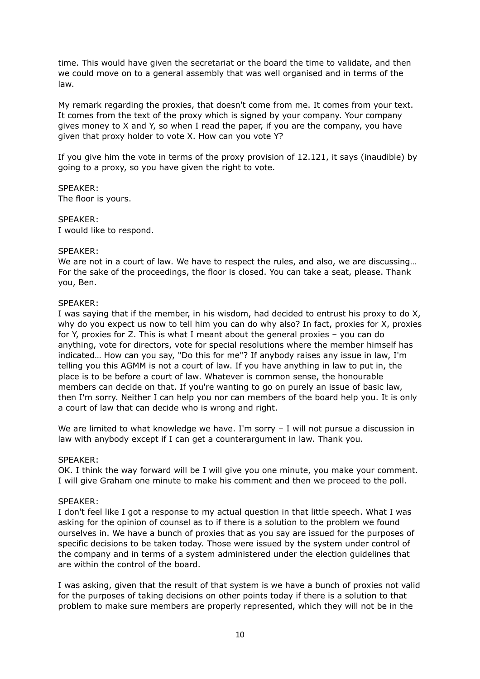time. This would have given the secretariat or the board the time to validate, and then we could move on to a general assembly that was well organised and in terms of the law.

My remark regarding the proxies, that doesn't come from me. It comes from your text. It comes from the text of the proxy which is signed by your company. Your company gives money to X and Y, so when I read the paper, if you are the company, you have given that proxy holder to vote X. How can you vote Y?

If you give him the vote in terms of the proxy provision of 12.121, it says (inaudible) by going to a proxy, so you have given the right to vote.

SPEAKER: The floor is yours.

SPEAKER: I would like to respond.

#### SPEAKER:

We are not in a court of law. We have to respect the rules, and also, we are discussing... For the sake of the proceedings, the floor is closed. You can take a seat, please. Thank you, Ben.

# SPEAKER:

I was saying that if the member, in his wisdom, had decided to entrust his proxy to do X, why do you expect us now to tell him you can do why also? In fact, proxies for X, proxies for Y, proxies for Z. This is what I meant about the general proxies – you can do anything, vote for directors, vote for special resolutions where the member himself has indicated… How can you say, "Do this for me"? If anybody raises any issue in law, I'm telling you this AGMM is not a court of law. If you have anything in law to put in, the place is to be before a court of law. Whatever is common sense, the honourable members can decide on that. If you're wanting to go on purely an issue of basic law, then I'm sorry. Neither I can help you nor can members of the board help you. It is only a court of law that can decide who is wrong and right.

We are limited to what knowledge we have. I'm sorry - I will not pursue a discussion in law with anybody except if I can get a counterargument in law. Thank you.

#### SPEAKER:

OK. I think the way forward will be I will give you one minute, you make your comment. I will give Graham one minute to make his comment and then we proceed to the poll.

#### SPEAKER:

I don't feel like I got a response to my actual question in that little speech. What I was asking for the opinion of counsel as to if there is a solution to the problem we found ourselves in. We have a bunch of proxies that as you say are issued for the purposes of specific decisions to be taken today. Those were issued by the system under control of the company and in terms of a system administered under the election guidelines that are within the control of the board.

I was asking, given that the result of that system is we have a bunch of proxies not valid for the purposes of taking decisions on other points today if there is a solution to that problem to make sure members are properly represented, which they will not be in the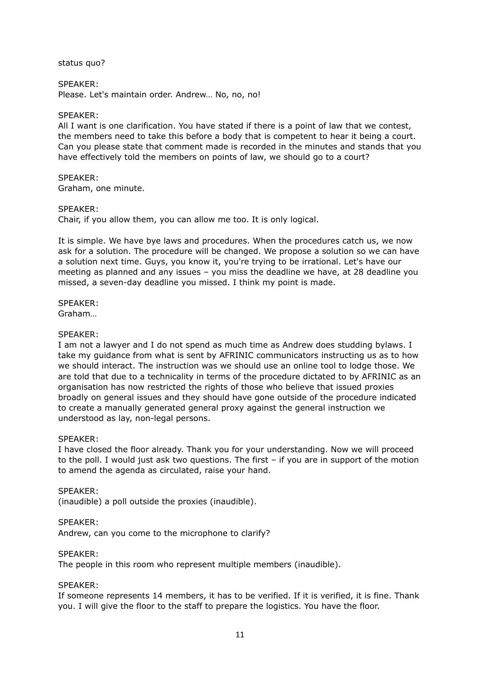status quo?

#### SPEAKER:

Please. Let's maintain order. Andrew… No, no, no!

#### SPEAKER:

All I want is one clarification. You have stated if there is a point of law that we contest, the members need to take this before a body that is competent to hear it being a court. Can you please state that comment made is recorded in the minutes and stands that you have effectively told the members on points of law, we should go to a court?

SPEAKER: Graham, one minute.

#### SPEAKER:

Chair, if you allow them, you can allow me too. It is only logical.

It is simple. We have bye laws and procedures. When the procedures catch us, we now ask for a solution. The procedure will be changed. We propose a solution so we can have a solution next time. Guys, you know it, you're trying to be irrational. Let's have our meeting as planned and any issues – you miss the deadline we have, at 28 deadline you missed, a seven-day deadline you missed. I think my point is made.

SPEAKER: Graham…

#### SPEAKER:

I am not a lawyer and I do not spend as much time as Andrew does studding bylaws. I take my guidance from what is sent by AFRINIC communicators instructing us as to how we should interact. The instruction was we should use an online tool to lodge those. We are told that due to a technicality in terms of the procedure dictated to by AFRINIC as an organisation has now restricted the rights of those who believe that issued proxies broadly on general issues and they should have gone outside of the procedure indicated to create a manually generated general proxy against the general instruction we understood as lay, non-legal persons.

#### SPEAKER:

I have closed the floor already. Thank you for your understanding. Now we will proceed to the poll. I would just ask two questions. The first – if you are in support of the motion to amend the agenda as circulated, raise your hand.

SPEAKER:

(inaudible) a poll outside the proxies (inaudible).

#### SPEAKER:

Andrew, can you come to the microphone to clarify?

#### SPEAKER:

The people in this room who represent multiple members (inaudible).

#### SPEAKER:

If someone represents 14 members, it has to be verified. If it is verified, it is fine. Thank you. I will give the floor to the staff to prepare the logistics. You have the floor.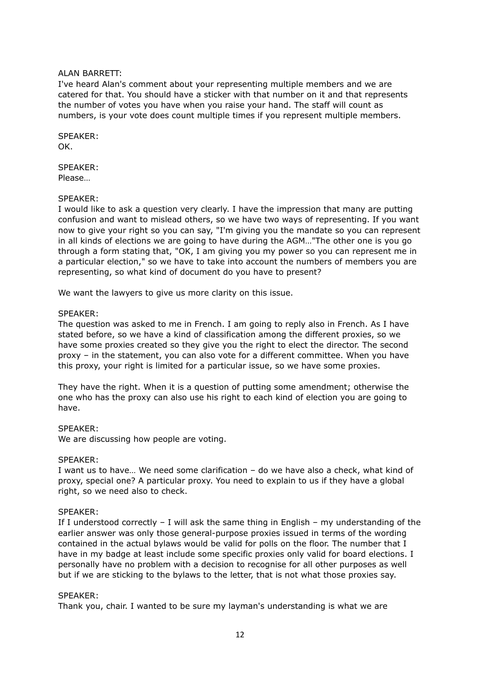#### ALAN BARRETT:

I've heard Alan's comment about your representing multiple members and we are catered for that. You should have a sticker with that number on it and that represents the number of votes you have when you raise your hand. The staff will count as numbers, is your vote does count multiple times if you represent multiple members.

SPEAKER: OK.

SPEAKER: Please…

# SPEAKER:

I would like to ask a question very clearly. I have the impression that many are putting confusion and want to mislead others, so we have two ways of representing. If you want now to give your right so you can say, "I'm giving you the mandate so you can represent in all kinds of elections we are going to have during the AGM…"The other one is you go through a form stating that, "OK, I am giving you my power so you can represent me in a particular election," so we have to take into account the numbers of members you are representing, so what kind of document do you have to present?

We want the lawyers to give us more clarity on this issue.

#### SPEAKER:

The question was asked to me in French. I am going to reply also in French. As I have stated before, so we have a kind of classification among the different proxies, so we have some proxies created so they give you the right to elect the director. The second proxy – in the statement, you can also vote for a different committee. When you have this proxy, your right is limited for a particular issue, so we have some proxies.

They have the right. When it is a question of putting some amendment; otherwise the one who has the proxy can also use his right to each kind of election you are going to have.

#### SPEAKER:

We are discussing how people are voting.

#### SPEAKER:

I want us to have… We need some clarification – do we have also a check, what kind of proxy, special one? A particular proxy. You need to explain to us if they have a global right, so we need also to check.

#### SPEAKER:

If I understood correctly  $-$  I will ask the same thing in English  $-$  my understanding of the earlier answer was only those general-purpose proxies issued in terms of the wording contained in the actual bylaws would be valid for polls on the floor. The number that I have in my badge at least include some specific proxies only valid for board elections. I personally have no problem with a decision to recognise for all other purposes as well but if we are sticking to the bylaws to the letter, that is not what those proxies say.

#### SPEAKER:

Thank you, chair. I wanted to be sure my layman's understanding is what we are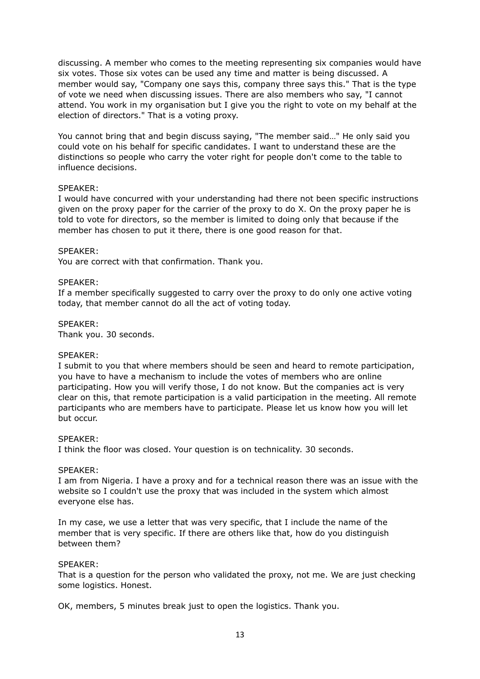discussing. A member who comes to the meeting representing six companies would have six votes. Those six votes can be used any time and matter is being discussed. A member would say, "Company one says this, company three says this." That is the type of vote we need when discussing issues. There are also members who say, "I cannot attend. You work in my organisation but I give you the right to vote on my behalf at the election of directors." That is a voting proxy.

You cannot bring that and begin discuss saying, "The member said…" He only said you could vote on his behalf for specific candidates. I want to understand these are the distinctions so people who carry the voter right for people don't come to the table to influence decisions.

#### SPEAKER:

I would have concurred with your understanding had there not been specific instructions given on the proxy paper for the carrier of the proxy to do X. On the proxy paper he is told to vote for directors, so the member is limited to doing only that because if the member has chosen to put it there, there is one good reason for that.

# SPEAKER:

You are correct with that confirmation. Thank you.

# SPEAKER:

If a member specifically suggested to carry over the proxy to do only one active voting today, that member cannot do all the act of voting today.

# SPEAKER:

Thank you. 30 seconds.

#### SPEAKER:

I submit to you that where members should be seen and heard to remote participation, you have to have a mechanism to include the votes of members who are online participating. How you will verify those, I do not know. But the companies act is very clear on this, that remote participation is a valid participation in the meeting. All remote participants who are members have to participate. Please let us know how you will let but occur.

#### SPEAKER:

I think the floor was closed. Your question is on technicality. 30 seconds.

#### SPEAKER:

I am from Nigeria. I have a proxy and for a technical reason there was an issue with the website so I couldn't use the proxy that was included in the system which almost everyone else has.

In my case, we use a letter that was very specific, that I include the name of the member that is very specific. If there are others like that, how do you distinguish between them?

#### SPEAKER:

That is a question for the person who validated the proxy, not me. We are just checking some logistics. Honest.

OK, members, 5 minutes break just to open the logistics. Thank you.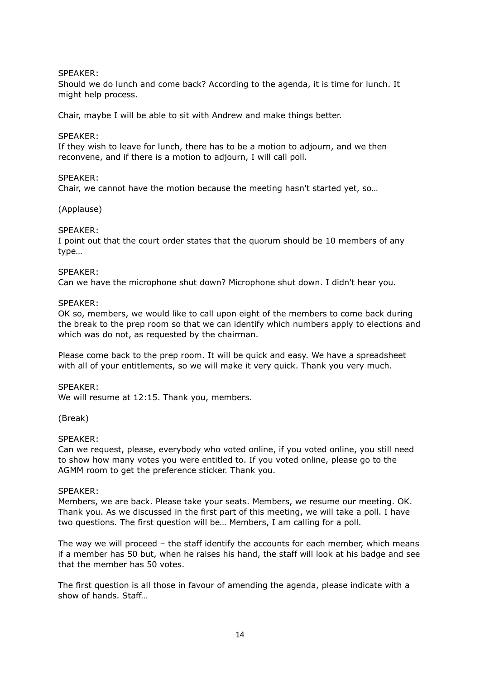# SPEAKER:

Should we do lunch and come back? According to the agenda, it is time for lunch. It might help process.

Chair, maybe I will be able to sit with Andrew and make things better.

#### SPEAKER:

If they wish to leave for lunch, there has to be a motion to adjourn, and we then reconvene, and if there is a motion to adjourn, I will call poll.

#### SPEAKER:

Chair, we cannot have the motion because the meeting hasn't started yet, so…

# (Applause)

# SPEAKER:

I point out that the court order states that the quorum should be 10 members of any type…

#### SPEAKER:

Can we have the microphone shut down? Microphone shut down. I didn't hear you.

#### SPEAKER:

OK so, members, we would like to call upon eight of the members to come back during the break to the prep room so that we can identify which numbers apply to elections and which was do not, as requested by the chairman.

Please come back to the prep room. It will be quick and easy. We have a spreadsheet with all of your entitlements, so we will make it very quick. Thank you very much.

#### SPEAKER:

We will resume at 12:15. Thank you, members.

#### (Break)

#### SPEAKER:

Can we request, please, everybody who voted online, if you voted online, you still need to show how many votes you were entitled to. If you voted online, please go to the AGMM room to get the preference sticker. Thank you.

#### SPEAKER:

Members, we are back. Please take your seats. Members, we resume our meeting. OK. Thank you. As we discussed in the first part of this meeting, we will take a poll. I have two questions. The first question will be… Members, I am calling for a poll.

The way we will proceed – the staff identify the accounts for each member, which means if a member has 50 but, when he raises his hand, the staff will look at his badge and see that the member has 50 votes.

The first question is all those in favour of amending the agenda, please indicate with a show of hands. Staff…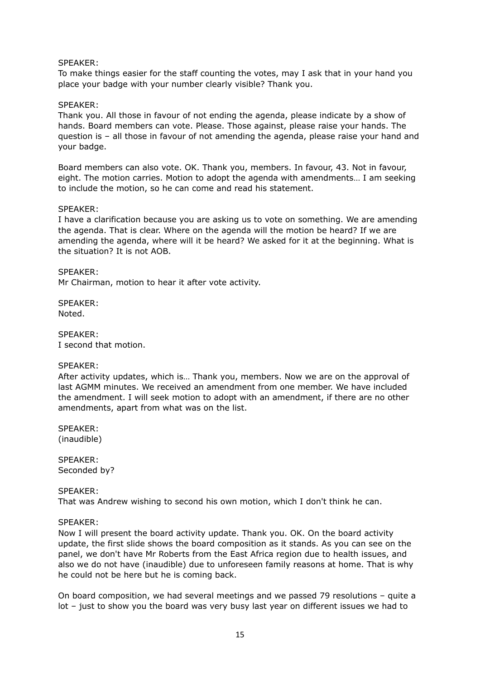#### SPEAKER:

To make things easier for the staff counting the votes, may I ask that in your hand you place your badge with your number clearly visible? Thank you.

#### SPEAKER:

Thank you. All those in favour of not ending the agenda, please indicate by a show of hands. Board members can vote. Please. Those against, please raise your hands. The question is – all those in favour of not amending the agenda, please raise your hand and your badge.

Board members can also vote. OK. Thank you, members. In favour, 43. Not in favour, eight. The motion carries. Motion to adopt the agenda with amendments… I am seeking to include the motion, so he can come and read his statement.

#### SPEAKER:

I have a clarification because you are asking us to vote on something. We are amending the agenda. That is clear. Where on the agenda will the motion be heard? If we are amending the agenda, where will it be heard? We asked for it at the beginning. What is the situation? It is not AOB.

SPEAKER: Mr Chairman, motion to hear it after vote activity.

SPEAKER: Noted.

SPEAKER: I second that motion.

#### SPEAKER:

After activity updates, which is… Thank you, members. Now we are on the approval of last AGMM minutes. We received an amendment from one member. We have included the amendment. I will seek motion to adopt with an amendment, if there are no other amendments, apart from what was on the list.

SPEAKER: (inaudible)

SPEAKER: Seconded by?

SPEAKER: That was Andrew wishing to second his own motion, which I don't think he can.

#### SPEAKER:

Now I will present the board activity update. Thank you. OK. On the board activity update, the first slide shows the board composition as it stands. As you can see on the panel, we don't have Mr Roberts from the East Africa region due to health issues, and also we do not have (inaudible) due to unforeseen family reasons at home. That is why he could not be here but he is coming back.

On board composition, we had several meetings and we passed 79 resolutions – quite a lot – just to show you the board was very busy last year on different issues we had to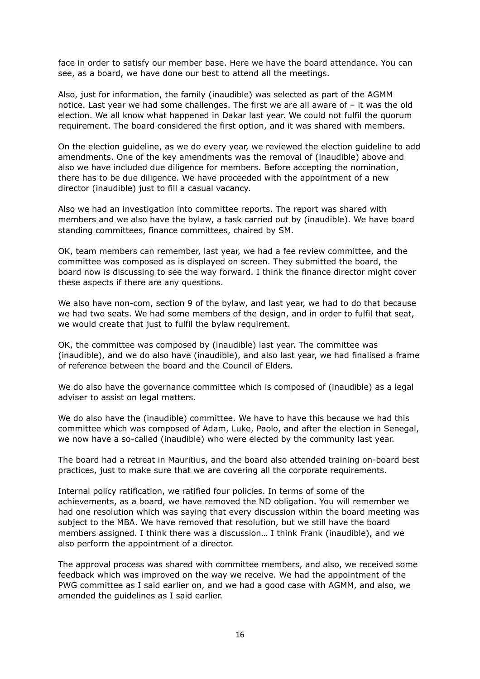face in order to satisfy our member base. Here we have the board attendance. You can see, as a board, we have done our best to attend all the meetings.

Also, just for information, the family (inaudible) was selected as part of the AGMM notice. Last year we had some challenges. The first we are all aware of – it was the old election. We all know what happened in Dakar last year. We could not fulfil the quorum requirement. The board considered the first option, and it was shared with members.

On the election guideline, as we do every year, we reviewed the election guideline to add amendments. One of the key amendments was the removal of (inaudible) above and also we have included due diligence for members. Before accepting the nomination, there has to be due diligence. We have proceeded with the appointment of a new director (inaudible) just to fill a casual vacancy.

Also we had an investigation into committee reports. The report was shared with members and we also have the bylaw, a task carried out by (inaudible). We have board standing committees, finance committees, chaired by SM.

OK, team members can remember, last year, we had a fee review committee, and the committee was composed as is displayed on screen. They submitted the board, the board now is discussing to see the way forward. I think the finance director might cover these aspects if there are any questions.

We also have non-com, section 9 of the bylaw, and last year, we had to do that because we had two seats. We had some members of the design, and in order to fulfil that seat, we would create that just to fulfil the bylaw requirement.

OK, the committee was composed by (inaudible) last year. The committee was (inaudible), and we do also have (inaudible), and also last year, we had finalised a frame of reference between the board and the Council of Elders.

We do also have the governance committee which is composed of (inaudible) as a legal adviser to assist on legal matters.

We do also have the (inaudible) committee. We have to have this because we had this committee which was composed of Adam, Luke, Paolo, and after the election in Senegal, we now have a so-called (inaudible) who were elected by the community last year.

The board had a retreat in Mauritius, and the board also attended training on-board best practices, just to make sure that we are covering all the corporate requirements.

Internal policy ratification, we ratified four policies. In terms of some of the achievements, as a board, we have removed the ND obligation. You will remember we had one resolution which was saying that every discussion within the board meeting was subject to the MBA. We have removed that resolution, but we still have the board members assigned. I think there was a discussion… I think Frank (inaudible), and we also perform the appointment of a director.

The approval process was shared with committee members, and also, we received some feedback which was improved on the way we receive. We had the appointment of the PWG committee as I said earlier on, and we had a good case with AGMM, and also, we amended the guidelines as I said earlier.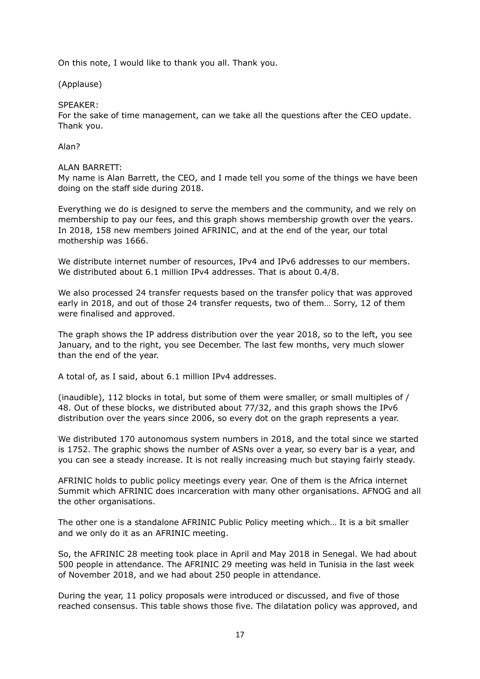On this note, I would like to thank you all. Thank you.

(Applause)

SPEAKER:

For the sake of time management, can we take all the questions after the CEO update. Thank you.

Alan?

#### ALAN BARRETT:

My name is Alan Barrett, the CEO, and I made tell you some of the things we have been doing on the staff side during 2018.

Everything we do is designed to serve the members and the community, and we rely on membership to pay our fees, and this graph shows membership growth over the years. In 2018, 158 new members joined AFRINIC, and at the end of the year, our total mothership was 1666.

We distribute internet number of resources, IPv4 and IPv6 addresses to our members. We distributed about 6.1 million IPv4 addresses. That is about 0.4/8.

We also processed 24 transfer requests based on the transfer policy that was approved early in 2018, and out of those 24 transfer requests, two of them… Sorry, 12 of them were finalised and approved.

The graph shows the IP address distribution over the year 2018, so to the left, you see January, and to the right, you see December. The last few months, very much slower than the end of the year.

A total of, as I said, about 6.1 million IPv4 addresses.

(inaudible), 112 blocks in total, but some of them were smaller, or small multiples of / 48. Out of these blocks, we distributed about 77/32, and this graph shows the IPv6 distribution over the years since 2006, so every dot on the graph represents a year.

We distributed 170 autonomous system numbers in 2018, and the total since we started is 1752. The graphic shows the number of ASNs over a year, so every bar is a year, and you can see a steady increase. It is not really increasing much but staying fairly steady.

AFRINIC holds to public policy meetings every year. One of them is the Africa internet Summit which AFRINIC does incarceration with many other organisations. AFNOG and all the other organisations.

The other one is a standalone AFRINIC Public Policy meeting which… It is a bit smaller and we only do it as an AFRINIC meeting.

So, the AFRINIC 28 meeting took place in April and May 2018 in Senegal. We had about 500 people in attendance. The AFRINIC 29 meeting was held in Tunisia in the last week of November 2018, and we had about 250 people in attendance.

During the year, 11 policy proposals were introduced or discussed, and five of those reached consensus. This table shows those five. The dilatation policy was approved, and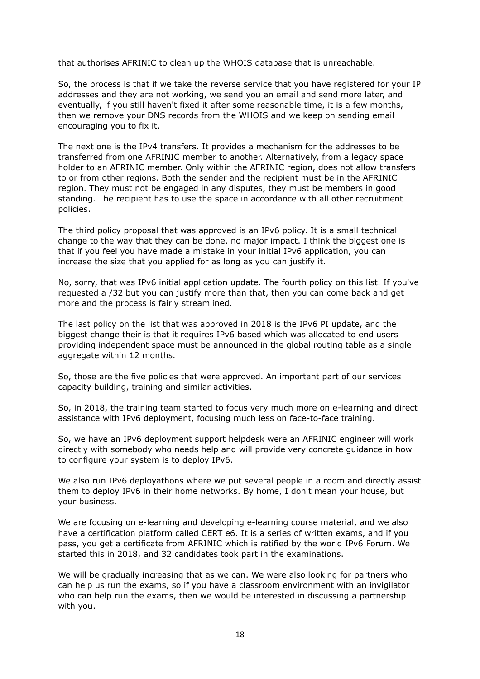that authorises AFRINIC to clean up the WHOIS database that is unreachable.

So, the process is that if we take the reverse service that you have registered for your IP addresses and they are not working, we send you an email and send more later, and eventually, if you still haven't fixed it after some reasonable time, it is a few months, then we remove your DNS records from the WHOIS and we keep on sending email encouraging you to fix it.

The next one is the IPv4 transfers. It provides a mechanism for the addresses to be transferred from one AFRINIC member to another. Alternatively, from a legacy space holder to an AFRINIC member. Only within the AFRINIC region, does not allow transfers to or from other regions. Both the sender and the recipient must be in the AFRINIC region. They must not be engaged in any disputes, they must be members in good standing. The recipient has to use the space in accordance with all other recruitment policies.

The third policy proposal that was approved is an IPv6 policy. It is a small technical change to the way that they can be done, no major impact. I think the biggest one is that if you feel you have made a mistake in your initial IPv6 application, you can increase the size that you applied for as long as you can justify it.

No, sorry, that was IPv6 initial application update. The fourth policy on this list. If you've requested a /32 but you can justify more than that, then you can come back and get more and the process is fairly streamlined.

The last policy on the list that was approved in 2018 is the IPv6 PI update, and the biggest change their is that it requires IPv6 based which was allocated to end users providing independent space must be announced in the global routing table as a single aggregate within 12 months.

So, those are the five policies that were approved. An important part of our services capacity building, training and similar activities.

So, in 2018, the training team started to focus very much more on e-learning and direct assistance with IPv6 deployment, focusing much less on face-to-face training.

So, we have an IPv6 deployment support helpdesk were an AFRINIC engineer will work directly with somebody who needs help and will provide very concrete guidance in how to configure your system is to deploy IPv6.

We also run IPv6 deployathons where we put several people in a room and directly assist them to deploy IPv6 in their home networks. By home, I don't mean your house, but your business.

We are focusing on e-learning and developing e-learning course material, and we also have a certification platform called CERT e6. It is a series of written exams, and if you pass, you get a certificate from AFRINIC which is ratified by the world IPv6 Forum. We started this in 2018, and 32 candidates took part in the examinations.

We will be gradually increasing that as we can. We were also looking for partners who can help us run the exams, so if you have a classroom environment with an invigilator who can help run the exams, then we would be interested in discussing a partnership with you.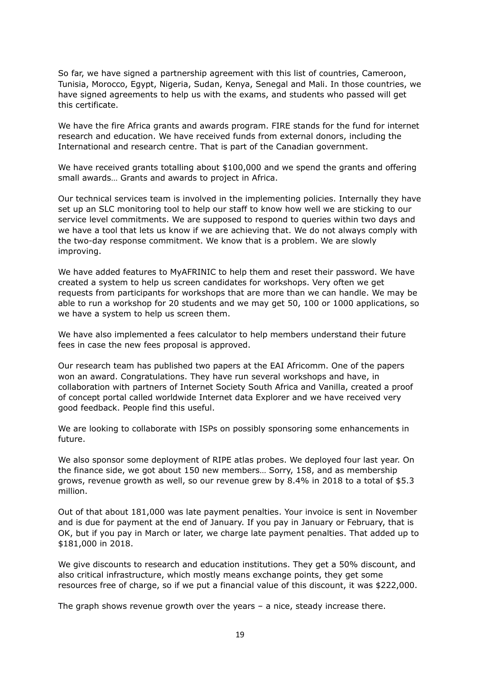So far, we have signed a partnership agreement with this list of countries, Cameroon, Tunisia, Morocco, Egypt, Nigeria, Sudan, Kenya, Senegal and Mali. In those countries, we have signed agreements to help us with the exams, and students who passed will get this certificate.

We have the fire Africa grants and awards program. FIRE stands for the fund for internet research and education. We have received funds from external donors, including the International and research centre. That is part of the Canadian government.

We have received grants totalling about \$100,000 and we spend the grants and offering small awards… Grants and awards to project in Africa.

Our technical services team is involved in the implementing policies. Internally they have set up an SLC monitoring tool to help our staff to know how well we are sticking to our service level commitments. We are supposed to respond to queries within two days and we have a tool that lets us know if we are achieving that. We do not always comply with the two-day response commitment. We know that is a problem. We are slowly improving.

We have added features to MyAFRINIC to help them and reset their password. We have created a system to help us screen candidates for workshops. Very often we get requests from participants for workshops that are more than we can handle. We may be able to run a workshop for 20 students and we may get 50, 100 or 1000 applications, so we have a system to help us screen them.

We have also implemented a fees calculator to help members understand their future fees in case the new fees proposal is approved.

Our research team has published two papers at the EAI Africomm. One of the papers won an award. Congratulations. They have run several workshops and have, in collaboration with partners of Internet Society South Africa and Vanilla, created a proof of concept portal called worldwide Internet data Explorer and we have received very good feedback. People find this useful.

We are looking to collaborate with ISPs on possibly sponsoring some enhancements in future.

We also sponsor some deployment of RIPE atlas probes. We deployed four last year. On the finance side, we got about 150 new members… Sorry, 158, and as membership grows, revenue growth as well, so our revenue grew by 8.4% in 2018 to a total of \$5.3 million.

Out of that about 181,000 was late payment penalties. Your invoice is sent in November and is due for payment at the end of January. If you pay in January or February, that is OK, but if you pay in March or later, we charge late payment penalties. That added up to \$181,000 in 2018.

We give discounts to research and education institutions. They get a 50% discount, and also critical infrastructure, which mostly means exchange points, they get some resources free of charge, so if we put a financial value of this discount, it was \$222,000.

The graph shows revenue growth over the years – a nice, steady increase there.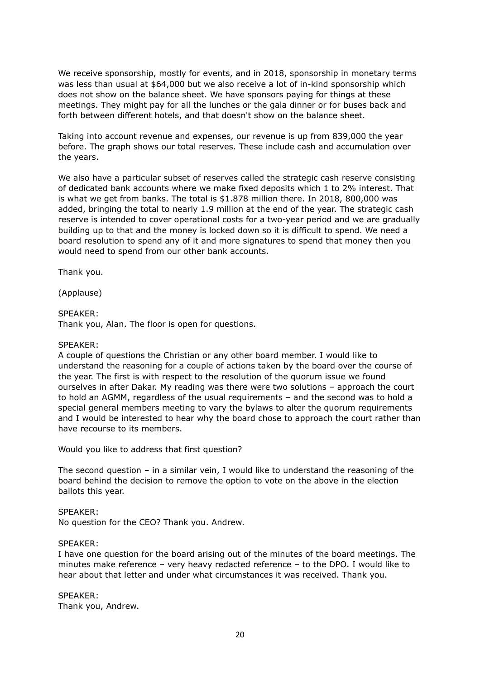We receive sponsorship, mostly for events, and in 2018, sponsorship in monetary terms was less than usual at \$64,000 but we also receive a lot of in-kind sponsorship which does not show on the balance sheet. We have sponsors paying for things at these meetings. They might pay for all the lunches or the gala dinner or for buses back and forth between different hotels, and that doesn't show on the balance sheet.

Taking into account revenue and expenses, our revenue is up from 839,000 the year before. The graph shows our total reserves. These include cash and accumulation over the years.

We also have a particular subset of reserves called the strategic cash reserve consisting of dedicated bank accounts where we make fixed deposits which 1 to 2% interest. That is what we get from banks. The total is \$1.878 million there. In 2018, 800,000 was added, bringing the total to nearly 1.9 million at the end of the year. The strategic cash reserve is intended to cover operational costs for a two-year period and we are gradually building up to that and the money is locked down so it is difficult to spend. We need a board resolution to spend any of it and more signatures to spend that money then you would need to spend from our other bank accounts.

Thank you.

(Applause)

# SPEAKER:

Thank you, Alan. The floor is open for questions.

#### SPEAKER:

A couple of questions the Christian or any other board member. I would like to understand the reasoning for a couple of actions taken by the board over the course of the year. The first is with respect to the resolution of the quorum issue we found ourselves in after Dakar. My reading was there were two solutions – approach the court to hold an AGMM, regardless of the usual requirements – and the second was to hold a special general members meeting to vary the bylaws to alter the quorum requirements and I would be interested to hear why the board chose to approach the court rather than have recourse to its members.

Would you like to address that first question?

The second question – in a similar vein, I would like to understand the reasoning of the board behind the decision to remove the option to vote on the above in the election ballots this year.

#### SPEAKER:

No question for the CEO? Thank you. Andrew.

#### SPEAKER:

I have one question for the board arising out of the minutes of the board meetings. The minutes make reference – very heavy redacted reference – to the DPO. I would like to hear about that letter and under what circumstances it was received. Thank you.

SPEAKER: Thank you, Andrew.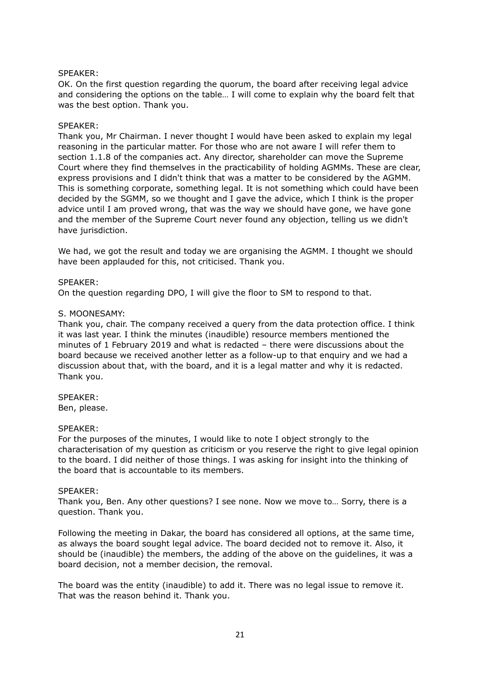#### SPEAKER:

OK. On the first question regarding the quorum, the board after receiving legal advice and considering the options on the table… I will come to explain why the board felt that was the best option. Thank you.

#### SPEAKER:

Thank you, Mr Chairman. I never thought I would have been asked to explain my legal reasoning in the particular matter. For those who are not aware I will refer them to section 1.1.8 of the companies act. Any director, shareholder can move the Supreme Court where they find themselves in the practicability of holding AGMMs. These are clear, express provisions and I didn't think that was a matter to be considered by the AGMM. This is something corporate, something legal. It is not something which could have been decided by the SGMM, so we thought and I gave the advice, which I think is the proper advice until I am proved wrong, that was the way we should have gone, we have gone and the member of the Supreme Court never found any objection, telling us we didn't have jurisdiction.

We had, we got the result and today we are organising the AGMM. I thought we should have been applauded for this, not criticised. Thank you.

#### SPEAKER:

On the question regarding DPO, I will give the floor to SM to respond to that.

#### S. MOONESAMY:

Thank you, chair. The company received a query from the data protection office. I think it was last year. I think the minutes (inaudible) resource members mentioned the minutes of 1 February 2019 and what is redacted – there were discussions about the board because we received another letter as a follow-up to that enquiry and we had a discussion about that, with the board, and it is a legal matter and why it is redacted. Thank you.

SPEAKER: Ben, please.

#### SPEAKER:

For the purposes of the minutes, I would like to note I object strongly to the characterisation of my question as criticism or you reserve the right to give legal opinion to the board. I did neither of those things. I was asking for insight into the thinking of the board that is accountable to its members.

#### SPEAKER:

Thank you, Ben. Any other questions? I see none. Now we move to… Sorry, there is a question. Thank you.

Following the meeting in Dakar, the board has considered all options, at the same time, as always the board sought legal advice. The board decided not to remove it. Also, it should be (inaudible) the members, the adding of the above on the guidelines, it was a board decision, not a member decision, the removal.

The board was the entity (inaudible) to add it. There was no legal issue to remove it. That was the reason behind it. Thank you.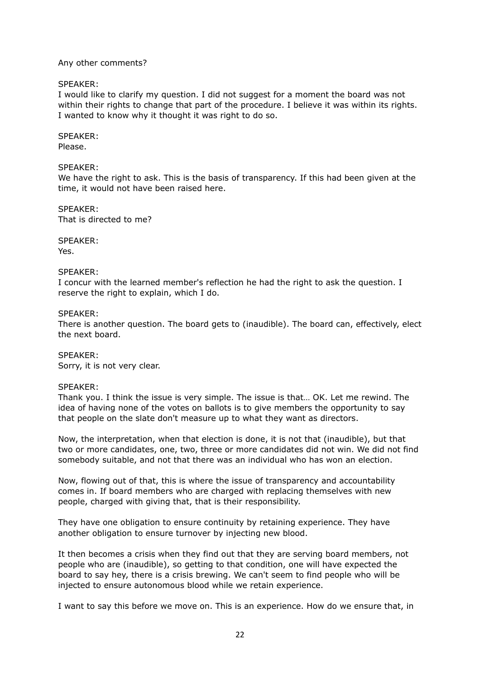#### Any other comments?

# SPEAKER:

I would like to clarify my question. I did not suggest for a moment the board was not within their rights to change that part of the procedure. I believe it was within its rights. I wanted to know why it thought it was right to do so.

# SPEAKER:

Please.

# SPEAKER:

We have the right to ask. This is the basis of transparency. If this had been given at the time, it would not have been raised here.

SPEAKER: That is directed to me?

SPEAKER: Yes.

# SPEAKER:

I concur with the learned member's reflection he had the right to ask the question. I reserve the right to explain, which I do.

# SPEAKER:

There is another question. The board gets to (inaudible). The board can, effectively, elect the next board.

SPEAKER: Sorry, it is not very clear.

# SPEAKER:

Thank you. I think the issue is very simple. The issue is that… OK. Let me rewind. The idea of having none of the votes on ballots is to give members the opportunity to say that people on the slate don't measure up to what they want as directors.

Now, the interpretation, when that election is done, it is not that (inaudible), but that two or more candidates, one, two, three or more candidates did not win. We did not find somebody suitable, and not that there was an individual who has won an election.

Now, flowing out of that, this is where the issue of transparency and accountability comes in. If board members who are charged with replacing themselves with new people, charged with giving that, that is their responsibility.

They have one obligation to ensure continuity by retaining experience. They have another obligation to ensure turnover by injecting new blood.

It then becomes a crisis when they find out that they are serving board members, not people who are (inaudible), so getting to that condition, one will have expected the board to say hey, there is a crisis brewing. We can't seem to find people who will be injected to ensure autonomous blood while we retain experience.

I want to say this before we move on. This is an experience. How do we ensure that, in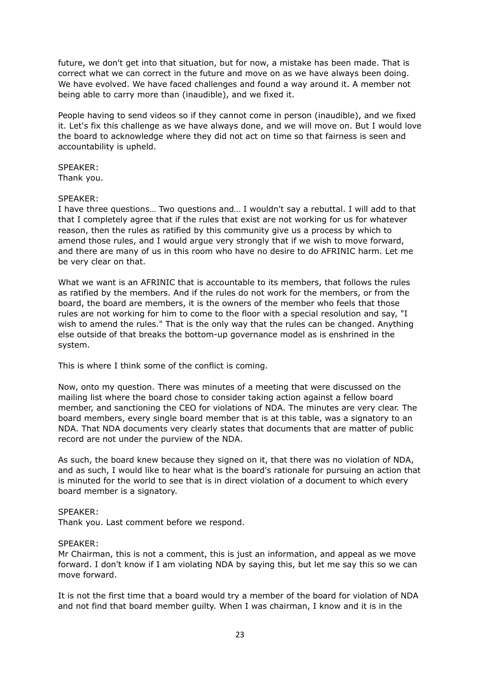future, we don't get into that situation, but for now, a mistake has been made. That is correct what we can correct in the future and move on as we have always been doing. We have evolved. We have faced challenges and found a way around it. A member not being able to carry more than (inaudible), and we fixed it.

People having to send videos so if they cannot come in person (inaudible), and we fixed it. Let's fix this challenge as we have always done, and we will move on. But I would love the board to acknowledge where they did not act on time so that fairness is seen and accountability is upheld.

#### SPEAKER:

Thank you.

#### SPEAKER:

I have three questions… Two questions and… I wouldn't say a rebuttal. I will add to that that I completely agree that if the rules that exist are not working for us for whatever reason, then the rules as ratified by this community give us a process by which to amend those rules, and I would argue very strongly that if we wish to move forward, and there are many of us in this room who have no desire to do AFRINIC harm. Let me be very clear on that.

What we want is an AFRINIC that is accountable to its members, that follows the rules as ratified by the members. And if the rules do not work for the members, or from the board, the board are members, it is the owners of the member who feels that those rules are not working for him to come to the floor with a special resolution and say, "I wish to amend the rules." That is the only way that the rules can be changed. Anything else outside of that breaks the bottom-up governance model as is enshrined in the system.

This is where I think some of the conflict is coming.

Now, onto my question. There was minutes of a meeting that were discussed on the mailing list where the board chose to consider taking action against a fellow board member, and sanctioning the CEO for violations of NDA. The minutes are very clear. The board members, every single board member that is at this table, was a signatory to an NDA. That NDA documents very clearly states that documents that are matter of public record are not under the purview of the NDA.

As such, the board knew because they signed on it, that there was no violation of NDA, and as such, I would like to hear what is the board's rationale for pursuing an action that is minuted for the world to see that is in direct violation of a document to which every board member is a signatory.

#### SPEAKER:

Thank you. Last comment before we respond.

#### SPEAKER:

Mr Chairman, this is not a comment, this is just an information, and appeal as we move forward. I don't know if I am violating NDA by saying this, but let me say this so we can move forward.

It is not the first time that a board would try a member of the board for violation of NDA and not find that board member guilty. When I was chairman, I know and it is in the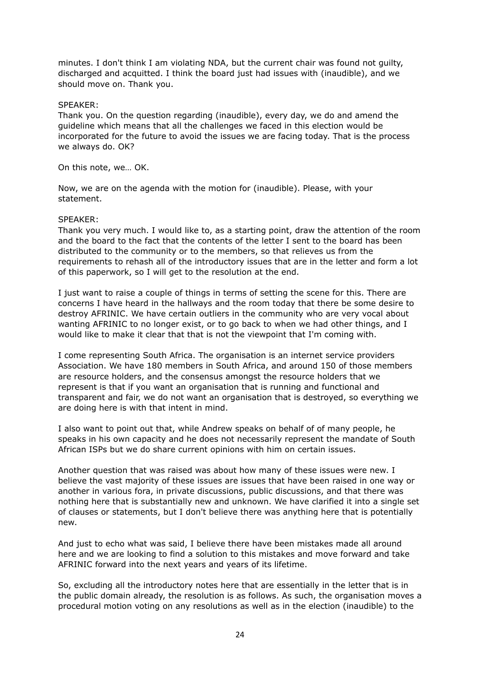minutes. I don't think I am violating NDA, but the current chair was found not guilty, discharged and acquitted. I think the board just had issues with (inaudible), and we should move on. Thank you.

# SPEAKER:

Thank you. On the question regarding (inaudible), every day, we do and amend the guideline which means that all the challenges we faced in this election would be incorporated for the future to avoid the issues we are facing today. That is the process we always do. OK?

On this note, we… OK.

Now, we are on the agenda with the motion for (inaudible). Please, with your statement.

# SPEAKER:

Thank you very much. I would like to, as a starting point, draw the attention of the room and the board to the fact that the contents of the letter I sent to the board has been distributed to the community or to the members, so that relieves us from the requirements to rehash all of the introductory issues that are in the letter and form a lot of this paperwork, so I will get to the resolution at the end.

I just want to raise a couple of things in terms of setting the scene for this. There are concerns I have heard in the hallways and the room today that there be some desire to destroy AFRINIC. We have certain outliers in the community who are very vocal about wanting AFRINIC to no longer exist, or to go back to when we had other things, and I would like to make it clear that that is not the viewpoint that I'm coming with.

I come representing South Africa. The organisation is an internet service providers Association. We have 180 members in South Africa, and around 150 of those members are resource holders, and the consensus amongst the resource holders that we represent is that if you want an organisation that is running and functional and transparent and fair, we do not want an organisation that is destroyed, so everything we are doing here is with that intent in mind.

I also want to point out that, while Andrew speaks on behalf of of many people, he speaks in his own capacity and he does not necessarily represent the mandate of South African ISPs but we do share current opinions with him on certain issues.

Another question that was raised was about how many of these issues were new. I believe the vast majority of these issues are issues that have been raised in one way or another in various fora, in private discussions, public discussions, and that there was nothing here that is substantially new and unknown. We have clarified it into a single set of clauses or statements, but I don't believe there was anything here that is potentially new.

And just to echo what was said, I believe there have been mistakes made all around here and we are looking to find a solution to this mistakes and move forward and take AFRINIC forward into the next years and years of its lifetime.

So, excluding all the introductory notes here that are essentially in the letter that is in the public domain already, the resolution is as follows. As such, the organisation moves a procedural motion voting on any resolutions as well as in the election (inaudible) to the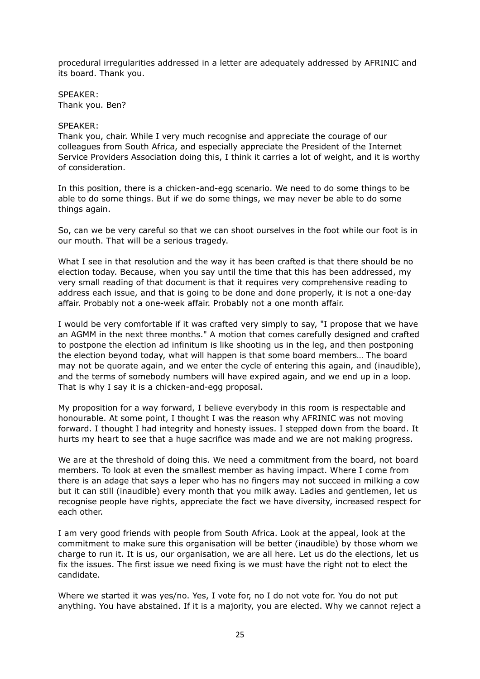procedural irregularities addressed in a letter are adequately addressed by AFRINIC and its board. Thank you.

SPEAKER: Thank you. Ben?

#### SPEAKER:

Thank you, chair. While I very much recognise and appreciate the courage of our colleagues from South Africa, and especially appreciate the President of the Internet Service Providers Association doing this, I think it carries a lot of weight, and it is worthy of consideration.

In this position, there is a chicken-and-egg scenario. We need to do some things to be able to do some things. But if we do some things, we may never be able to do some things again.

So, can we be very careful so that we can shoot ourselves in the foot while our foot is in our mouth. That will be a serious tragedy.

What I see in that resolution and the way it has been crafted is that there should be no election today. Because, when you say until the time that this has been addressed, my very small reading of that document is that it requires very comprehensive reading to address each issue, and that is going to be done and done properly, it is not a one-day affair. Probably not a one-week affair. Probably not a one month affair.

I would be very comfortable if it was crafted very simply to say, "I propose that we have an AGMM in the next three months." A motion that comes carefully designed and crafted to postpone the election ad infinitum is like shooting us in the leg, and then postponing the election beyond today, what will happen is that some board members… The board may not be quorate again, and we enter the cycle of entering this again, and (inaudible), and the terms of somebody numbers will have expired again, and we end up in a loop. That is why I say it is a chicken-and-egg proposal.

My proposition for a way forward, I believe everybody in this room is respectable and honourable. At some point, I thought I was the reason why AFRINIC was not moving forward. I thought I had integrity and honesty issues. I stepped down from the board. It hurts my heart to see that a huge sacrifice was made and we are not making progress.

We are at the threshold of doing this. We need a commitment from the board, not board members. To look at even the smallest member as having impact. Where I come from there is an adage that says a leper who has no fingers may not succeed in milking a cow but it can still (inaudible) every month that you milk away. Ladies and gentlemen, let us recognise people have rights, appreciate the fact we have diversity, increased respect for each other.

I am very good friends with people from South Africa. Look at the appeal, look at the commitment to make sure this organisation will be better (inaudible) by those whom we charge to run it. It is us, our organisation, we are all here. Let us do the elections, let us fix the issues. The first issue we need fixing is we must have the right not to elect the candidate.

Where we started it was yes/no. Yes, I vote for, no I do not vote for. You do not put anything. You have abstained. If it is a majority, you are elected. Why we cannot reject a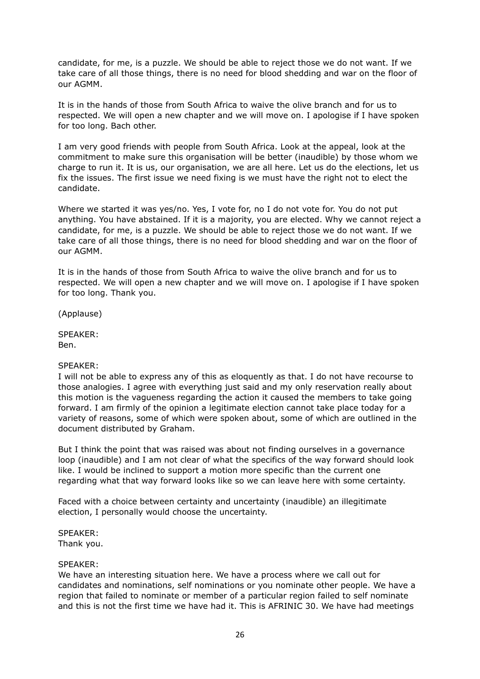candidate, for me, is a puzzle. We should be able to reject those we do not want. If we take care of all those things, there is no need for blood shedding and war on the floor of our AGMM.

It is in the hands of those from South Africa to waive the olive branch and for us to respected. We will open a new chapter and we will move on. I apologise if I have spoken for too long. Bach other.

I am very good friends with people from South Africa. Look at the appeal, look at the commitment to make sure this organisation will be better (inaudible) by those whom we charge to run it. It is us, our organisation, we are all here. Let us do the elections, let us fix the issues. The first issue we need fixing is we must have the right not to elect the candidate.

Where we started it was yes/no. Yes, I vote for, no I do not vote for. You do not put anything. You have abstained. If it is a majority, you are elected. Why we cannot reject a candidate, for me, is a puzzle. We should be able to reject those we do not want. If we take care of all those things, there is no need for blood shedding and war on the floor of our AGMM.

It is in the hands of those from South Africa to waive the olive branch and for us to respected. We will open a new chapter and we will move on. I apologise if I have spoken for too long. Thank you.

(Applause)

SPEAKER: Ben.

#### SPEAKER:

I will not be able to express any of this as eloquently as that. I do not have recourse to those analogies. I agree with everything just said and my only reservation really about this motion is the vagueness regarding the action it caused the members to take going forward. I am firmly of the opinion a legitimate election cannot take place today for a variety of reasons, some of which were spoken about, some of which are outlined in the document distributed by Graham.

But I think the point that was raised was about not finding ourselves in a governance loop (inaudible) and I am not clear of what the specifics of the way forward should look like. I would be inclined to support a motion more specific than the current one regarding what that way forward looks like so we can leave here with some certainty.

Faced with a choice between certainty and uncertainty (inaudible) an illegitimate election, I personally would choose the uncertainty.

SPEAKER:

Thank you.

#### SPEAKER:

We have an interesting situation here. We have a process where we call out for candidates and nominations, self nominations or you nominate other people. We have a region that failed to nominate or member of a particular region failed to self nominate and this is not the first time we have had it. This is AFRINIC 30. We have had meetings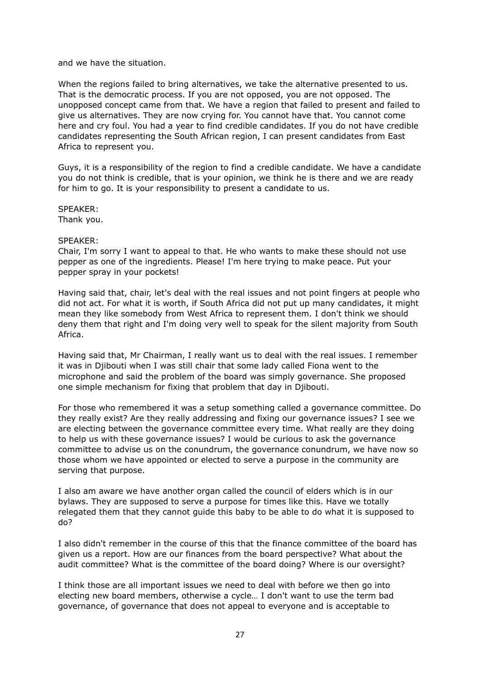and we have the situation.

When the regions failed to bring alternatives, we take the alternative presented to us. That is the democratic process. If you are not opposed, you are not opposed. The unopposed concept came from that. We have a region that failed to present and failed to give us alternatives. They are now crying for. You cannot have that. You cannot come here and cry foul. You had a year to find credible candidates. If you do not have credible candidates representing the South African region, I can present candidates from East Africa to represent you.

Guys, it is a responsibility of the region to find a credible candidate. We have a candidate you do not think is credible, that is your opinion, we think he is there and we are ready for him to go. It is your responsibility to present a candidate to us.

SPEAKER:

Thank you.

# SPEAKER:

Chair, I'm sorry I want to appeal to that. He who wants to make these should not use pepper as one of the ingredients. Please! I'm here trying to make peace. Put your pepper spray in your pockets!

Having said that, chair, let's deal with the real issues and not point fingers at people who did not act. For what it is worth, if South Africa did not put up many candidates, it might mean they like somebody from West Africa to represent them. I don't think we should deny them that right and I'm doing very well to speak for the silent majority from South Africa.

Having said that, Mr Chairman, I really want us to deal with the real issues. I remember it was in Djibouti when I was still chair that some lady called Fiona went to the microphone and said the problem of the board was simply governance. She proposed one simple mechanism for fixing that problem that day in Djibouti.

For those who remembered it was a setup something called a governance committee. Do they really exist? Are they really addressing and fixing our governance issues? I see we are electing between the governance committee every time. What really are they doing to help us with these governance issues? I would be curious to ask the governance committee to advise us on the conundrum, the governance conundrum, we have now so those whom we have appointed or elected to serve a purpose in the community are serving that purpose.

I also am aware we have another organ called the council of elders which is in our bylaws. They are supposed to serve a purpose for times like this. Have we totally relegated them that they cannot guide this baby to be able to do what it is supposed to do?

I also didn't remember in the course of this that the finance committee of the board has given us a report. How are our finances from the board perspective? What about the audit committee? What is the committee of the board doing? Where is our oversight?

I think those are all important issues we need to deal with before we then go into electing new board members, otherwise a cycle… I don't want to use the term bad governance, of governance that does not appeal to everyone and is acceptable to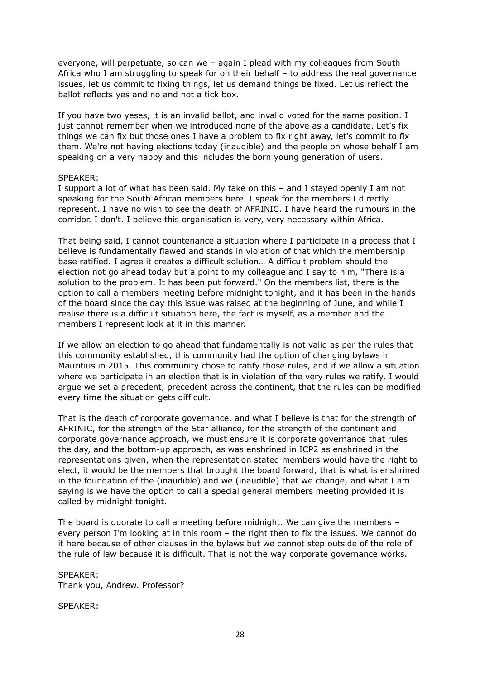everyone, will perpetuate, so can we – again I plead with my colleagues from South Africa who I am struggling to speak for on their behalf – to address the real governance issues, let us commit to fixing things, let us demand things be fixed. Let us reflect the ballot reflects yes and no and not a tick box.

If you have two yeses, it is an invalid ballot, and invalid voted for the same position. I just cannot remember when we introduced none of the above as a candidate. Let's fix things we can fix but those ones I have a problem to fix right away, let's commit to fix them. We're not having elections today (inaudible) and the people on whose behalf I am speaking on a very happy and this includes the born young generation of users.

#### SPEAKER:

I support a lot of what has been said. My take on this – and I stayed openly I am not speaking for the South African members here. I speak for the members I directly represent. I have no wish to see the death of AFRINIC. I have heard the rumours in the corridor. I don't. I believe this organisation is very, very necessary within Africa.

That being said, I cannot countenance a situation where I participate in a process that I believe is fundamentally flawed and stands in violation of that which the membership base ratified. I agree it creates a difficult solution… A difficult problem should the election not go ahead today but a point to my colleague and I say to him, "There is a solution to the problem. It has been put forward." On the members list, there is the option to call a members meeting before midnight tonight, and it has been in the hands of the board since the day this issue was raised at the beginning of June, and while I realise there is a difficult situation here, the fact is myself, as a member and the members I represent look at it in this manner.

If we allow an election to go ahead that fundamentally is not valid as per the rules that this community established, this community had the option of changing bylaws in Mauritius in 2015. This community chose to ratify those rules, and if we allow a situation where we participate in an election that is in violation of the very rules we ratify, I would argue we set a precedent, precedent across the continent, that the rules can be modified every time the situation gets difficult.

That is the death of corporate governance, and what I believe is that for the strength of AFRINIC, for the strength of the Star alliance, for the strength of the continent and corporate governance approach, we must ensure it is corporate governance that rules the day, and the bottom-up approach, as was enshrined in ICP2 as enshrined in the representations given, when the representation stated members would have the right to elect, it would be the members that brought the board forward, that is what is enshrined in the foundation of the (inaudible) and we (inaudible) that we change, and what I am saying is we have the option to call a special general members meeting provided it is called by midnight tonight.

The board is quorate to call a meeting before midnight. We can give the members – every person I'm looking at in this room – the right then to fix the issues. We cannot do it here because of other clauses in the bylaws but we cannot step outside of the role of the rule of law because it is difficult. That is not the way corporate governance works.

SPEAKER: Thank you, Andrew. Professor?

SPEAKER: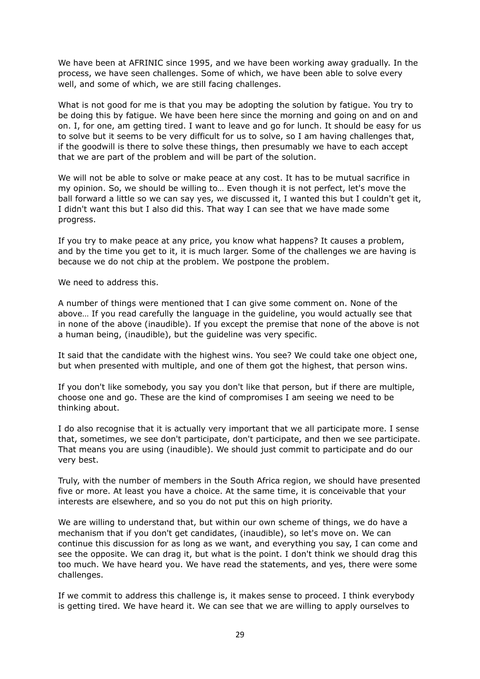We have been at AFRINIC since 1995, and we have been working away gradually. In the process, we have seen challenges. Some of which, we have been able to solve every well, and some of which, we are still facing challenges.

What is not good for me is that you may be adopting the solution by fatigue. You try to be doing this by fatigue. We have been here since the morning and going on and on and on. I, for one, am getting tired. I want to leave and go for lunch. It should be easy for us to solve but it seems to be very difficult for us to solve, so I am having challenges that, if the goodwill is there to solve these things, then presumably we have to each accept that we are part of the problem and will be part of the solution.

We will not be able to solve or make peace at any cost. It has to be mutual sacrifice in my opinion. So, we should be willing to… Even though it is not perfect, let's move the ball forward a little so we can say yes, we discussed it, I wanted this but I couldn't get it, I didn't want this but I also did this. That way I can see that we have made some progress.

If you try to make peace at any price, you know what happens? It causes a problem, and by the time you get to it, it is much larger. Some of the challenges we are having is because we do not chip at the problem. We postpone the problem.

We need to address this.

A number of things were mentioned that I can give some comment on. None of the above… If you read carefully the language in the guideline, you would actually see that in none of the above (inaudible). If you except the premise that none of the above is not a human being, (inaudible), but the guideline was very specific.

It said that the candidate with the highest wins. You see? We could take one object one, but when presented with multiple, and one of them got the highest, that person wins.

If you don't like somebody, you say you don't like that person, but if there are multiple, choose one and go. These are the kind of compromises I am seeing we need to be thinking about.

I do also recognise that it is actually very important that we all participate more. I sense that, sometimes, we see don't participate, don't participate, and then we see participate. That means you are using (inaudible). We should just commit to participate and do our very best.

Truly, with the number of members in the South Africa region, we should have presented five or more. At least you have a choice. At the same time, it is conceivable that your interests are elsewhere, and so you do not put this on high priority.

We are willing to understand that, but within our own scheme of things, we do have a mechanism that if you don't get candidates, (inaudible), so let's move on. We can continue this discussion for as long as we want, and everything you say, I can come and see the opposite. We can drag it, but what is the point. I don't think we should drag this too much. We have heard you. We have read the statements, and yes, there were some challenges.

If we commit to address this challenge is, it makes sense to proceed. I think everybody is getting tired. We have heard it. We can see that we are willing to apply ourselves to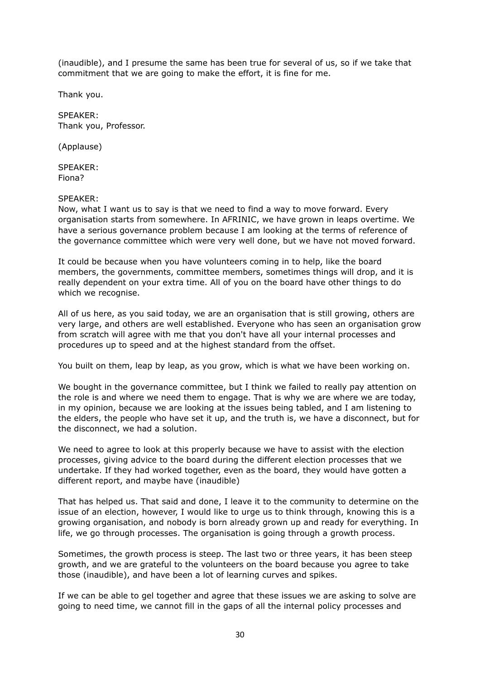(inaudible), and I presume the same has been true for several of us, so if we take that commitment that we are going to make the effort, it is fine for me.

Thank you.

SPEAKER: Thank you, Professor.

(Applause)

SPEAKER: Fiona?

# SPEAKER:

Now, what I want us to say is that we need to find a way to move forward. Every organisation starts from somewhere. In AFRINIC, we have grown in leaps overtime. We have a serious governance problem because I am looking at the terms of reference of the governance committee which were very well done, but we have not moved forward.

It could be because when you have volunteers coming in to help, like the board members, the governments, committee members, sometimes things will drop, and it is really dependent on your extra time. All of you on the board have other things to do which we recognise.

All of us here, as you said today, we are an organisation that is still growing, others are very large, and others are well established. Everyone who has seen an organisation grow from scratch will agree with me that you don't have all your internal processes and procedures up to speed and at the highest standard from the offset.

You built on them, leap by leap, as you grow, which is what we have been working on.

We bought in the governance committee, but I think we failed to really pay attention on the role is and where we need them to engage. That is why we are where we are today, in my opinion, because we are looking at the issues being tabled, and I am listening to the elders, the people who have set it up, and the truth is, we have a disconnect, but for the disconnect, we had a solution.

We need to agree to look at this properly because we have to assist with the election processes, giving advice to the board during the different election processes that we undertake. If they had worked together, even as the board, they would have gotten a different report, and maybe have (inaudible)

That has helped us. That said and done, I leave it to the community to determine on the issue of an election, however, I would like to urge us to think through, knowing this is a growing organisation, and nobody is born already grown up and ready for everything. In life, we go through processes. The organisation is going through a growth process.

Sometimes, the growth process is steep. The last two or three years, it has been steep growth, and we are grateful to the volunteers on the board because you agree to take those (inaudible), and have been a lot of learning curves and spikes.

If we can be able to gel together and agree that these issues we are asking to solve are going to need time, we cannot fill in the gaps of all the internal policy processes and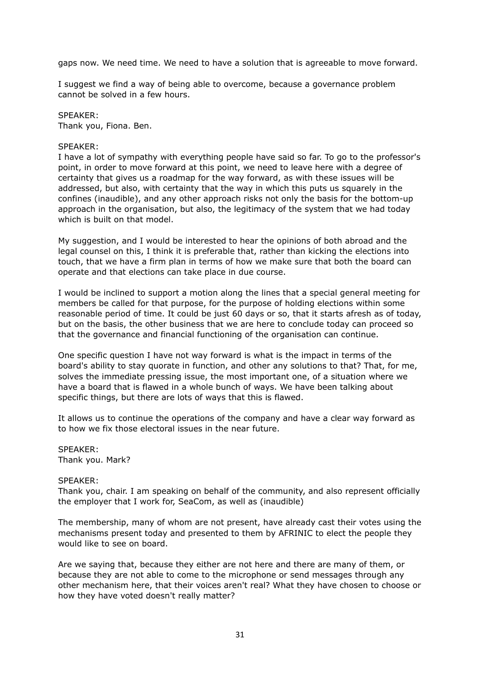gaps now. We need time. We need to have a solution that is agreeable to move forward.

I suggest we find a way of being able to overcome, because a governance problem cannot be solved in a few hours.

SPEAKER: Thank you, Fiona. Ben.

#### SPEAKER:

I have a lot of sympathy with everything people have said so far. To go to the professor's point, in order to move forward at this point, we need to leave here with a degree of certainty that gives us a roadmap for the way forward, as with these issues will be addressed, but also, with certainty that the way in which this puts us squarely in the confines (inaudible), and any other approach risks not only the basis for the bottom-up approach in the organisation, but also, the legitimacy of the system that we had today which is built on that model.

My suggestion, and I would be interested to hear the opinions of both abroad and the legal counsel on this, I think it is preferable that, rather than kicking the elections into touch, that we have a firm plan in terms of how we make sure that both the board can operate and that elections can take place in due course.

I would be inclined to support a motion along the lines that a special general meeting for members be called for that purpose, for the purpose of holding elections within some reasonable period of time. It could be just 60 days or so, that it starts afresh as of today, but on the basis, the other business that we are here to conclude today can proceed so that the governance and financial functioning of the organisation can continue.

One specific question I have not way forward is what is the impact in terms of the board's ability to stay quorate in function, and other any solutions to that? That, for me, solves the immediate pressing issue, the most important one, of a situation where we have a board that is flawed in a whole bunch of ways. We have been talking about specific things, but there are lots of ways that this is flawed.

It allows us to continue the operations of the company and have a clear way forward as to how we fix those electoral issues in the near future.

SPEAKER: Thank you. Mark?

#### SPEAKER:

Thank you, chair. I am speaking on behalf of the community, and also represent officially the employer that I work for, SeaCom, as well as (inaudible)

The membership, many of whom are not present, have already cast their votes using the mechanisms present today and presented to them by AFRINIC to elect the people they would like to see on board.

Are we saying that, because they either are not here and there are many of them, or because they are not able to come to the microphone or send messages through any other mechanism here, that their voices aren't real? What they have chosen to choose or how they have voted doesn't really matter?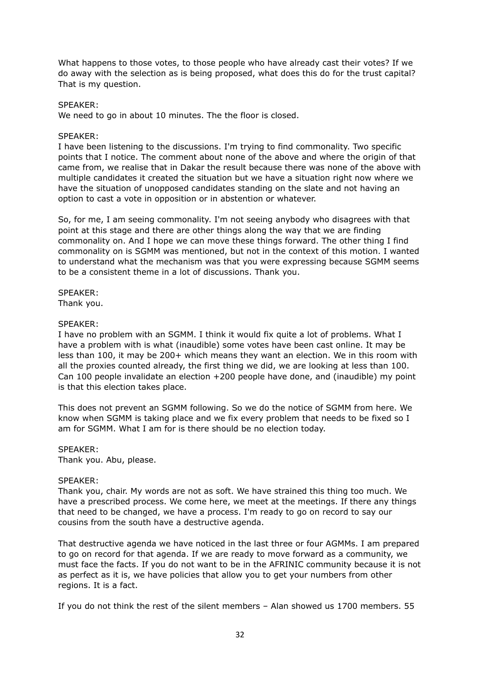What happens to those votes, to those people who have already cast their votes? If we do away with the selection as is being proposed, what does this do for the trust capital? That is my question.

# SPEAKER:

We need to go in about 10 minutes. The the floor is closed.

#### SPEAKER:

I have been listening to the discussions. I'm trying to find commonality. Two specific points that I notice. The comment about none of the above and where the origin of that came from, we realise that in Dakar the result because there was none of the above with multiple candidates it created the situation but we have a situation right now where we have the situation of unopposed candidates standing on the slate and not having an option to cast a vote in opposition or in abstention or whatever.

So, for me, I am seeing commonality. I'm not seeing anybody who disagrees with that point at this stage and there are other things along the way that we are finding commonality on. And I hope we can move these things forward. The other thing I find commonality on is SGMM was mentioned, but not in the context of this motion. I wanted to understand what the mechanism was that you were expressing because SGMM seems to be a consistent theme in a lot of discussions. Thank you.

SPEAKER: Thank you.

#### SPEAKER:

I have no problem with an SGMM. I think it would fix quite a lot of problems. What I have a problem with is what (inaudible) some votes have been cast online. It may be less than 100, it may be 200+ which means they want an election. We in this room with all the proxies counted already, the first thing we did, we are looking at less than 100. Can 100 people invalidate an election +200 people have done, and (inaudible) my point is that this election takes place.

This does not prevent an SGMM following. So we do the notice of SGMM from here. We know when SGMM is taking place and we fix every problem that needs to be fixed so I am for SGMM. What I am for is there should be no election today.

SPEAKER:

Thank you. Abu, please.

#### SPEAKER:

Thank you, chair. My words are not as soft. We have strained this thing too much. We have a prescribed process. We come here, we meet at the meetings. If there any things that need to be changed, we have a process. I'm ready to go on record to say our cousins from the south have a destructive agenda.

That destructive agenda we have noticed in the last three or four AGMMs. I am prepared to go on record for that agenda. If we are ready to move forward as a community, we must face the facts. If you do not want to be in the AFRINIC community because it is not as perfect as it is, we have policies that allow you to get your numbers from other regions. It is a fact.

If you do not think the rest of the silent members – Alan showed us 1700 members. 55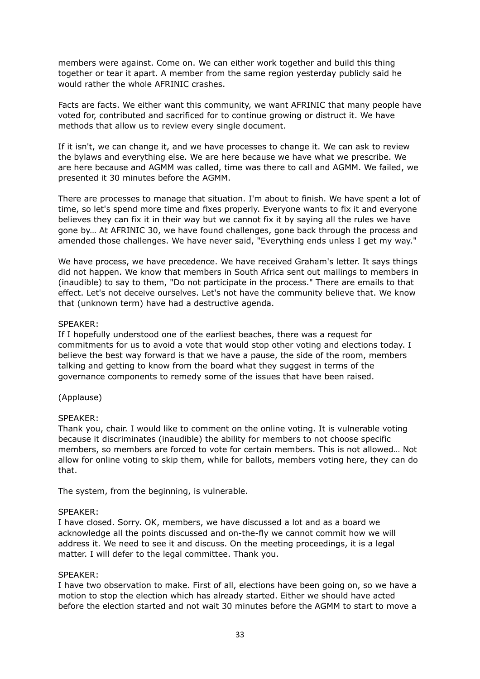members were against. Come on. We can either work together and build this thing together or tear it apart. A member from the same region yesterday publicly said he would rather the whole AFRINIC crashes.

Facts are facts. We either want this community, we want AFRINIC that many people have voted for, contributed and sacrificed for to continue growing or distruct it. We have methods that allow us to review every single document.

If it isn't, we can change it, and we have processes to change it. We can ask to review the bylaws and everything else. We are here because we have what we prescribe. We are here because and AGMM was called, time was there to call and AGMM. We failed, we presented it 30 minutes before the AGMM.

There are processes to manage that situation. I'm about to finish. We have spent a lot of time, so let's spend more time and fixes properly. Everyone wants to fix it and everyone believes they can fix it in their way but we cannot fix it by saying all the rules we have gone by… At AFRINIC 30, we have found challenges, gone back through the process and amended those challenges. We have never said, "Everything ends unless I get my way."

We have process, we have precedence. We have received Graham's letter. It says things did not happen. We know that members in South Africa sent out mailings to members in (inaudible) to say to them, "Do not participate in the process." There are emails to that effect. Let's not deceive ourselves. Let's not have the community believe that. We know that (unknown term) have had a destructive agenda.

#### SPEAKER:

If I hopefully understood one of the earliest beaches, there was a request for commitments for us to avoid a vote that would stop other voting and elections today. I believe the best way forward is that we have a pause, the side of the room, members talking and getting to know from the board what they suggest in terms of the governance components to remedy some of the issues that have been raised.

#### (Applause)

# SPEAKER:

Thank you, chair. I would like to comment on the online voting. It is vulnerable voting because it discriminates (inaudible) the ability for members to not choose specific members, so members are forced to vote for certain members. This is not allowed… Not allow for online voting to skip them, while for ballots, members voting here, they can do that.

The system, from the beginning, is vulnerable.

#### SPEAKER:

I have closed. Sorry. OK, members, we have discussed a lot and as a board we acknowledge all the points discussed and on-the-fly we cannot commit how we will address it. We need to see it and discuss. On the meeting proceedings, it is a legal matter. I will defer to the legal committee. Thank you.

#### SPEAKER:

I have two observation to make. First of all, elections have been going on, so we have a motion to stop the election which has already started. Either we should have acted before the election started and not wait 30 minutes before the AGMM to start to move a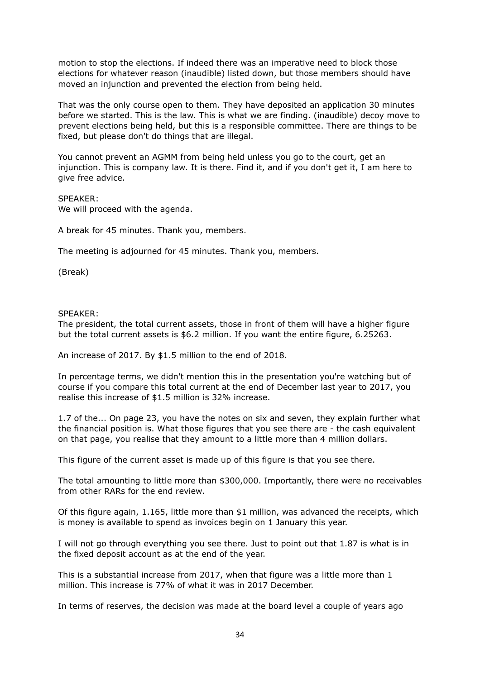motion to stop the elections. If indeed there was an imperative need to block those elections for whatever reason (inaudible) listed down, but those members should have moved an injunction and prevented the election from being held.

That was the only course open to them. They have deposited an application 30 minutes before we started. This is the law. This is what we are finding. (inaudible) decoy move to prevent elections being held, but this is a responsible committee. There are things to be fixed, but please don't do things that are illegal.

You cannot prevent an AGMM from being held unless you go to the court, get an injunction. This is company law. It is there. Find it, and if you don't get it, I am here to give free advice.

#### SPEAKER:

We will proceed with the agenda.

A break for 45 minutes. Thank you, members.

The meeting is adjourned for 45 minutes. Thank you, members.

(Break)

#### SPEAKER:

The president, the total current assets, those in front of them will have a higher figure but the total current assets is \$6.2 million. If you want the entire figure, 6.25263.

An increase of 2017. By \$1.5 million to the end of 2018.

In percentage terms, we didn't mention this in the presentation you're watching but of course if you compare this total current at the end of December last year to 2017, you realise this increase of \$1.5 million is 32% increase.

1.7 of the... On page 23, you have the notes on six and seven, they explain further what the financial position is. What those figures that you see there are - the cash equivalent on that page, you realise that they amount to a little more than 4 million dollars.

This figure of the current asset is made up of this figure is that you see there.

The total amounting to little more than \$300,000. Importantly, there were no receivables from other RARs for the end review.

Of this figure again, 1.165, little more than \$1 million, was advanced the receipts, which is money is available to spend as invoices begin on 1 January this year.

I will not go through everything you see there. Just to point out that 1.87 is what is in the fixed deposit account as at the end of the year.

This is a substantial increase from 2017, when that figure was a little more than 1 million. This increase is 77% of what it was in 2017 December.

In terms of reserves, the decision was made at the board level a couple of years ago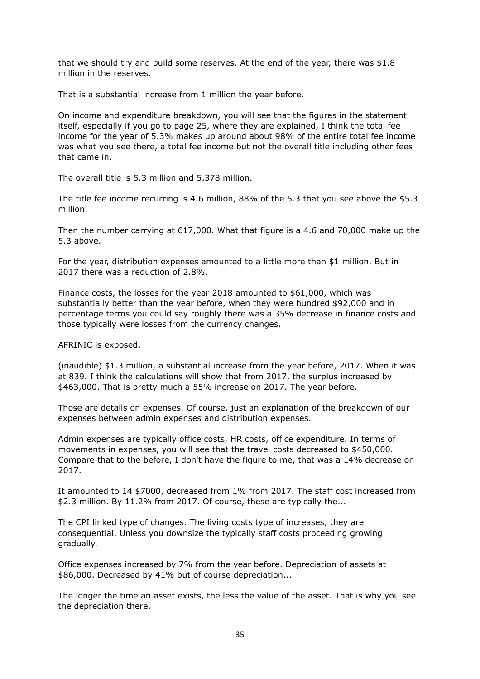that we should try and build some reserves. At the end of the year, there was \$1.8 million in the reserves.

That is a substantial increase from 1 million the year before.

On income and expenditure breakdown, you will see that the figures in the statement itself, especially if you go to page 25, where they are explained, I think the total fee income for the year of 5.3% makes up around about 98% of the entire total fee income was what you see there, a total fee income but not the overall title including other fees that came in.

The overall title is 5.3 million and 5.378 million.

The title fee income recurring is 4.6 million, 88% of the 5.3 that you see above the \$5.3 million.

Then the number carrying at 617,000. What that figure is a 4.6 and 70,000 make up the 5.3 above.

For the year, distribution expenses amounted to a little more than \$1 million. But in 2017 there was a reduction of 2.8%.

Finance costs, the losses for the year 2018 amounted to \$61,000, which was substantially better than the year before, when they were hundred \$92,000 and in percentage terms you could say roughly there was a 35% decrease in finance costs and those typically were losses from the currency changes.

AFRINIC is exposed.

(inaudible) \$1.3 million, a substantial increase from the year before, 2017. When it was at 839. I think the calculations will show that from 2017, the surplus increased by \$463,000. That is pretty much a 55% increase on 2017. The year before.

Those are details on expenses. Of course, just an explanation of the breakdown of our expenses between admin expenses and distribution expenses.

Admin expenses are typically office costs, HR costs, office expenditure. In terms of movements in expenses, you will see that the travel costs decreased to \$450,000. Compare that to the before, I don't have the figure to me, that was a 14% decrease on 2017.

It amounted to 14 \$7000, decreased from 1% from 2017. The staff cost increased from \$2.3 million. By 11.2% from 2017. Of course, these are typically the...

The CPI linked type of changes. The living costs type of increases, they are consequential. Unless you downsize the typically staff costs proceeding growing gradually.

Office expenses increased by 7% from the year before. Depreciation of assets at \$86,000. Decreased by 41% but of course depreciation...

The longer the time an asset exists, the less the value of the asset. That is why you see the depreciation there.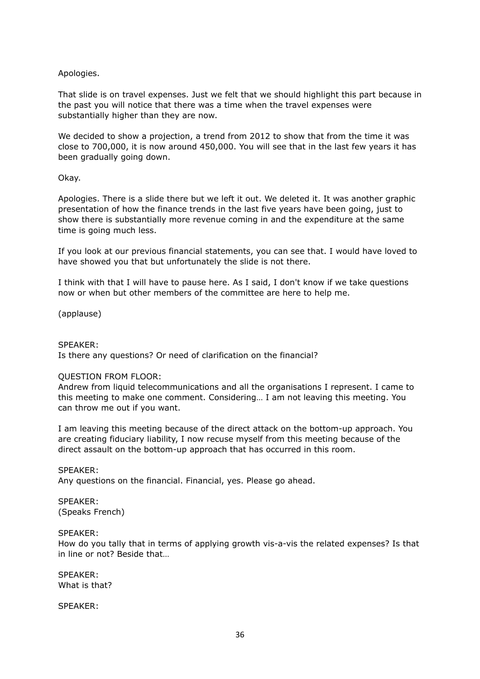# Apologies.

That slide is on travel expenses. Just we felt that we should highlight this part because in the past you will notice that there was a time when the travel expenses were substantially higher than they are now.

We decided to show a projection, a trend from 2012 to show that from the time it was close to 700,000, it is now around 450,000. You will see that in the last few years it has been gradually going down.

# Okay.

Apologies. There is a slide there but we left it out. We deleted it. It was another graphic presentation of how the finance trends in the last five years have been going, just to show there is substantially more revenue coming in and the expenditure at the same time is going much less.

If you look at our previous financial statements, you can see that. I would have loved to have showed you that but unfortunately the slide is not there.

I think with that I will have to pause here. As I said, I don't know if we take questions now or when but other members of the committee are here to help me.

(applause)

#### SPEAKER:

Is there any questions? Or need of clarification on the financial?

#### QUESTION FROM FLOOR:

Andrew from liquid telecommunications and all the organisations I represent. I came to this meeting to make one comment. Considering… I am not leaving this meeting. You can throw me out if you want.

I am leaving this meeting because of the direct attack on the bottom-up approach. You are creating fiduciary liability, I now recuse myself from this meeting because of the direct assault on the bottom-up approach that has occurred in this room.

# SPEAKER:

Any questions on the financial. Financial, yes. Please go ahead.

SPEAKER: (Speaks French)

#### SPEAKER:

How do you tally that in terms of applying growth vis-a-vis the related expenses? Is that in line or not? Beside that

SPEAKER: What is that?

SPEAKER: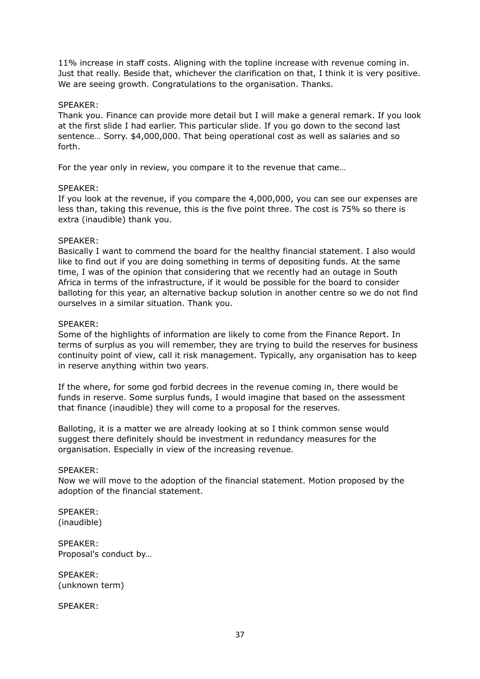11% increase in staff costs. Aligning with the topline increase with revenue coming in. Just that really. Beside that, whichever the clarification on that, I think it is very positive. We are seeing growth. Congratulations to the organisation. Thanks.

## SPEAKER:

Thank you. Finance can provide more detail but I will make a general remark. If you look at the first slide I had earlier. This particular slide. If you go down to the second last sentence… Sorry. \$4,000,000. That being operational cost as well as salaries and so forth.

For the year only in review, you compare it to the revenue that came…

## SPEAKER:

If you look at the revenue, if you compare the 4,000,000, you can see our expenses are less than, taking this revenue, this is the five point three. The cost is 75% so there is extra (inaudible) thank you.

# SPEAKER:

Basically I want to commend the board for the healthy financial statement. I also would like to find out if you are doing something in terms of depositing funds. At the same time, I was of the opinion that considering that we recently had an outage in South Africa in terms of the infrastructure, if it would be possible for the board to consider balloting for this year, an alternative backup solution in another centre so we do not find ourselves in a similar situation. Thank you.

## SPEAKER:

Some of the highlights of information are likely to come from the Finance Report. In terms of surplus as you will remember, they are trying to build the reserves for business continuity point of view, call it risk management. Typically, any organisation has to keep in reserve anything within two years.

If the where, for some god forbid decrees in the revenue coming in, there would be funds in reserve. Some surplus funds, I would imagine that based on the assessment that finance (inaudible) they will come to a proposal for the reserves.

Balloting, it is a matter we are already looking at so I think common sense would suggest there definitely should be investment in redundancy measures for the organisation. Especially in view of the increasing revenue.

## SPEAKER:

Now we will move to the adoption of the financial statement. Motion proposed by the adoption of the financial statement.

SPEAKER: (inaudible)

SPEAKER: Proposal's conduct by…

SPEAKER: (unknown term)

SPEAKER: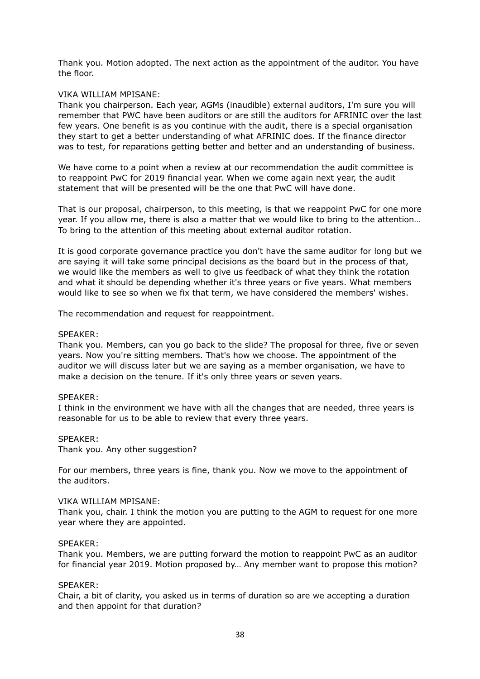Thank you. Motion adopted. The next action as the appointment of the auditor. You have the floor.

#### VIKA WILLIAM MPISANE:

Thank you chairperson. Each year, AGMs (inaudible) external auditors, I'm sure you will remember that PWC have been auditors or are still the auditors for AFRINIC over the last few years. One benefit is as you continue with the audit, there is a special organisation they start to get a better understanding of what AFRINIC does. If the finance director was to test, for reparations getting better and better and an understanding of business.

We have come to a point when a review at our recommendation the audit committee is to reappoint PwC for 2019 financial year. When we come again next year, the audit statement that will be presented will be the one that PwC will have done.

That is our proposal, chairperson, to this meeting, is that we reappoint PwC for one more year. If you allow me, there is also a matter that we would like to bring to the attention… To bring to the attention of this meeting about external auditor rotation.

It is good corporate governance practice you don't have the same auditor for long but we are saying it will take some principal decisions as the board but in the process of that, we would like the members as well to give us feedback of what they think the rotation and what it should be depending whether it's three years or five years. What members would like to see so when we fix that term, we have considered the members' wishes.

The recommendation and request for reappointment.

#### SPEAKER:

Thank you. Members, can you go back to the slide? The proposal for three, five or seven years. Now you're sitting members. That's how we choose. The appointment of the auditor we will discuss later but we are saying as a member organisation, we have to make a decision on the tenure. If it's only three years or seven years.

#### SPEAKER:

I think in the environment we have with all the changes that are needed, three years is reasonable for us to be able to review that every three years.

## SPEAKER:

Thank you. Any other suggestion?

For our members, three years is fine, thank you. Now we move to the appointment of the auditors.

#### VIKA WILLIAM MPISANE:

Thank you, chair. I think the motion you are putting to the AGM to request for one more year where they are appointed.

#### SPEAKER:

Thank you. Members, we are putting forward the motion to reappoint PwC as an auditor for financial year 2019. Motion proposed by… Any member want to propose this motion?

#### SPEAKER:

Chair, a bit of clarity, you asked us in terms of duration so are we accepting a duration and then appoint for that duration?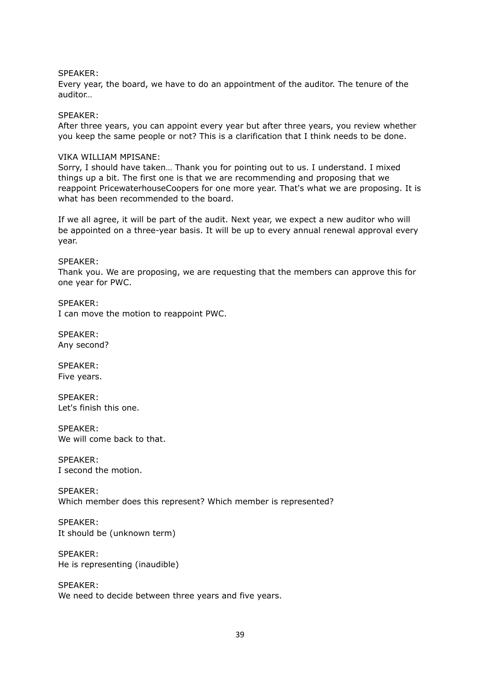## SPEAKER:

Every year, the board, we have to do an appointment of the auditor. The tenure of the auditor…

#### SPEAKER:

After three years, you can appoint every year but after three years, you review whether you keep the same people or not? This is a clarification that I think needs to be done.

#### VIKA WILLIAM MPISANE:

Sorry, I should have taken… Thank you for pointing out to us. I understand. I mixed things up a bit. The first one is that we are recommending and proposing that we reappoint PricewaterhouseCoopers for one more year. That's what we are proposing. It is what has been recommended to the board.

If we all agree, it will be part of the audit. Next year, we expect a new auditor who will be appointed on a three-year basis. It will be up to every annual renewal approval every year.

#### SPEAKER:

Thank you. We are proposing, we are requesting that the members can approve this for one year for PWC.

SPEAKER: I can move the motion to reappoint PWC.

SPEAKER: Any second?

SPEAKER: Five years.

SPEAKER: Let's finish this one.

SPEAKER: We will come back to that.

SPEAKER: I second the motion.

SPEAKER: Which member does this represent? Which member is represented?

SPEAKER: It should be (unknown term)

SPEAKER: He is representing (inaudible)

SPEAKER: We need to decide between three years and five years.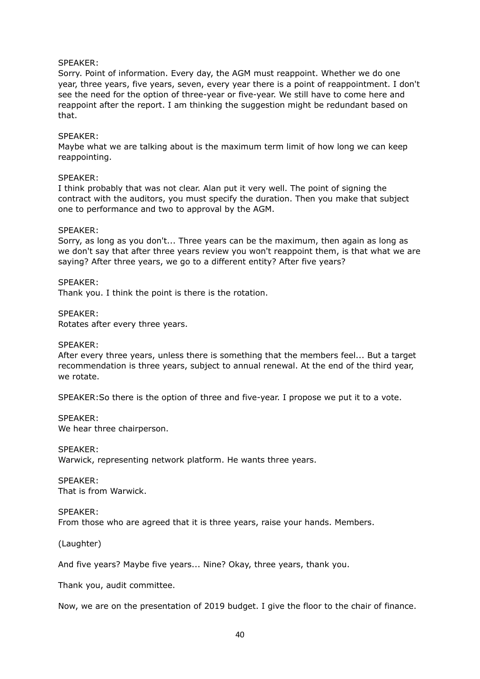## SPEAKER:

Sorry. Point of information. Every day, the AGM must reappoint. Whether we do one year, three years, five years, seven, every year there is a point of reappointment. I don't see the need for the option of three-year or five-year. We still have to come here and reappoint after the report. I am thinking the suggestion might be redundant based on that.

## SPEAKER:

Maybe what we are talking about is the maximum term limit of how long we can keep reappointing.

#### SPEAKER:

I think probably that was not clear. Alan put it very well. The point of signing the contract with the auditors, you must specify the duration. Then you make that subject one to performance and two to approval by the AGM.

#### SPEAKER:

Sorry, as long as you don't... Three years can be the maximum, then again as long as we don't say that after three years review you won't reappoint them, is that what we are saying? After three years, we go to a different entity? After five years?

# SPEAKER:

Thank you. I think the point is there is the rotation.

SPEAKER: Rotates after every three years.

## SPEAKER:

After every three years, unless there is something that the members feel... But a target recommendation is three years, subject to annual renewal. At the end of the third year, we rotate.

SPEAKER:So there is the option of three and five-year. I propose we put it to a vote.

SPEAKER: We hear three chairperson.

SPEAKER: Warwick, representing network platform. He wants three years.

SPEAKER: That is from Warwick.

SPEAKER: From those who are agreed that it is three years, raise your hands. Members.

(Laughter)

And five years? Maybe five years... Nine? Okay, three years, thank you.

Thank you, audit committee.

Now, we are on the presentation of 2019 budget. I give the floor to the chair of finance.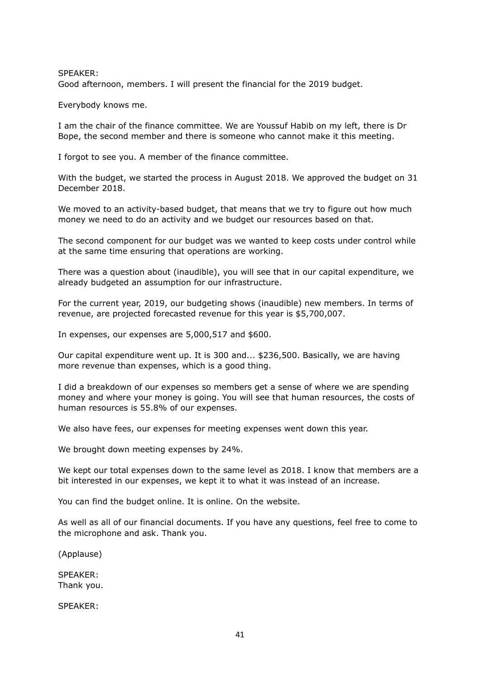SPEAKER: Good afternoon, members. I will present the financial for the 2019 budget.

Everybody knows me.

I am the chair of the finance committee. We are Youssuf Habib on my left, there is Dr Bope, the second member and there is someone who cannot make it this meeting.

I forgot to see you. A member of the finance committee.

With the budget, we started the process in August 2018. We approved the budget on 31 December 2018.

We moved to an activity-based budget, that means that we try to figure out how much money we need to do an activity and we budget our resources based on that.

The second component for our budget was we wanted to keep costs under control while at the same time ensuring that operations are working.

There was a question about (inaudible), you will see that in our capital expenditure, we already budgeted an assumption for our infrastructure.

For the current year, 2019, our budgeting shows (inaudible) new members. In terms of revenue, are projected forecasted revenue for this year is \$5,700,007.

In expenses, our expenses are 5,000,517 and \$600.

Our capital expenditure went up. It is 300 and... \$236,500. Basically, we are having more revenue than expenses, which is a good thing.

I did a breakdown of our expenses so members get a sense of where we are spending money and where your money is going. You will see that human resources, the costs of human resources is 55.8% of our expenses.

We also have fees, our expenses for meeting expenses went down this year.

We brought down meeting expenses by 24%.

We kept our total expenses down to the same level as 2018. I know that members are a bit interested in our expenses, we kept it to what it was instead of an increase.

You can find the budget online. It is online. On the website.

As well as all of our financial documents. If you have any questions, feel free to come to the microphone and ask. Thank you.

(Applause)

SPEAKER: Thank you.

SPEAKER: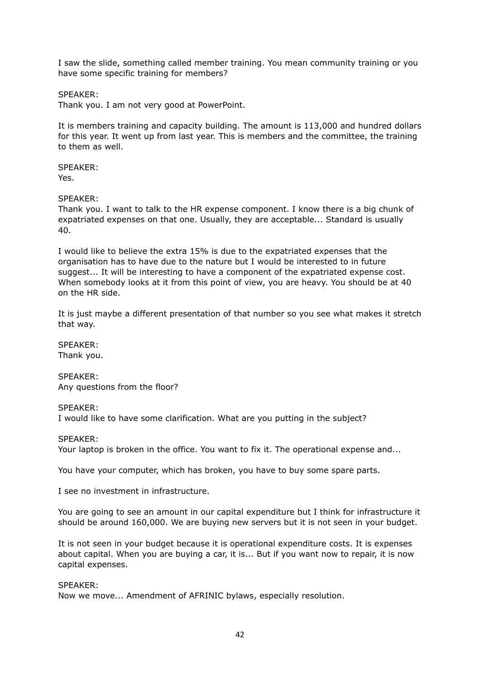I saw the slide, something called member training. You mean community training or you have some specific training for members?

## SPEAKER:

Thank you. I am not very good at PowerPoint.

It is members training and capacity building. The amount is 113,000 and hundred dollars for this year. It went up from last year. This is members and the committee, the training to them as well.

SPEAKER: Yes.

SPEAKER:

Thank you. I want to talk to the HR expense component. I know there is a big chunk of expatriated expenses on that one. Usually, they are acceptable... Standard is usually 40.

I would like to believe the extra 15% is due to the expatriated expenses that the organisation has to have due to the nature but I would be interested to in future suggest... It will be interesting to have a component of the expatriated expense cost. When somebody looks at it from this point of view, you are heavy. You should be at 40 on the HR side.

It is just maybe a different presentation of that number so you see what makes it stretch that way.

SPEAKER: Thank you.

SPEAKER: Any questions from the floor?

SPEAKER:

I would like to have some clarification. What are you putting in the subject?

SPEAKER:

Your laptop is broken in the office. You want to fix it. The operational expense and...

You have your computer, which has broken, you have to buy some spare parts.

I see no investment in infrastructure.

You are going to see an amount in our capital expenditure but I think for infrastructure it should be around 160,000. We are buying new servers but it is not seen in your budget.

It is not seen in your budget because it is operational expenditure costs. It is expenses about capital. When you are buying a car, it is... But if you want now to repair, it is now capital expenses.

#### SPEAKER:

Now we move... Amendment of AFRINIC bylaws, especially resolution.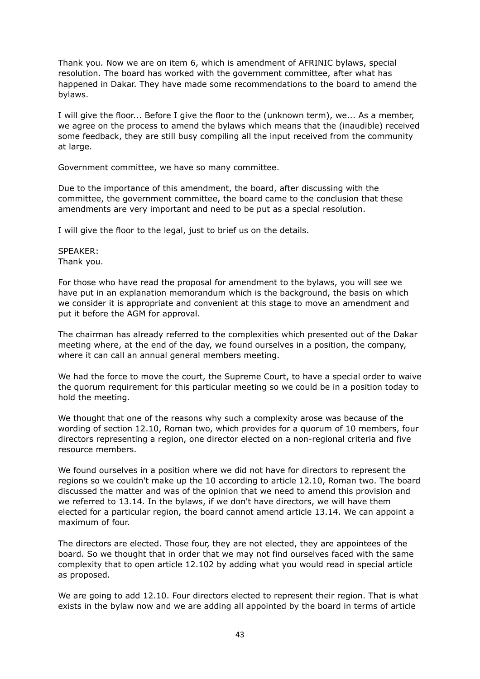Thank you. Now we are on item 6, which is amendment of AFRINIC bylaws, special resolution. The board has worked with the government committee, after what has happened in Dakar. They have made some recommendations to the board to amend the bylaws.

I will give the floor... Before I give the floor to the (unknown term), we... As a member, we agree on the process to amend the bylaws which means that the (inaudible) received some feedback, they are still busy compiling all the input received from the community at large.

Government committee, we have so many committee.

Due to the importance of this amendment, the board, after discussing with the committee, the government committee, the board came to the conclusion that these amendments are very important and need to be put as a special resolution.

I will give the floor to the legal, just to brief us on the details.

SPEAKER: Thank you.

For those who have read the proposal for amendment to the bylaws, you will see we have put in an explanation memorandum which is the background, the basis on which we consider it is appropriate and convenient at this stage to move an amendment and put it before the AGM for approval.

The chairman has already referred to the complexities which presented out of the Dakar meeting where, at the end of the day, we found ourselves in a position, the company, where it can call an annual general members meeting.

We had the force to move the court, the Supreme Court, to have a special order to waive the quorum requirement for this particular meeting so we could be in a position today to hold the meeting.

We thought that one of the reasons why such a complexity arose was because of the wording of section 12.10, Roman two, which provides for a quorum of 10 members, four directors representing a region, one director elected on a non-regional criteria and five resource members.

We found ourselves in a position where we did not have for directors to represent the regions so we couldn't make up the 10 according to article 12.10, Roman two. The board discussed the matter and was of the opinion that we need to amend this provision and we referred to 13.14. In the bylaws, if we don't have directors, we will have them elected for a particular region, the board cannot amend article 13.14. We can appoint a maximum of four.

The directors are elected. Those four, they are not elected, they are appointees of the board. So we thought that in order that we may not find ourselves faced with the same complexity that to open article 12.102 by adding what you would read in special article as proposed.

We are going to add 12.10. Four directors elected to represent their region. That is what exists in the bylaw now and we are adding all appointed by the board in terms of article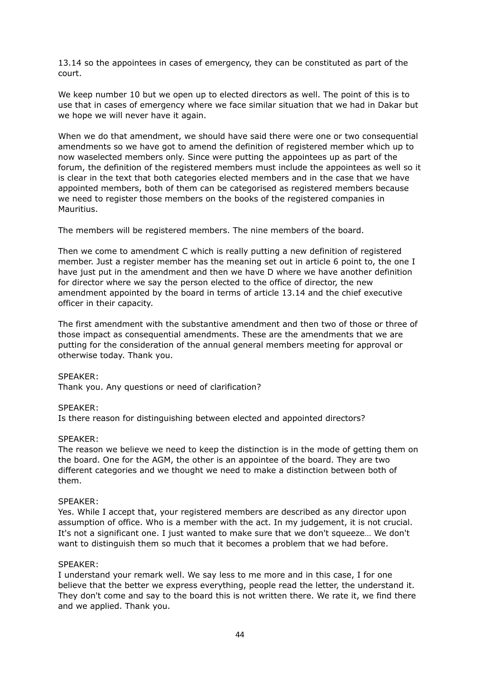13.14 so the appointees in cases of emergency, they can be constituted as part of the court.

We keep number 10 but we open up to elected directors as well. The point of this is to use that in cases of emergency where we face similar situation that we had in Dakar but we hope we will never have it again.

When we do that amendment, we should have said there were one or two consequential amendments so we have got to amend the definition of registered member which up to now waselected members only. Since were putting the appointees up as part of the forum, the definition of the registered members must include the appointees as well so it is clear in the text that both categories elected members and in the case that we have appointed members, both of them can be categorised as registered members because we need to register those members on the books of the registered companies in Mauritius.

The members will be registered members. The nine members of the board.

Then we come to amendment C which is really putting a new definition of registered member. Just a register member has the meaning set out in article 6 point to, the one I have just put in the amendment and then we have D where we have another definition for director where we say the person elected to the office of director, the new amendment appointed by the board in terms of article 13.14 and the chief executive officer in their capacity.

The first amendment with the substantive amendment and then two of those or three of those impact as consequential amendments. These are the amendments that we are putting for the consideration of the annual general members meeting for approval or otherwise today. Thank you.

## SPEAKER:

Thank you. Any questions or need of clarification?

## SPEAKER:

Is there reason for distinguishing between elected and appointed directors?

## SPEAKER:

The reason we believe we need to keep the distinction is in the mode of getting them on the board. One for the AGM, the other is an appointee of the board. They are two different categories and we thought we need to make a distinction between both of them.

## SPEAKER:

Yes. While I accept that, your registered members are described as any director upon assumption of office. Who is a member with the act. In my judgement, it is not crucial. It's not a significant one. I just wanted to make sure that we don't squeeze… We don't want to distinguish them so much that it becomes a problem that we had before.

## SPEAKER:

I understand your remark well. We say less to me more and in this case, I for one believe that the better we express everything, people read the letter, the understand it. They don't come and say to the board this is not written there. We rate it, we find there and we applied. Thank you.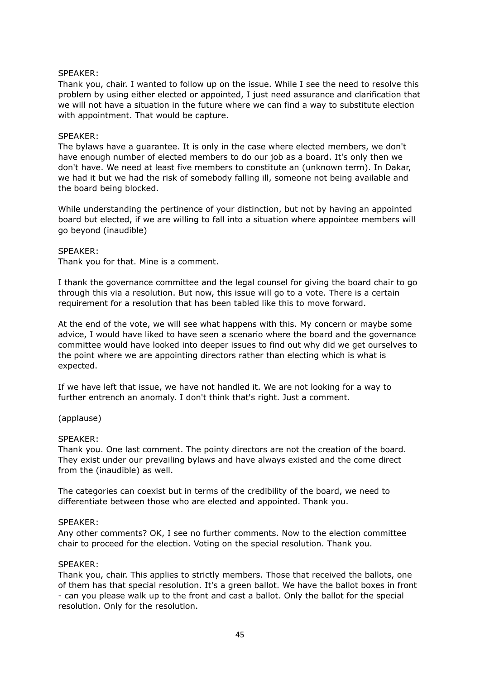## SPEAKER:

Thank you, chair. I wanted to follow up on the issue. While I see the need to resolve this problem by using either elected or appointed, I just need assurance and clarification that we will not have a situation in the future where we can find a way to substitute election with appointment. That would be capture.

## SPEAKER:

The bylaws have a guarantee. It is only in the case where elected members, we don't have enough number of elected members to do our job as a board. It's only then we don't have. We need at least five members to constitute an (unknown term). In Dakar, we had it but we had the risk of somebody falling ill, someone not being available and the board being blocked.

While understanding the pertinence of your distinction, but not by having an appointed board but elected, if we are willing to fall into a situation where appointee members will go beyond (inaudible)

## SPEAKER:

Thank you for that. Mine is a comment.

I thank the governance committee and the legal counsel for giving the board chair to go through this via a resolution. But now, this issue will go to a vote. There is a certain requirement for a resolution that has been tabled like this to move forward.

At the end of the vote, we will see what happens with this. My concern or maybe some advice, I would have liked to have seen a scenario where the board and the governance committee would have looked into deeper issues to find out why did we get ourselves to the point where we are appointing directors rather than electing which is what is expected.

If we have left that issue, we have not handled it. We are not looking for a way to further entrench an anomaly. I don't think that's right. Just a comment.

# (applause)

## SPEAKER:

Thank you. One last comment. The pointy directors are not the creation of the board. They exist under our prevailing bylaws and have always existed and the come direct from the (inaudible) as well.

The categories can coexist but in terms of the credibility of the board, we need to differentiate between those who are elected and appointed. Thank you.

## SPEAKER:

Any other comments? OK, I see no further comments. Now to the election committee chair to proceed for the election. Voting on the special resolution. Thank you.

## SPEAKER:

Thank you, chair. This applies to strictly members. Those that received the ballots, one of them has that special resolution. It's a green ballot. We have the ballot boxes in front - can you please walk up to the front and cast a ballot. Only the ballot for the special resolution. Only for the resolution.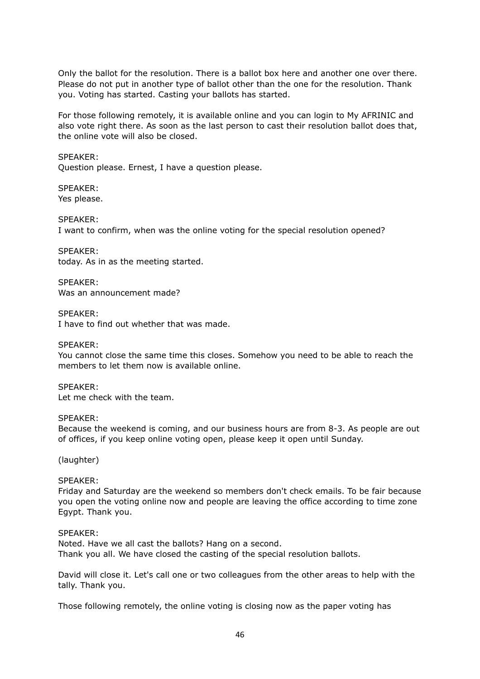Only the ballot for the resolution. There is a ballot box here and another one over there. Please do not put in another type of ballot other than the one for the resolution. Thank you. Voting has started. Casting your ballots has started.

For those following remotely, it is available online and you can login to My AFRINIC and also vote right there. As soon as the last person to cast their resolution ballot does that, the online vote will also be closed.

SPEAKER: Question please. Ernest, I have a question please.

SPEAKER: Yes please.

SPEAKER: I want to confirm, when was the online voting for the special resolution opened?

SPEAKER: today. As in as the meeting started.

SPEAKER: Was an announcement made?

SPEAKER: I have to find out whether that was made.

SPEAKER:

You cannot close the same time this closes. Somehow you need to be able to reach the members to let them now is available online.

SPEAKER: Let me check with the team.

## SPEAKER:

Because the weekend is coming, and our business hours are from 8-3. As people are out of offices, if you keep online voting open, please keep it open until Sunday.

(laughter)

# SPEAKER:

Friday and Saturday are the weekend so members don't check emails. To be fair because you open the voting online now and people are leaving the office according to time zone Egypt. Thank you.

## SPEAKER:

Noted. Have we all cast the ballots? Hang on a second. Thank you all. We have closed the casting of the special resolution ballots.

David will close it. Let's call one or two colleagues from the other areas to help with the tally. Thank you.

Those following remotely, the online voting is closing now as the paper voting has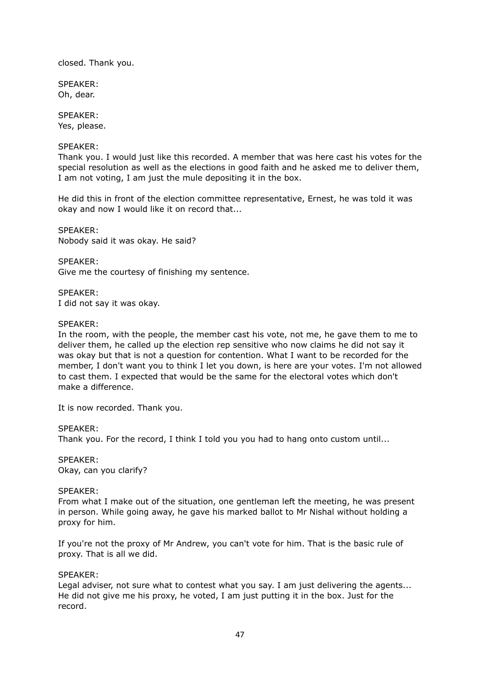closed. Thank you.

SPEAKER: Oh, dear.

SPEAKER: Yes, please.

# SPEAKER:

Thank you. I would just like this recorded. A member that was here cast his votes for the special resolution as well as the elections in good faith and he asked me to deliver them, I am not voting, I am just the mule depositing it in the box.

He did this in front of the election committee representative, Ernest, he was told it was okay and now I would like it on record that...

SPEAKER: Nobody said it was okay. He said?

SPEAKER: Give me the courtesy of finishing my sentence.

SPEAKER: I did not say it was okay.

## SPEAKER:

In the room, with the people, the member cast his vote, not me, he gave them to me to deliver them, he called up the election rep sensitive who now claims he did not say it was okay but that is not a question for contention. What I want to be recorded for the member, I don't want you to think I let you down, is here are your votes. I'm not allowed to cast them. I expected that would be the same for the electoral votes which don't make a difference.

It is now recorded. Thank you.

SPEAKER:

Thank you. For the record, I think I told you you had to hang onto custom until...

SPEAKER: Okay, can you clarify?

## SPEAKER:

From what I make out of the situation, one gentleman left the meeting, he was present in person. While going away, he gave his marked ballot to Mr Nishal without holding a proxy for him.

If you're not the proxy of Mr Andrew, you can't vote for him. That is the basic rule of proxy. That is all we did.

## SPEAKER:

Legal adviser, not sure what to contest what you say. I am just delivering the agents... He did not give me his proxy, he voted, I am just putting it in the box. Just for the record.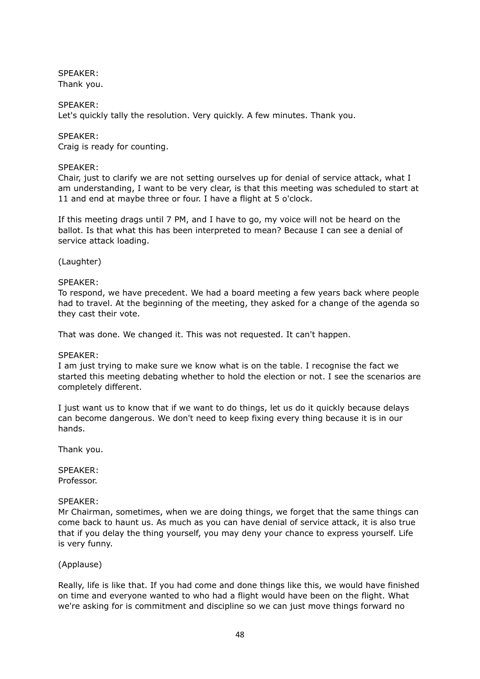# SPEAKER:

Thank you.

# SPEAKER:

Let's quickly tally the resolution. Very quickly. A few minutes. Thank you.

# SPEAKER:

Craig is ready for counting.

# SPEAKER:

Chair, just to clarify we are not setting ourselves up for denial of service attack, what I am understanding, I want to be very clear, is that this meeting was scheduled to start at 11 and end at maybe three or four. I have a flight at 5 o'clock.

If this meeting drags until 7 PM, and I have to go, my voice will not be heard on the ballot. Is that what this has been interpreted to mean? Because I can see a denial of service attack loading.

# (Laughter)

# SPEAKER:

To respond, we have precedent. We had a board meeting a few years back where people had to travel. At the beginning of the meeting, they asked for a change of the agenda so they cast their vote.

That was done. We changed it. This was not requested. It can't happen.

# SPEAKER:

I am just trying to make sure we know what is on the table. I recognise the fact we started this meeting debating whether to hold the election or not. I see the scenarios are completely different.

I just want us to know that if we want to do things, let us do it quickly because delays can become dangerous. We don't need to keep fixing every thing because it is in our hands.

Thank you.

SPEAKER: Professor.

## SPEAKER:

Mr Chairman, sometimes, when we are doing things, we forget that the same things can come back to haunt us. As much as you can have denial of service attack, it is also true that if you delay the thing yourself, you may deny your chance to express yourself. Life is very funny.

# (Applause)

Really, life is like that. If you had come and done things like this, we would have finished on time and everyone wanted to who had a flight would have been on the flight. What we're asking for is commitment and discipline so we can just move things forward no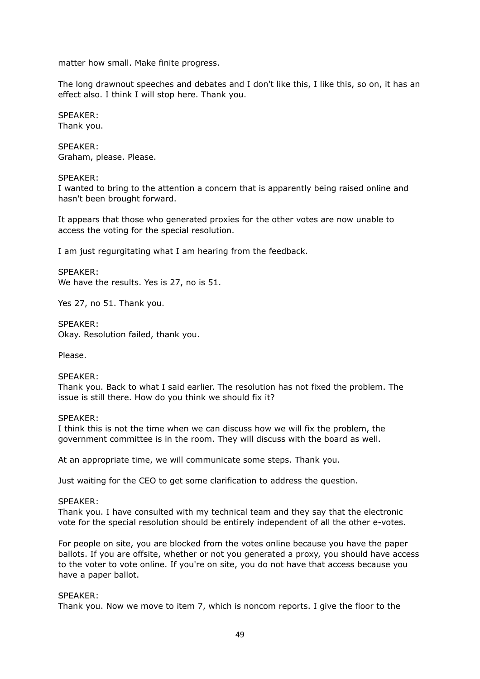matter how small. Make finite progress.

The long drawnout speeches and debates and I don't like this, I like this, so on, it has an effect also. I think I will stop here. Thank you.

SPEAKER: Thank you.

SPEAKER: Graham, please. Please.

#### SPEAKER:

I wanted to bring to the attention a concern that is apparently being raised online and hasn't been brought forward.

It appears that those who generated proxies for the other votes are now unable to access the voting for the special resolution.

I am just regurgitating what I am hearing from the feedback.

SPEAKER: We have the results. Yes is 27, no is 51.

Yes 27, no 51. Thank you.

SPEAKER: Okay. Resolution failed, thank you.

Please.

## SPEAKER:

Thank you. Back to what I said earlier. The resolution has not fixed the problem. The issue is still there. How do you think we should fix it?

#### SPEAKER:

I think this is not the time when we can discuss how we will fix the problem, the government committee is in the room. They will discuss with the board as well.

At an appropriate time, we will communicate some steps. Thank you.

Just waiting for the CEO to get some clarification to address the question.

#### SPEAKER:

Thank you. I have consulted with my technical team and they say that the electronic vote for the special resolution should be entirely independent of all the other e-votes.

For people on site, you are blocked from the votes online because you have the paper ballots. If you are offsite, whether or not you generated a proxy, you should have access to the voter to vote online. If you're on site, you do not have that access because you have a paper ballot.

## SPEAKER:

Thank you. Now we move to item 7, which is noncom reports. I give the floor to the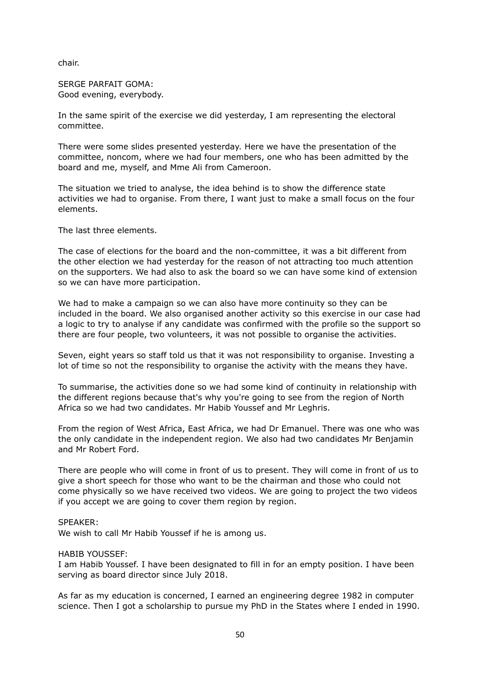chair.

SERGE PARFAIT GOMA: Good evening, everybody.

In the same spirit of the exercise we did yesterday, I am representing the electoral committee.

There were some slides presented yesterday. Here we have the presentation of the committee, noncom, where we had four members, one who has been admitted by the board and me, myself, and Mme Ali from Cameroon.

The situation we tried to analyse, the idea behind is to show the difference state activities we had to organise. From there, I want just to make a small focus on the four elements.

The last three elements.

The case of elections for the board and the non-committee, it was a bit different from the other election we had yesterday for the reason of not attracting too much attention on the supporters. We had also to ask the board so we can have some kind of extension so we can have more participation.

We had to make a campaign so we can also have more continuity so they can be included in the board. We also organised another activity so this exercise in our case had a logic to try to analyse if any candidate was confirmed with the profile so the support so there are four people, two volunteers, it was not possible to organise the activities.

Seven, eight years so staff told us that it was not responsibility to organise. Investing a lot of time so not the responsibility to organise the activity with the means they have.

To summarise, the activities done so we had some kind of continuity in relationship with the different regions because that's why you're going to see from the region of North Africa so we had two candidates. Mr Habib Youssef and Mr Leghris.

From the region of West Africa, East Africa, we had Dr Emanuel. There was one who was the only candidate in the independent region. We also had two candidates Mr Benjamin and Mr Robert Ford.

There are people who will come in front of us to present. They will come in front of us to give a short speech for those who want to be the chairman and those who could not come physically so we have received two videos. We are going to project the two videos if you accept we are going to cover them region by region.

## SPEAKER:

We wish to call Mr Habib Youssef if he is among us.

#### HABIB YOUSSEF:

I am Habib Youssef. I have been designated to fill in for an empty position. I have been serving as board director since July 2018.

As far as my education is concerned, I earned an engineering degree 1982 in computer science. Then I got a scholarship to pursue my PhD in the States where I ended in 1990.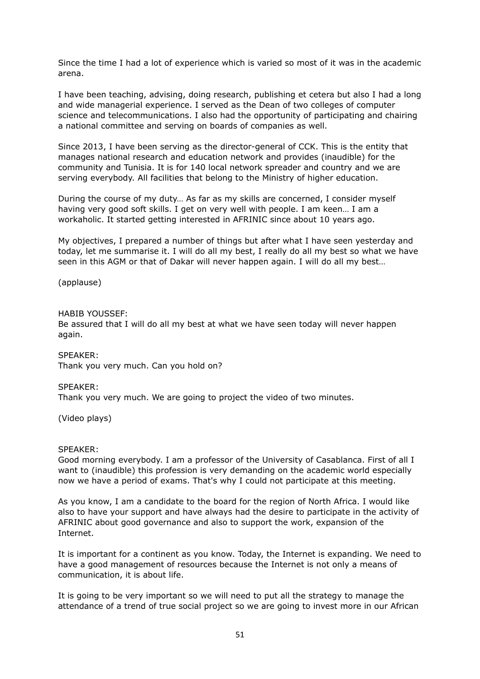Since the time I had a lot of experience which is varied so most of it was in the academic arena.

I have been teaching, advising, doing research, publishing et cetera but also I had a long and wide managerial experience. I served as the Dean of two colleges of computer science and telecommunications. I also had the opportunity of participating and chairing a national committee and serving on boards of companies as well.

Since 2013, I have been serving as the director-general of CCK. This is the entity that manages national research and education network and provides (inaudible) for the community and Tunisia. It is for 140 local network spreader and country and we are serving everybody. All facilities that belong to the Ministry of higher education.

During the course of my duty… As far as my skills are concerned, I consider myself having very good soft skills. I get on very well with people. I am keen… I am a workaholic. It started getting interested in AFRINIC since about 10 years ago.

My objectives, I prepared a number of things but after what I have seen yesterday and today, let me summarise it. I will do all my best, I really do all my best so what we have seen in this AGM or that of Dakar will never happen again. I will do all my best…

(applause)

## HABIB YOUSSEF:

Be assured that I will do all my best at what we have seen today will never happen again.

SPEAKER: Thank you very much. Can you hold on?

# SPEAKER:

Thank you very much. We are going to project the video of two minutes.

(Video plays)

## SPEAKER:

Good morning everybody. I am a professor of the University of Casablanca. First of all I want to (inaudible) this profession is very demanding on the academic world especially now we have a period of exams. That's why I could not participate at this meeting.

As you know, I am a candidate to the board for the region of North Africa. I would like also to have your support and have always had the desire to participate in the activity of AFRINIC about good governance and also to support the work, expansion of the Internet.

It is important for a continent as you know. Today, the Internet is expanding. We need to have a good management of resources because the Internet is not only a means of communication, it is about life.

It is going to be very important so we will need to put all the strategy to manage the attendance of a trend of true social project so we are going to invest more in our African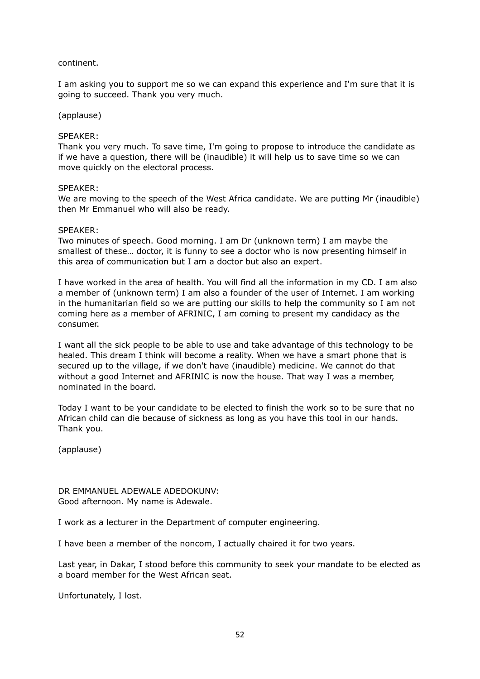# continent.

I am asking you to support me so we can expand this experience and I'm sure that it is going to succeed. Thank you very much.

## (applause)

## SPEAKER:

Thank you very much. To save time, I'm going to propose to introduce the candidate as if we have a question, there will be (inaudible) it will help us to save time so we can move quickly on the electoral process.

#### SPEAKER:

We are moving to the speech of the West Africa candidate. We are putting Mr (inaudible) then Mr Emmanuel who will also be ready.

#### SPEAKER:

Two minutes of speech. Good morning. I am Dr (unknown term) I am maybe the smallest of these… doctor, it is funny to see a doctor who is now presenting himself in this area of communication but I am a doctor but also an expert.

I have worked in the area of health. You will find all the information in my CD. I am also a member of (unknown term) I am also a founder of the user of Internet. I am working in the humanitarian field so we are putting our skills to help the community so I am not coming here as a member of AFRINIC, I am coming to present my candidacy as the consumer.

I want all the sick people to be able to use and take advantage of this technology to be healed. This dream I think will become a reality. When we have a smart phone that is secured up to the village, if we don't have (inaudible) medicine. We cannot do that without a good Internet and AFRINIC is now the house. That way I was a member, nominated in the board.

Today I want to be your candidate to be elected to finish the work so to be sure that no African child can die because of sickness as long as you have this tool in our hands. Thank you.

(applause)

## DR EMMANUEL ADEWALE ADEDOKUNV: Good afternoon. My name is Adewale.

I work as a lecturer in the Department of computer engineering.

I have been a member of the noncom, I actually chaired it for two years.

Last year, in Dakar, I stood before this community to seek your mandate to be elected as a board member for the West African seat.

Unfortunately, I lost.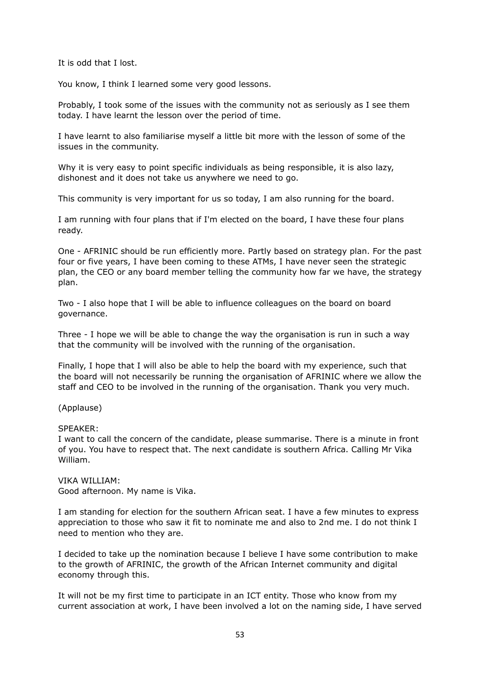It is odd that I lost.

You know, I think I learned some very good lessons.

Probably, I took some of the issues with the community not as seriously as I see them today. I have learnt the lesson over the period of time.

I have learnt to also familiarise myself a little bit more with the lesson of some of the issues in the community.

Why it is very easy to point specific individuals as being responsible, it is also lazy, dishonest and it does not take us anywhere we need to go.

This community is very important for us so today, I am also running for the board.

I am running with four plans that if I'm elected on the board, I have these four plans ready.

One - AFRINIC should be run efficiently more. Partly based on strategy plan. For the past four or five years, I have been coming to these ATMs, I have never seen the strategic plan, the CEO or any board member telling the community how far we have, the strategy plan.

Two - I also hope that I will be able to influence colleagues on the board on board governance.

Three - I hope we will be able to change the way the organisation is run in such a way that the community will be involved with the running of the organisation.

Finally, I hope that I will also be able to help the board with my experience, such that the board will not necessarily be running the organisation of AFRINIC where we allow the staff and CEO to be involved in the running of the organisation. Thank you very much.

# (Applause)

SPEAKER:

I want to call the concern of the candidate, please summarise. There is a minute in front of you. You have to respect that. The next candidate is southern Africa. Calling Mr Vika William.

VIKA WILLIAM: Good afternoon. My name is Vika.

I am standing for election for the southern African seat. I have a few minutes to express appreciation to those who saw it fit to nominate me and also to 2nd me. I do not think I need to mention who they are.

I decided to take up the nomination because I believe I have some contribution to make to the growth of AFRINIC, the growth of the African Internet community and digital economy through this.

It will not be my first time to participate in an ICT entity. Those who know from my current association at work, I have been involved a lot on the naming side, I have served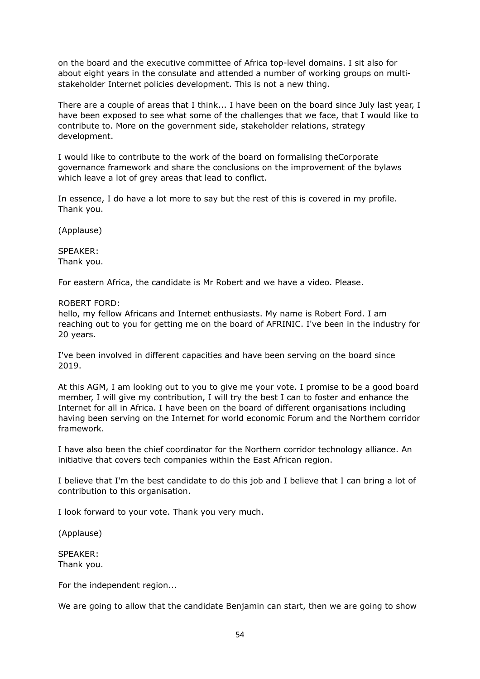on the board and the executive committee of Africa top-level domains. I sit also for about eight years in the consulate and attended a number of working groups on multistakeholder Internet policies development. This is not a new thing.

There are a couple of areas that I think... I have been on the board since July last year, I have been exposed to see what some of the challenges that we face, that I would like to contribute to. More on the government side, stakeholder relations, strategy development.

I would like to contribute to the work of the board on formalising theCorporate governance framework and share the conclusions on the improvement of the bylaws which leave a lot of grey areas that lead to conflict.

In essence, I do have a lot more to say but the rest of this is covered in my profile. Thank you.

(Applause)

SPEAKER: Thank you.

For eastern Africa, the candidate is Mr Robert and we have a video. Please.

ROBERT FORD:

hello, my fellow Africans and Internet enthusiasts. My name is Robert Ford. I am reaching out to you for getting me on the board of AFRINIC. I've been in the industry for 20 years.

I've been involved in different capacities and have been serving on the board since 2019.

At this AGM, I am looking out to you to give me your vote. I promise to be a good board member, I will give my contribution, I will try the best I can to foster and enhance the Internet for all in Africa. I have been on the board of different organisations including having been serving on the Internet for world economic Forum and the Northern corridor framework.

I have also been the chief coordinator for the Northern corridor technology alliance. An initiative that covers tech companies within the East African region.

I believe that I'm the best candidate to do this job and I believe that I can bring a lot of contribution to this organisation.

I look forward to your vote. Thank you very much.

(Applause)

SPEAKER: Thank you.

For the independent region...

We are going to allow that the candidate Benjamin can start, then we are going to show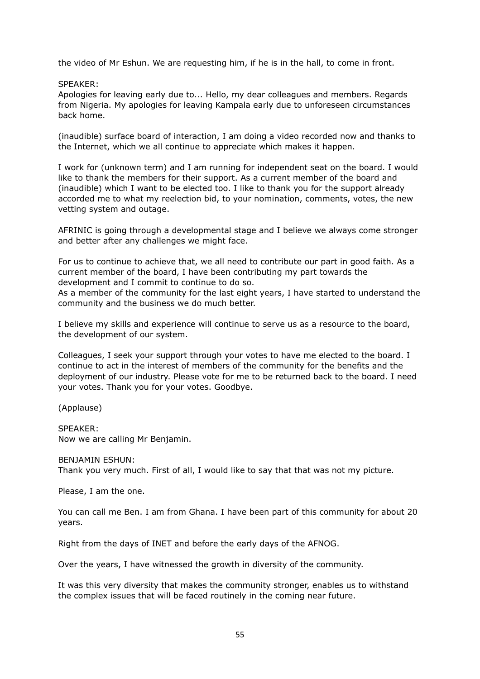the video of Mr Eshun. We are requesting him, if he is in the hall, to come in front.

SPEAKER:

Apologies for leaving early due to... Hello, my dear colleagues and members. Regards from Nigeria. My apologies for leaving Kampala early due to unforeseen circumstances back home.

(inaudible) surface board of interaction, I am doing a video recorded now and thanks to the Internet, which we all continue to appreciate which makes it happen.

I work for (unknown term) and I am running for independent seat on the board. I would like to thank the members for their support. As a current member of the board and (inaudible) which I want to be elected too. I like to thank you for the support already accorded me to what my reelection bid, to your nomination, comments, votes, the new vetting system and outage.

AFRINIC is going through a developmental stage and I believe we always come stronger and better after any challenges we might face.

For us to continue to achieve that, we all need to contribute our part in good faith. As a current member of the board, I have been contributing my part towards the development and I commit to continue to do so.

As a member of the community for the last eight years, I have started to understand the community and the business we do much better.

I believe my skills and experience will continue to serve us as a resource to the board, the development of our system.

Colleagues, I seek your support through your votes to have me elected to the board. I continue to act in the interest of members of the community for the benefits and the deployment of our industry. Please vote for me to be returned back to the board. I need your votes. Thank you for your votes. Goodbye.

(Applause)

SPEAKER: Now we are calling Mr Benjamin.

BENJAMIN ESHUN:

Thank you very much. First of all, I would like to say that that was not my picture.

Please, I am the one.

You can call me Ben. I am from Ghana. I have been part of this community for about 20 years.

Right from the days of INET and before the early days of the AFNOG.

Over the years, I have witnessed the growth in diversity of the community.

It was this very diversity that makes the community stronger, enables us to withstand the complex issues that will be faced routinely in the coming near future.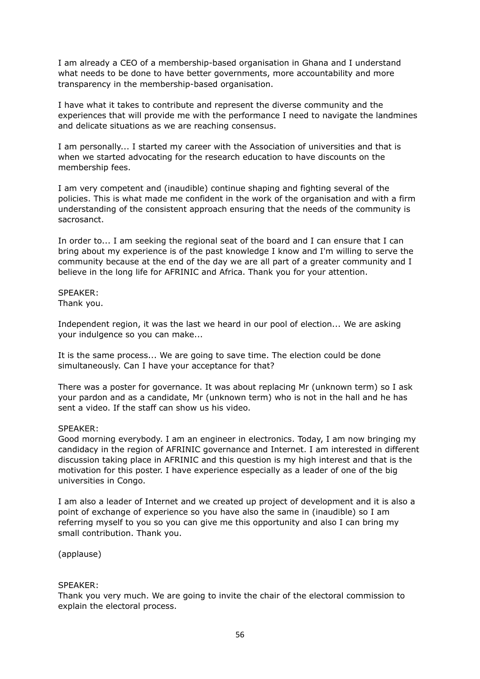I am already a CEO of a membership-based organisation in Ghana and I understand what needs to be done to have better governments, more accountability and more transparency in the membership-based organisation.

I have what it takes to contribute and represent the diverse community and the experiences that will provide me with the performance I need to navigate the landmines and delicate situations as we are reaching consensus.

I am personally... I started my career with the Association of universities and that is when we started advocating for the research education to have discounts on the membership fees.

I am very competent and (inaudible) continue shaping and fighting several of the policies. This is what made me confident in the work of the organisation and with a firm understanding of the consistent approach ensuring that the needs of the community is sacrosanct.

In order to... I am seeking the regional seat of the board and I can ensure that I can bring about my experience is of the past knowledge I know and I'm willing to serve the community because at the end of the day we are all part of a greater community and I believe in the long life for AFRINIC and Africa. Thank you for your attention.

SPEAKER: Thank you.

Independent region, it was the last we heard in our pool of election... We are asking your indulgence so you can make...

It is the same process... We are going to save time. The election could be done simultaneously. Can I have your acceptance for that?

There was a poster for governance. It was about replacing Mr (unknown term) so I ask your pardon and as a candidate, Mr (unknown term) who is not in the hall and he has sent a video. If the staff can show us his video.

## SPEAKER:

Good morning everybody. I am an engineer in electronics. Today, I am now bringing my candidacy in the region of AFRINIC governance and Internet. I am interested in different discussion taking place in AFRINIC and this question is my high interest and that is the motivation for this poster. I have experience especially as a leader of one of the big universities in Congo.

I am also a leader of Internet and we created up project of development and it is also a point of exchange of experience so you have also the same in (inaudible) so I am referring myself to you so you can give me this opportunity and also I can bring my small contribution. Thank you.

(applause)

## SPEAKER:

Thank you very much. We are going to invite the chair of the electoral commission to explain the electoral process.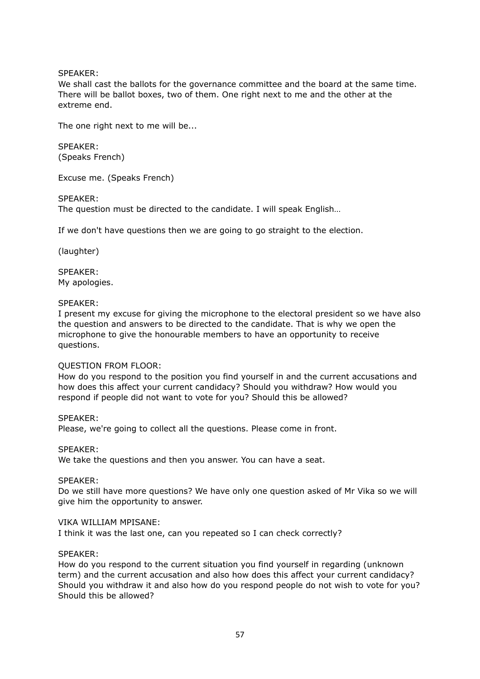# SPEAKER:

We shall cast the ballots for the governance committee and the board at the same time. There will be ballot boxes, two of them. One right next to me and the other at the extreme end.

The one right next to me will be...

SPEAKER: (Speaks French)

Excuse me. (Speaks French)

SPEAKER:

The question must be directed to the candidate. I will speak English…

If we don't have questions then we are going to go straight to the election.

(laughter)

SPEAKER: My apologies.

## SPEAKER:

I present my excuse for giving the microphone to the electoral president so we have also the question and answers to be directed to the candidate. That is why we open the microphone to give the honourable members to have an opportunity to receive questions.

## QUESTION FROM FLOOR:

How do you respond to the position you find yourself in and the current accusations and how does this affect your current candidacy? Should you withdraw? How would you respond if people did not want to vote for you? Should this be allowed?

SPEAKER:

Please, we're going to collect all the questions. Please come in front.

SPEAKER:

We take the questions and then you answer. You can have a seat.

SPEAKER:

Do we still have more questions? We have only one question asked of Mr Vika so we will give him the opportunity to answer.

## VIKA WILLIAM MPISANE:

I think it was the last one, can you repeated so I can check correctly?

# SPEAKER:

How do you respond to the current situation you find yourself in regarding (unknown term) and the current accusation and also how does this affect your current candidacy? Should you withdraw it and also how do you respond people do not wish to vote for you? Should this be allowed?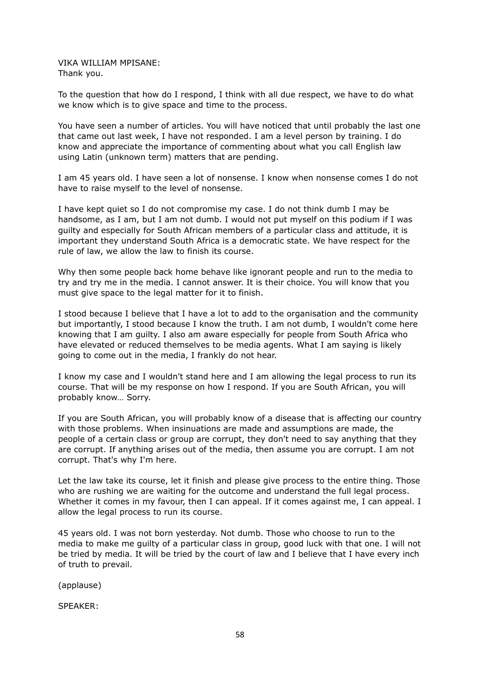VIKA WILLIAM MPISANE: Thank you.

To the question that how do I respond, I think with all due respect, we have to do what we know which is to give space and time to the process.

You have seen a number of articles. You will have noticed that until probably the last one that came out last week, I have not responded. I am a level person by training. I do know and appreciate the importance of commenting about what you call English law using Latin (unknown term) matters that are pending.

I am 45 years old. I have seen a lot of nonsense. I know when nonsense comes I do not have to raise myself to the level of nonsense.

I have kept quiet so I do not compromise my case. I do not think dumb I may be handsome, as I am, but I am not dumb. I would not put myself on this podium if I was guilty and especially for South African members of a particular class and attitude, it is important they understand South Africa is a democratic state. We have respect for the rule of law, we allow the law to finish its course.

Why then some people back home behave like ignorant people and run to the media to try and try me in the media. I cannot answer. It is their choice. You will know that you must give space to the legal matter for it to finish.

I stood because I believe that I have a lot to add to the organisation and the community but importantly, I stood because I know the truth. I am not dumb, I wouldn't come here knowing that I am guilty. I also am aware especially for people from South Africa who have elevated or reduced themselves to be media agents. What I am saying is likely going to come out in the media, I frankly do not hear.

I know my case and I wouldn't stand here and I am allowing the legal process to run its course. That will be my response on how I respond. If you are South African, you will probably know… Sorry.

If you are South African, you will probably know of a disease that is affecting our country with those problems. When insinuations are made and assumptions are made, the people of a certain class or group are corrupt, they don't need to say anything that they are corrupt. If anything arises out of the media, then assume you are corrupt. I am not corrupt. That's why I'm here.

Let the law take its course, let it finish and please give process to the entire thing. Those who are rushing we are waiting for the outcome and understand the full legal process. Whether it comes in my favour, then I can appeal. If it comes against me, I can appeal. I allow the legal process to run its course.

45 years old. I was not born yesterday. Not dumb. Those who choose to run to the media to make me guilty of a particular class in group, good luck with that one. I will not be tried by media. It will be tried by the court of law and I believe that I have every inch of truth to prevail.

(applause)

SPEAKER: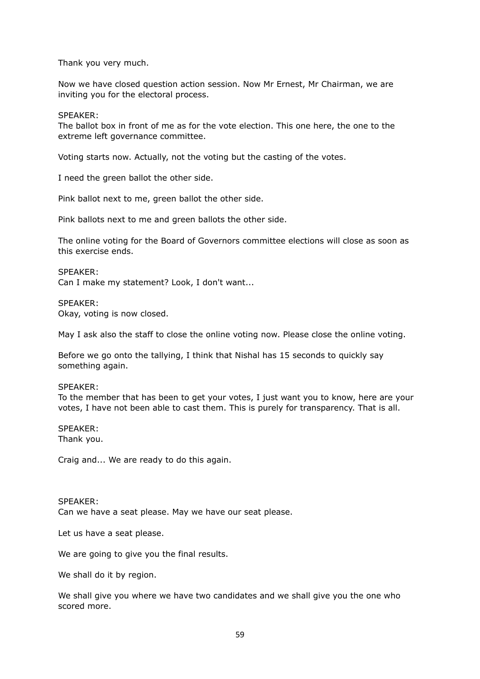Thank you very much.

Now we have closed question action session. Now Mr Ernest, Mr Chairman, we are inviting you for the electoral process.

SPEAKER:

The ballot box in front of me as for the vote election. This one here, the one to the extreme left governance committee.

Voting starts now. Actually, not the voting but the casting of the votes.

I need the green ballot the other side.

Pink ballot next to me, green ballot the other side.

Pink ballots next to me and green ballots the other side.

The online voting for the Board of Governors committee elections will close as soon as this exercise ends.

SPEAKER: Can I make my statement? Look, I don't want...

SPEAKER:

Okay, voting is now closed.

May I ask also the staff to close the online voting now. Please close the online voting.

Before we go onto the tallying, I think that Nishal has 15 seconds to quickly say something again.

## SPEAKER:

To the member that has been to get your votes, I just want you to know, here are your votes, I have not been able to cast them. This is purely for transparency. That is all.

SPEAKER:

Thank you.

Craig and... We are ready to do this again.

#### SPEAKER:

Can we have a seat please. May we have our seat please.

Let us have a seat please.

We are going to give you the final results.

We shall do it by region.

We shall give you where we have two candidates and we shall give you the one who scored more.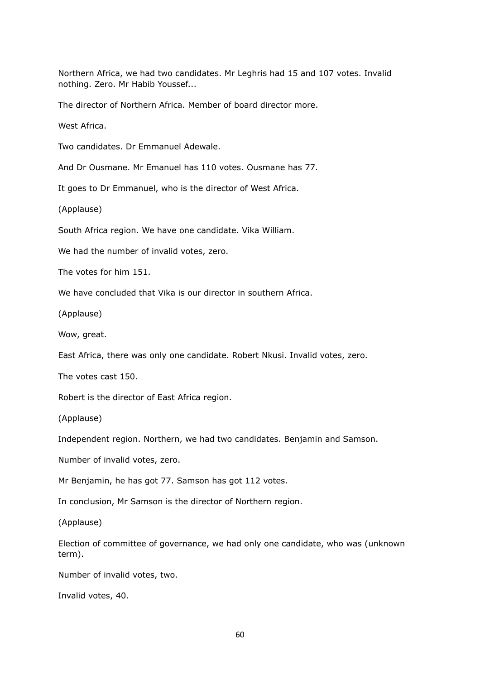Northern Africa, we had two candidates. Mr Leghris had 15 and 107 votes. Invalid nothing. Zero. Mr Habib Youssef...

The director of Northern Africa. Member of board director more.

West Africa.

Two candidates. Dr Emmanuel Adewale.

And Dr Ousmane. Mr Emanuel has 110 votes. Ousmane has 77.

It goes to Dr Emmanuel, who is the director of West Africa.

(Applause)

South Africa region. We have one candidate. Vika William.

We had the number of invalid votes, zero.

The votes for him 151.

We have concluded that Vika is our director in southern Africa.

(Applause)

Wow, great.

East Africa, there was only one candidate. Robert Nkusi. Invalid votes, zero.

The votes cast 150.

Robert is the director of East Africa region.

(Applause)

Independent region. Northern, we had two candidates. Benjamin and Samson.

Number of invalid votes, zero.

Mr Benjamin, he has got 77. Samson has got 112 votes.

In conclusion, Mr Samson is the director of Northern region.

(Applause)

Election of committee of governance, we had only one candidate, who was (unknown term).

Number of invalid votes, two.

Invalid votes, 40.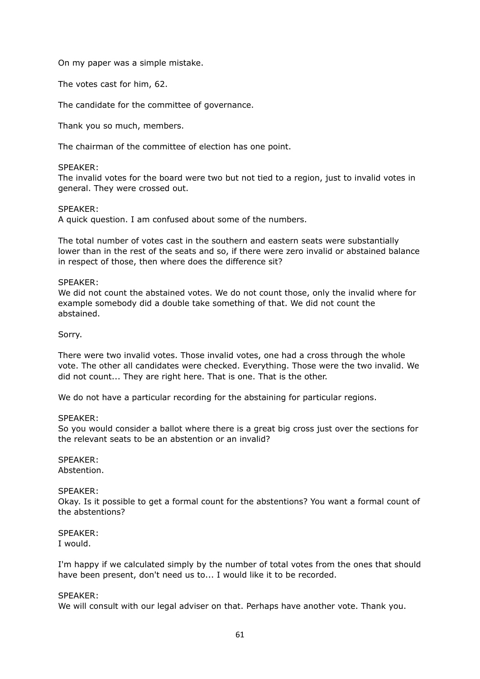On my paper was a simple mistake.

The votes cast for him, 62.

The candidate for the committee of governance.

Thank you so much, members.

The chairman of the committee of election has one point.

## SPEAKER:

The invalid votes for the board were two but not tied to a region, just to invalid votes in general. They were crossed out.

## SPEAKER:

A quick question. I am confused about some of the numbers.

The total number of votes cast in the southern and eastern seats were substantially lower than in the rest of the seats and so, if there were zero invalid or abstained balance in respect of those, then where does the difference sit?

## SPEAKER:

We did not count the abstained votes. We do not count those, only the invalid where for example somebody did a double take something of that. We did not count the abstained.

Sorry.

There were two invalid votes. Those invalid votes, one had a cross through the whole vote. The other all candidates were checked. Everything. Those were the two invalid. We did not count... They are right here. That is one. That is the other.

We do not have a particular recording for the abstaining for particular regions.

## SPEAKER:

So you would consider a ballot where there is a great big cross just over the sections for the relevant seats to be an abstention or an invalid?

# SPEAKER:

Abstention.

## SPEAKER:

Okay. Is it possible to get a formal count for the abstentions? You want a formal count of the abstentions?

#### SPEAKER: I would.

I'm happy if we calculated simply by the number of total votes from the ones that should have been present, don't need us to... I would like it to be recorded.

## SPEAKER:

We will consult with our legal adviser on that. Perhaps have another vote. Thank you.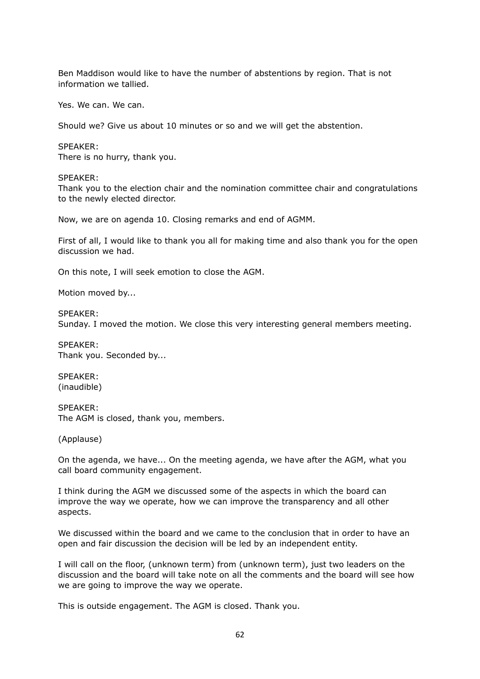Ben Maddison would like to have the number of abstentions by region. That is not information we tallied.

Yes. We can. We can.

Should we? Give us about 10 minutes or so and we will get the abstention.

#### SPEAKER:

There is no hurry, thank you.

#### SPEAKER:

Thank you to the election chair and the nomination committee chair and congratulations to the newly elected director.

Now, we are on agenda 10. Closing remarks and end of AGMM.

First of all, I would like to thank you all for making time and also thank you for the open discussion we had.

On this note, I will seek emotion to close the AGM.

Motion moved by...

SPEAKER: Sunday. I moved the motion. We close this very interesting general members meeting.

SPEAKER: Thank you. Seconded by...

SPEAKER: (inaudible)

SPEAKER: The AGM is closed, thank you, members.

(Applause)

On the agenda, we have... On the meeting agenda, we have after the AGM, what you call board community engagement.

I think during the AGM we discussed some of the aspects in which the board can improve the way we operate, how we can improve the transparency and all other aspects.

We discussed within the board and we came to the conclusion that in order to have an open and fair discussion the decision will be led by an independent entity.

I will call on the floor, (unknown term) from (unknown term), just two leaders on the discussion and the board will take note on all the comments and the board will see how we are going to improve the way we operate.

This is outside engagement. The AGM is closed. Thank you.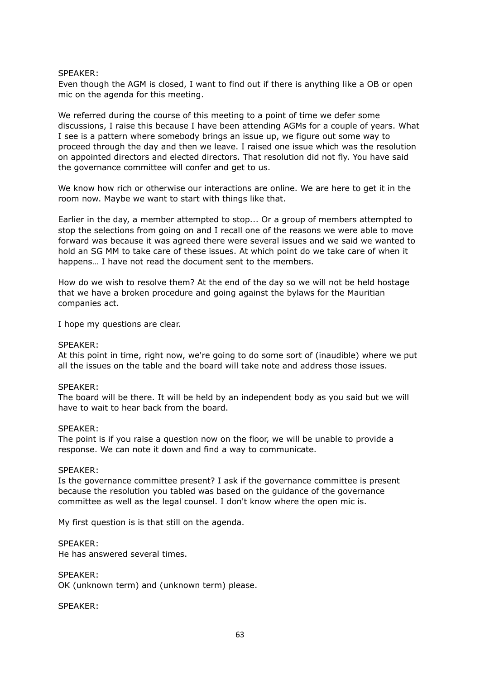## SPEAKER:

Even though the AGM is closed, I want to find out if there is anything like a OB or open mic on the agenda for this meeting.

We referred during the course of this meeting to a point of time we defer some discussions, I raise this because I have been attending AGMs for a couple of years. What I see is a pattern where somebody brings an issue up, we figure out some way to proceed through the day and then we leave. I raised one issue which was the resolution on appointed directors and elected directors. That resolution did not fly. You have said the governance committee will confer and get to us.

We know how rich or otherwise our interactions are online. We are here to get it in the room now. Maybe we want to start with things like that.

Earlier in the day, a member attempted to stop... Or a group of members attempted to stop the selections from going on and I recall one of the reasons we were able to move forward was because it was agreed there were several issues and we said we wanted to hold an SG MM to take care of these issues. At which point do we take care of when it happens… I have not read the document sent to the members.

How do we wish to resolve them? At the end of the day so we will not be held hostage that we have a broken procedure and going against the bylaws for the Mauritian companies act.

I hope my questions are clear.

#### SPEAKER:

At this point in time, right now, we're going to do some sort of (inaudible) where we put all the issues on the table and the board will take note and address those issues.

#### SPEAKER:

The board will be there. It will be held by an independent body as you said but we will have to wait to hear back from the board.

#### SPEAKER:

The point is if you raise a question now on the floor, we will be unable to provide a response. We can note it down and find a way to communicate.

#### SPEAKER:

Is the governance committee present? I ask if the governance committee is present because the resolution you tabled was based on the guidance of the governance committee as well as the legal counsel. I don't know where the open mic is.

My first question is is that still on the agenda.

SPEAKER:

He has answered several times.

SPEAKER: OK (unknown term) and (unknown term) please.

SPEAKER: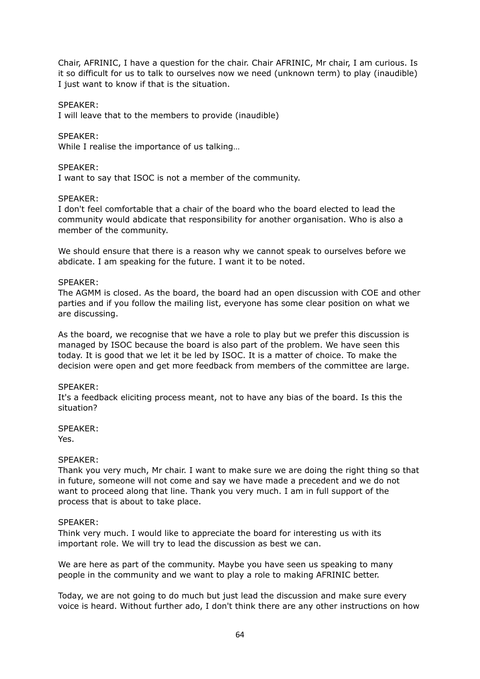Chair, AFRINIC, I have a question for the chair. Chair AFRINIC, Mr chair, I am curious. Is it so difficult for us to talk to ourselves now we need (unknown term) to play (inaudible) I just want to know if that is the situation.

# SPEAKER:

I will leave that to the members to provide (inaudible)

## SPEAKER:

While I realise the importance of us talking…

# SPEAKER:

I want to say that ISOC is not a member of the community.

# SPEAKER:

I don't feel comfortable that a chair of the board who the board elected to lead the community would abdicate that responsibility for another organisation. Who is also a member of the community.

We should ensure that there is a reason why we cannot speak to ourselves before we abdicate. I am speaking for the future. I want it to be noted.

## SPEAKER:

The AGMM is closed. As the board, the board had an open discussion with COE and other parties and if you follow the mailing list, everyone has some clear position on what we are discussing.

As the board, we recognise that we have a role to play but we prefer this discussion is managed by ISOC because the board is also part of the problem. We have seen this today. It is good that we let it be led by ISOC. It is a matter of choice. To make the decision were open and get more feedback from members of the committee are large.

## SPEAKER:

It's a feedback eliciting process meant, not to have any bias of the board. Is this the situation?

SPEAKER: Yes.

## SPEAKER:

Thank you very much, Mr chair. I want to make sure we are doing the right thing so that in future, someone will not come and say we have made a precedent and we do not want to proceed along that line. Thank you very much. I am in full support of the process that is about to take place.

## SPEAKER:

Think very much. I would like to appreciate the board for interesting us with its important role. We will try to lead the discussion as best we can.

We are here as part of the community. Maybe you have seen us speaking to many people in the community and we want to play a role to making AFRINIC better.

Today, we are not going to do much but just lead the discussion and make sure every voice is heard. Without further ado, I don't think there are any other instructions on how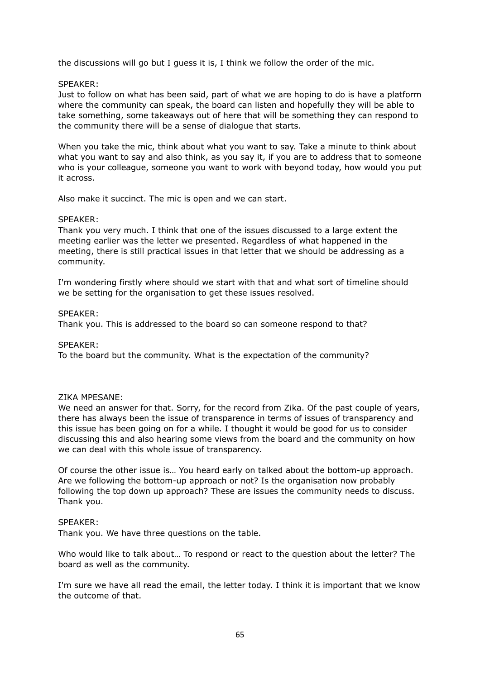the discussions will go but I guess it is, I think we follow the order of the mic.

# SPEAKER:

Just to follow on what has been said, part of what we are hoping to do is have a platform where the community can speak, the board can listen and hopefully they will be able to take something, some takeaways out of here that will be something they can respond to the community there will be a sense of dialogue that starts.

When you take the mic, think about what you want to say. Take a minute to think about what you want to say and also think, as you say it, if you are to address that to someone who is your colleague, someone you want to work with beyond today, how would you put it across.

Also make it succinct. The mic is open and we can start.

# SPEAKER:

Thank you very much. I think that one of the issues discussed to a large extent the meeting earlier was the letter we presented. Regardless of what happened in the meeting, there is still practical issues in that letter that we should be addressing as a community.

I'm wondering firstly where should we start with that and what sort of timeline should we be setting for the organisation to get these issues resolved.

# SPEAKER:

Thank you. This is addressed to the board so can someone respond to that?

## SPEAKER:

To the board but the community. What is the expectation of the community?

## ZIKA MPESANE:

We need an answer for that. Sorry, for the record from Zika. Of the past couple of years, there has always been the issue of transparence in terms of issues of transparency and this issue has been going on for a while. I thought it would be good for us to consider discussing this and also hearing some views from the board and the community on how we can deal with this whole issue of transparency.

Of course the other issue is… You heard early on talked about the bottom-up approach. Are we following the bottom-up approach or not? Is the organisation now probably following the top down up approach? These are issues the community needs to discuss. Thank you.

## SPEAKER:

Thank you. We have three questions on the table.

Who would like to talk about… To respond or react to the question about the letter? The board as well as the community.

I'm sure we have all read the email, the letter today. I think it is important that we know the outcome of that.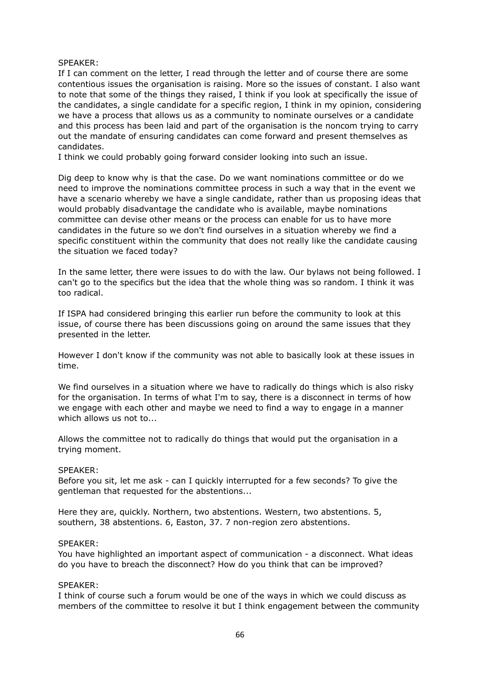## SPEAKER:

If I can comment on the letter, I read through the letter and of course there are some contentious issues the organisation is raising. More so the issues of constant. I also want to note that some of the things they raised, I think if you look at specifically the issue of the candidates, a single candidate for a specific region, I think in my opinion, considering we have a process that allows us as a community to nominate ourselves or a candidate and this process has been laid and part of the organisation is the noncom trying to carry out the mandate of ensuring candidates can come forward and present themselves as candidates.

I think we could probably going forward consider looking into such an issue.

Dig deep to know why is that the case. Do we want nominations committee or do we need to improve the nominations committee process in such a way that in the event we have a scenario whereby we have a single candidate, rather than us proposing ideas that would probably disadvantage the candidate who is available, maybe nominations committee can devise other means or the process can enable for us to have more candidates in the future so we don't find ourselves in a situation whereby we find a specific constituent within the community that does not really like the candidate causing the situation we faced today?

In the same letter, there were issues to do with the law. Our bylaws not being followed. I can't go to the specifics but the idea that the whole thing was so random. I think it was too radical.

If ISPA had considered bringing this earlier run before the community to look at this issue, of course there has been discussions going on around the same issues that they presented in the letter.

However I don't know if the community was not able to basically look at these issues in time.

We find ourselves in a situation where we have to radically do things which is also risky for the organisation. In terms of what I'm to say, there is a disconnect in terms of how we engage with each other and maybe we need to find a way to engage in a manner which allows us not to...

Allows the committee not to radically do things that would put the organisation in a trying moment.

## SPEAKER:

Before you sit, let me ask - can I quickly interrupted for a few seconds? To give the gentleman that requested for the abstentions...

Here they are, quickly. Northern, two abstentions. Western, two abstentions. 5, southern, 38 abstentions. 6, Easton, 37. 7 non-region zero abstentions.

#### SPEAKER:

You have highlighted an important aspect of communication - a disconnect. What ideas do you have to breach the disconnect? How do you think that can be improved?

## SPEAKER:

I think of course such a forum would be one of the ways in which we could discuss as members of the committee to resolve it but I think engagement between the community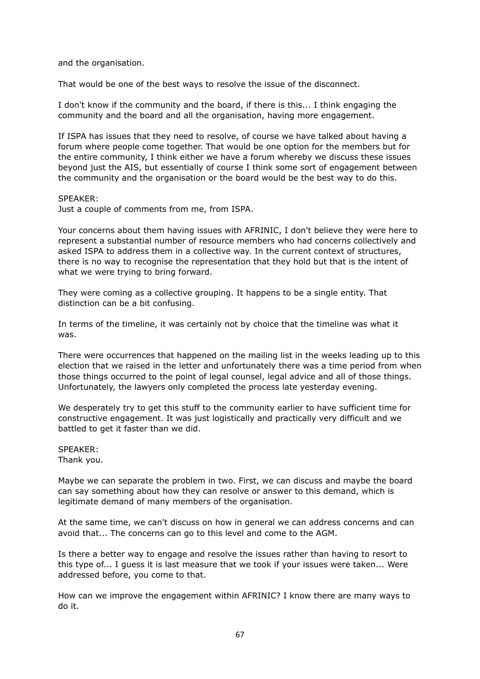and the organisation.

That would be one of the best ways to resolve the issue of the disconnect.

I don't know if the community and the board, if there is this... I think engaging the community and the board and all the organisation, having more engagement.

If ISPA has issues that they need to resolve, of course we have talked about having a forum where people come together. That would be one option for the members but for the entire community, I think either we have a forum whereby we discuss these issues beyond just the AIS, but essentially of course I think some sort of engagement between the community and the organisation or the board would be the best way to do this.

## SPEAKER:

Just a couple of comments from me, from ISPA.

Your concerns about them having issues with AFRINIC, I don't believe they were here to represent a substantial number of resource members who had concerns collectively and asked ISPA to address them in a collective way. In the current context of structures, there is no way to recognise the representation that they hold but that is the intent of what we were trying to bring forward.

They were coming as a collective grouping. It happens to be a single entity. That distinction can be a bit confusing.

In terms of the timeline, it was certainly not by choice that the timeline was what it was.

There were occurrences that happened on the mailing list in the weeks leading up to this election that we raised in the letter and unfortunately there was a time period from when those things occurred to the point of legal counsel, legal advice and all of those things. Unfortunately, the lawyers only completed the process late yesterday evening.

We desperately try to get this stuff to the community earlier to have sufficient time for constructive engagement. It was just logistically and practically very difficult and we battled to get it faster than we did.

SPEAKER: Thank you.

Maybe we can separate the problem in two. First, we can discuss and maybe the board can say something about how they can resolve or answer to this demand, which is legitimate demand of many members of the organisation.

At the same time, we can't discuss on how in general we can address concerns and can avoid that... The concerns can go to this level and come to the AGM.

Is there a better way to engage and resolve the issues rather than having to resort to this type of... I guess it is last measure that we took if your issues were taken... Were addressed before, you come to that.

How can we improve the engagement within AFRINIC? I know there are many ways to do it.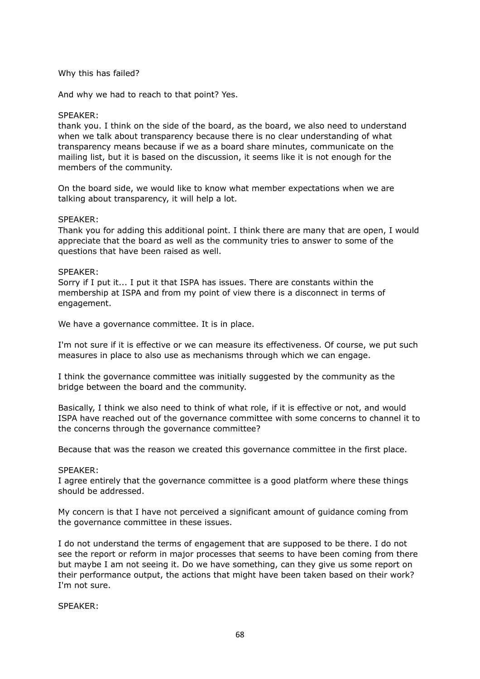# Why this has failed?

And why we had to reach to that point? Yes.

# SPEAKER:

thank you. I think on the side of the board, as the board, we also need to understand when we talk about transparency because there is no clear understanding of what transparency means because if we as a board share minutes, communicate on the mailing list, but it is based on the discussion, it seems like it is not enough for the members of the community.

On the board side, we would like to know what member expectations when we are talking about transparency, it will help a lot.

## SPEAKER:

Thank you for adding this additional point. I think there are many that are open, I would appreciate that the board as well as the community tries to answer to some of the questions that have been raised as well.

## SPEAKER:

Sorry if I put it... I put it that ISPA has issues. There are constants within the membership at ISPA and from my point of view there is a disconnect in terms of engagement.

We have a governance committee. It is in place.

I'm not sure if it is effective or we can measure its effectiveness. Of course, we put such measures in place to also use as mechanisms through which we can engage.

I think the governance committee was initially suggested by the community as the bridge between the board and the community.

Basically, I think we also need to think of what role, if it is effective or not, and would ISPA have reached out of the governance committee with some concerns to channel it to the concerns through the governance committee?

Because that was the reason we created this governance committee in the first place.

## SPEAKER:

I agree entirely that the governance committee is a good platform where these things should be addressed.

My concern is that I have not perceived a significant amount of guidance coming from the governance committee in these issues.

I do not understand the terms of engagement that are supposed to be there. I do not see the report or reform in major processes that seems to have been coming from there but maybe I am not seeing it. Do we have something, can they give us some report on their performance output, the actions that might have been taken based on their work? I'm not sure.

SPEAKER: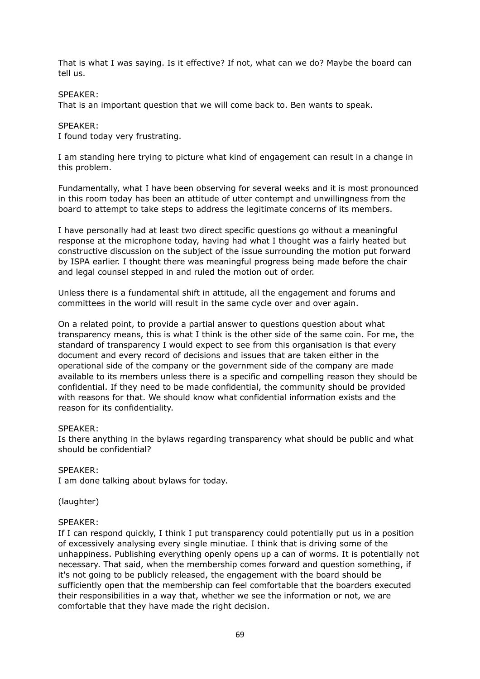That is what I was saying. Is it effective? If not, what can we do? Maybe the board can tell us.

## SPEAKER:

That is an important question that we will come back to. Ben wants to speak.

## SPEAKER:

I found today very frustrating.

I am standing here trying to picture what kind of engagement can result in a change in this problem.

Fundamentally, what I have been observing for several weeks and it is most pronounced in this room today has been an attitude of utter contempt and unwillingness from the board to attempt to take steps to address the legitimate concerns of its members.

I have personally had at least two direct specific questions go without a meaningful response at the microphone today, having had what I thought was a fairly heated but constructive discussion on the subject of the issue surrounding the motion put forward by ISPA earlier. I thought there was meaningful progress being made before the chair and legal counsel stepped in and ruled the motion out of order.

Unless there is a fundamental shift in attitude, all the engagement and forums and committees in the world will result in the same cycle over and over again.

On a related point, to provide a partial answer to questions question about what transparency means, this is what I think is the other side of the same coin. For me, the standard of transparency I would expect to see from this organisation is that every document and every record of decisions and issues that are taken either in the operational side of the company or the government side of the company are made available to its members unless there is a specific and compelling reason they should be confidential. If they need to be made confidential, the community should be provided with reasons for that. We should know what confidential information exists and the reason for its confidentiality.

## SPEAKER:

Is there anything in the bylaws regarding transparency what should be public and what should be confidential?

## SPEAKER:

I am done talking about bylaws for today.

(laughter)

## SPEAKER:

If I can respond quickly, I think I put transparency could potentially put us in a position of excessively analysing every single minutiae. I think that is driving some of the unhappiness. Publishing everything openly opens up a can of worms. It is potentially not necessary. That said, when the membership comes forward and question something, if it's not going to be publicly released, the engagement with the board should be sufficiently open that the membership can feel comfortable that the boarders executed their responsibilities in a way that, whether we see the information or not, we are comfortable that they have made the right decision.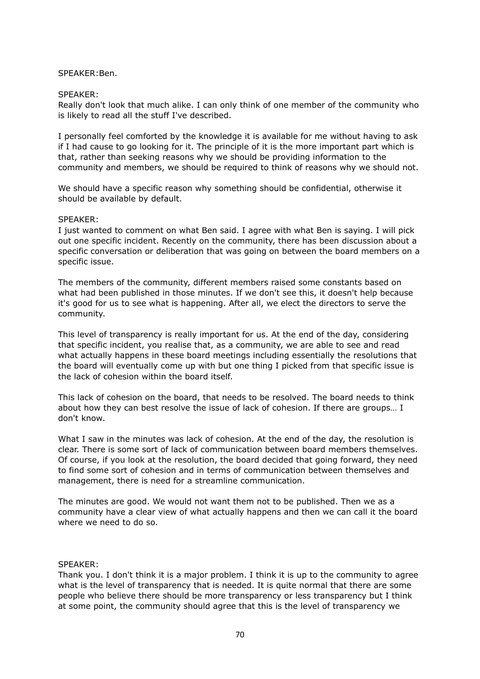## SPEAKER:Ben.

#### SPEAKER:

Really don't look that much alike. I can only think of one member of the community who is likely to read all the stuff I've described.

I personally feel comforted by the knowledge it is available for me without having to ask if I had cause to go looking for it. The principle of it is the more important part which is that, rather than seeking reasons why we should be providing information to the community and members, we should be required to think of reasons why we should not.

We should have a specific reason why something should be confidential, otherwise it should be available by default.

#### SPEAKER:

I just wanted to comment on what Ben said. I agree with what Ben is saying. I will pick out one specific incident. Recently on the community, there has been discussion about a specific conversation or deliberation that was going on between the board members on a specific issue.

The members of the community, different members raised some constants based on what had been published in those minutes. If we don't see this, it doesn't help because it's good for us to see what is happening. After all, we elect the directors to serve the community.

This level of transparency is really important for us. At the end of the day, considering that specific incident, you realise that, as a community, we are able to see and read what actually happens in these board meetings including essentially the resolutions that the board will eventually come up with but one thing I picked from that specific issue is the lack of cohesion within the board itself.

This lack of cohesion on the board, that needs to be resolved. The board needs to think about how they can best resolve the issue of lack of cohesion. If there are groups… I don't know.

What I saw in the minutes was lack of cohesion. At the end of the day, the resolution is clear. There is some sort of lack of communication between board members themselves. Of course, if you look at the resolution, the board decided that going forward, they need to find some sort of cohesion and in terms of communication between themselves and management, there is need for a streamline communication.

The minutes are good. We would not want them not to be published. Then we as a community have a clear view of what actually happens and then we can call it the board where we need to do so.

#### SPEAKER:

Thank you. I don't think it is a major problem. I think it is up to the community to agree what is the level of transparency that is needed. It is quite normal that there are some people who believe there should be more transparency or less transparency but I think at some point, the community should agree that this is the level of transparency we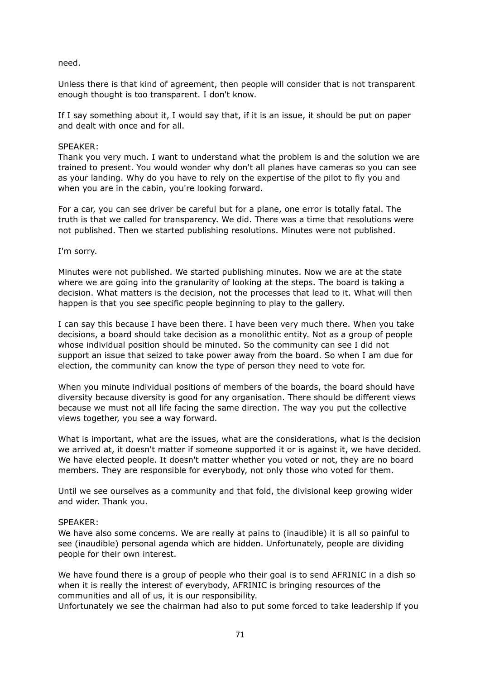## need.

Unless there is that kind of agreement, then people will consider that is not transparent enough thought is too transparent. I don't know.

If I say something about it, I would say that, if it is an issue, it should be put on paper and dealt with once and for all.

## SPEAKER:

Thank you very much. I want to understand what the problem is and the solution we are trained to present. You would wonder why don't all planes have cameras so you can see as your landing. Why do you have to rely on the expertise of the pilot to fly you and when you are in the cabin, you're looking forward.

For a car, you can see driver be careful but for a plane, one error is totally fatal. The truth is that we called for transparency. We did. There was a time that resolutions were not published. Then we started publishing resolutions. Minutes were not published.

I'm sorry.

Minutes were not published. We started publishing minutes. Now we are at the state where we are going into the granularity of looking at the steps. The board is taking a decision. What matters is the decision, not the processes that lead to it. What will then happen is that you see specific people beginning to play to the gallery.

I can say this because I have been there. I have been very much there. When you take decisions, a board should take decision as a monolithic entity. Not as a group of people whose individual position should be minuted. So the community can see I did not support an issue that seized to take power away from the board. So when I am due for election, the community can know the type of person they need to vote for.

When you minute individual positions of members of the boards, the board should have diversity because diversity is good for any organisation. There should be different views because we must not all life facing the same direction. The way you put the collective views together, you see a way forward.

What is important, what are the issues, what are the considerations, what is the decision we arrived at, it doesn't matter if someone supported it or is against it, we have decided. We have elected people. It doesn't matter whether you voted or not, they are no board members. They are responsible for everybody, not only those who voted for them.

Until we see ourselves as a community and that fold, the divisional keep growing wider and wider. Thank you.

## SPEAKER:

We have also some concerns. We are really at pains to (inaudible) it is all so painful to see (inaudible) personal agenda which are hidden. Unfortunately, people are dividing people for their own interest.

We have found there is a group of people who their goal is to send AFRINIC in a dish so when it is really the interest of everybody, AFRINIC is bringing resources of the communities and all of us, it is our responsibility.

Unfortunately we see the chairman had also to put some forced to take leadership if you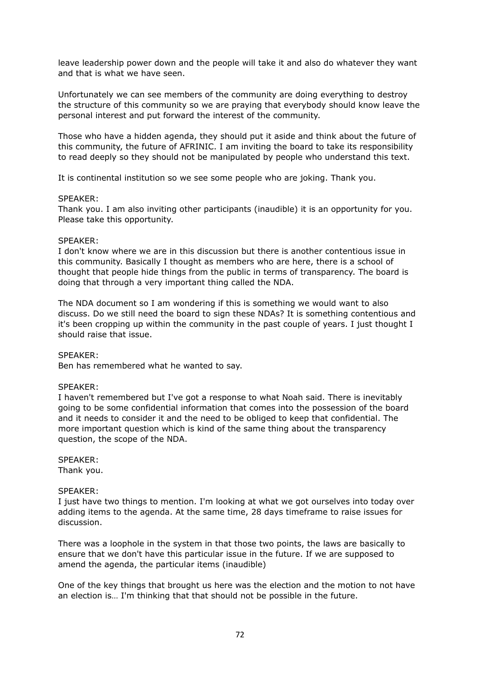leave leadership power down and the people will take it and also do whatever they want and that is what we have seen.

Unfortunately we can see members of the community are doing everything to destroy the structure of this community so we are praying that everybody should know leave the personal interest and put forward the interest of the community.

Those who have a hidden agenda, they should put it aside and think about the future of this community, the future of AFRINIC. I am inviting the board to take its responsibility to read deeply so they should not be manipulated by people who understand this text.

It is continental institution so we see some people who are joking. Thank you.

#### SPEAKER:

Thank you. I am also inviting other participants (inaudible) it is an opportunity for you. Please take this opportunity.

#### SPEAKER:

I don't know where we are in this discussion but there is another contentious issue in this community. Basically I thought as members who are here, there is a school of thought that people hide things from the public in terms of transparency. The board is doing that through a very important thing called the NDA.

The NDA document so I am wondering if this is something we would want to also discuss. Do we still need the board to sign these NDAs? It is something contentious and it's been cropping up within the community in the past couple of years. I just thought I should raise that issue.

## SPEAKER:

Ben has remembered what he wanted to say.

## SPEAKER:

I haven't remembered but I've got a response to what Noah said. There is inevitably going to be some confidential information that comes into the possession of the board and it needs to consider it and the need to be obliged to keep that confidential. The more important question which is kind of the same thing about the transparency question, the scope of the NDA.

## SPEAKER:

Thank you.

#### SPEAKER:

I just have two things to mention. I'm looking at what we got ourselves into today over adding items to the agenda. At the same time, 28 days timeframe to raise issues for discussion.

There was a loophole in the system in that those two points, the laws are basically to ensure that we don't have this particular issue in the future. If we are supposed to amend the agenda, the particular items (inaudible)

One of the key things that brought us here was the election and the motion to not have an election is… I'm thinking that that should not be possible in the future.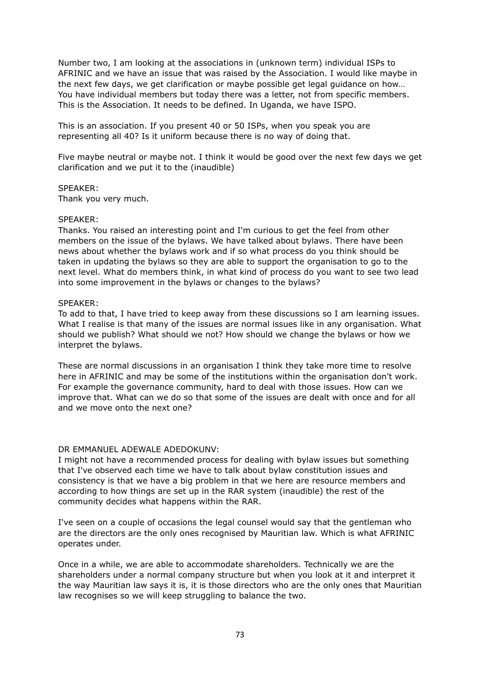Number two, I am looking at the associations in (unknown term) individual ISPs to AFRINIC and we have an issue that was raised by the Association. I would like maybe in the next few days, we get clarification or maybe possible get legal guidance on how… You have individual members but today there was a letter, not from specific members. This is the Association. It needs to be defined. In Uganda, we have ISPO.

This is an association. If you present 40 or 50 ISPs, when you speak you are representing all 40? Is it uniform because there is no way of doing that.

Five maybe neutral or maybe not. I think it would be good over the next few days we get clarification and we put it to the (inaudible)

## SPEAKER:

Thank you very much.

## SPEAKER:

Thanks. You raised an interesting point and I'm curious to get the feel from other members on the issue of the bylaws. We have talked about bylaws. There have been news about whether the bylaws work and if so what process do you think should be taken in updating the bylaws so they are able to support the organisation to go to the next level. What do members think, in what kind of process do you want to see two lead into some improvement in the bylaws or changes to the bylaws?

# SPEAKER:

To add to that, I have tried to keep away from these discussions so I am learning issues. What I realise is that many of the issues are normal issues like in any organisation. What should we publish? What should we not? How should we change the bylaws or how we interpret the bylaws.

These are normal discussions in an organisation I think they take more time to resolve here in AFRINIC and may be some of the institutions within the organisation don't work. For example the governance community, hard to deal with those issues. How can we improve that. What can we do so that some of the issues are dealt with once and for all and we move onto the next one?

## DR EMMANUEL ADEWALE ADEDOKUNV:

I might not have a recommended process for dealing with bylaw issues but something that I've observed each time we have to talk about bylaw constitution issues and consistency is that we have a big problem in that we here are resource members and according to how things are set up in the RAR system (inaudible) the rest of the community decides what happens within the RAR.

I've seen on a couple of occasions the legal counsel would say that the gentleman who are the directors are the only ones recognised by Mauritian law. Which is what AFRINIC operates under.

Once in a while, we are able to accommodate shareholders. Technically we are the shareholders under a normal company structure but when you look at it and interpret it the way Mauritian law says it is, it is those directors who are the only ones that Mauritian law recognises so we will keep struggling to balance the two.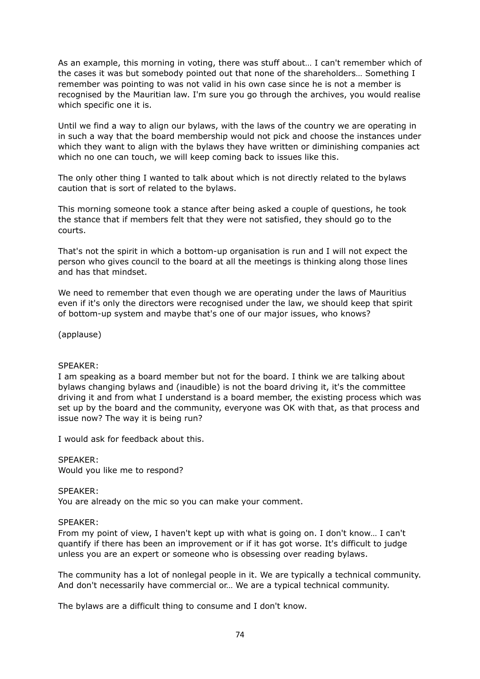As an example, this morning in voting, there was stuff about… I can't remember which of the cases it was but somebody pointed out that none of the shareholders… Something I remember was pointing to was not valid in his own case since he is not a member is recognised by the Mauritian law. I'm sure you go through the archives, you would realise which specific one it is.

Until we find a way to align our bylaws, with the laws of the country we are operating in in such a way that the board membership would not pick and choose the instances under which they want to align with the bylaws they have written or diminishing companies act which no one can touch, we will keep coming back to issues like this.

The only other thing I wanted to talk about which is not directly related to the bylaws caution that is sort of related to the bylaws.

This morning someone took a stance after being asked a couple of questions, he took the stance that if members felt that they were not satisfied, they should go to the courts.

That's not the spirit in which a bottom-up organisation is run and I will not expect the person who gives council to the board at all the meetings is thinking along those lines and has that mindset.

We need to remember that even though we are operating under the laws of Mauritius even if it's only the directors were recognised under the law, we should keep that spirit of bottom-up system and maybe that's one of our major issues, who knows?

(applause)

## SPEAKER:

I am speaking as a board member but not for the board. I think we are talking about bylaws changing bylaws and (inaudible) is not the board driving it, it's the committee driving it and from what I understand is a board member, the existing process which was set up by the board and the community, everyone was OK with that, as that process and issue now? The way it is being run?

I would ask for feedback about this.

SPEAKER: Would you like me to respond?

SPEAKER: You are already on the mic so you can make your comment.

## SPEAKER:

From my point of view, I haven't kept up with what is going on. I don't know… I can't quantify if there has been an improvement or if it has got worse. It's difficult to judge unless you are an expert or someone who is obsessing over reading bylaws.

The community has a lot of nonlegal people in it. We are typically a technical community. And don't necessarily have commercial or… We are a typical technical community.

The bylaws are a difficult thing to consume and I don't know.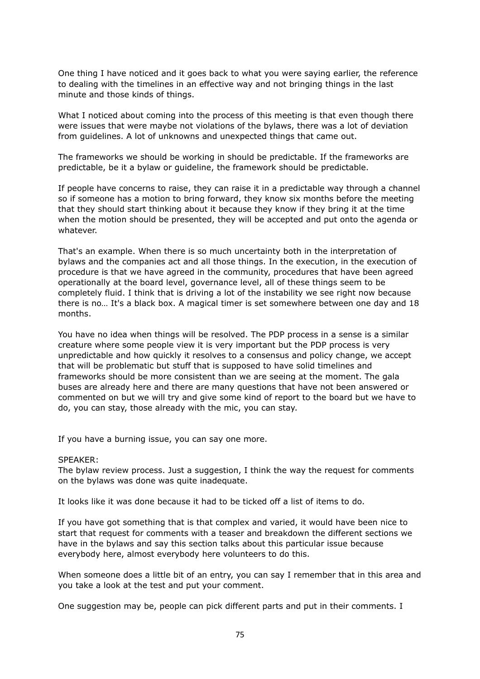One thing I have noticed and it goes back to what you were saying earlier, the reference to dealing with the timelines in an effective way and not bringing things in the last minute and those kinds of things.

What I noticed about coming into the process of this meeting is that even though there were issues that were maybe not violations of the bylaws, there was a lot of deviation from guidelines. A lot of unknowns and unexpected things that came out.

The frameworks we should be working in should be predictable. If the frameworks are predictable, be it a bylaw or guideline, the framework should be predictable.

If people have concerns to raise, they can raise it in a predictable way through a channel so if someone has a motion to bring forward, they know six months before the meeting that they should start thinking about it because they know if they bring it at the time when the motion should be presented, they will be accepted and put onto the agenda or whatever.

That's an example. When there is so much uncertainty both in the interpretation of bylaws and the companies act and all those things. In the execution, in the execution of procedure is that we have agreed in the community, procedures that have been agreed operationally at the board level, governance level, all of these things seem to be completely fluid. I think that is driving a lot of the instability we see right now because there is no… It's a black box. A magical timer is set somewhere between one day and 18 months.

You have no idea when things will be resolved. The PDP process in a sense is a similar creature where some people view it is very important but the PDP process is very unpredictable and how quickly it resolves to a consensus and policy change, we accept that will be problematic but stuff that is supposed to have solid timelines and frameworks should be more consistent than we are seeing at the moment. The gala buses are already here and there are many questions that have not been answered or commented on but we will try and give some kind of report to the board but we have to do, you can stay, those already with the mic, you can stay.

If you have a burning issue, you can say one more.

#### SPEAKER:

The bylaw review process. Just a suggestion, I think the way the request for comments on the bylaws was done was quite inadequate.

It looks like it was done because it had to be ticked off a list of items to do.

If you have got something that is that complex and varied, it would have been nice to start that request for comments with a teaser and breakdown the different sections we have in the bylaws and say this section talks about this particular issue because everybody here, almost everybody here volunteers to do this.

When someone does a little bit of an entry, you can say I remember that in this area and you take a look at the test and put your comment.

One suggestion may be, people can pick different parts and put in their comments. I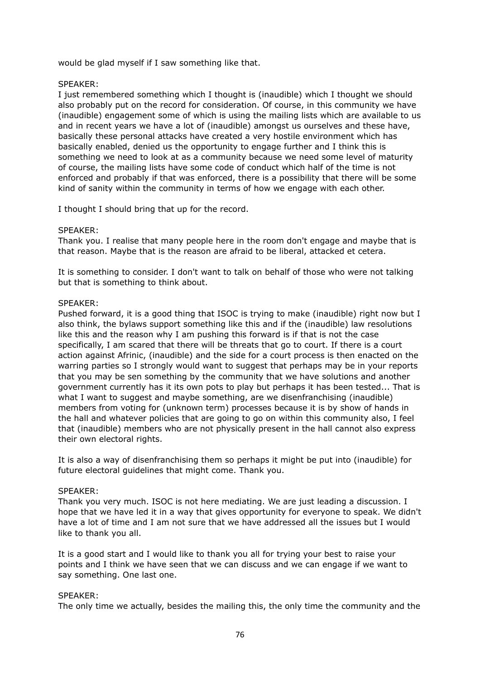would be glad myself if I saw something like that.

# SPEAKER:

I just remembered something which I thought is (inaudible) which I thought we should also probably put on the record for consideration. Of course, in this community we have (inaudible) engagement some of which is using the mailing lists which are available to us and in recent years we have a lot of (inaudible) amongst us ourselves and these have, basically these personal attacks have created a very hostile environment which has basically enabled, denied us the opportunity to engage further and I think this is something we need to look at as a community because we need some level of maturity of course, the mailing lists have some code of conduct which half of the time is not enforced and probably if that was enforced, there is a possibility that there will be some kind of sanity within the community in terms of how we engage with each other.

I thought I should bring that up for the record.

# SPEAKER:

Thank you. I realise that many people here in the room don't engage and maybe that is that reason. Maybe that is the reason are afraid to be liberal, attacked et cetera.

It is something to consider. I don't want to talk on behalf of those who were not talking but that is something to think about.

# SPEAKER:

Pushed forward, it is a good thing that ISOC is trying to make (inaudible) right now but I also think, the bylaws support something like this and if the (inaudible) law resolutions like this and the reason why I am pushing this forward is if that is not the case specifically, I am scared that there will be threats that go to court. If there is a court action against Afrinic, (inaudible) and the side for a court process is then enacted on the warring parties so I strongly would want to suggest that perhaps may be in your reports that you may be sen something by the community that we have solutions and another government currently has it its own pots to play but perhaps it has been tested... That is what I want to suggest and maybe something, are we disenfranchising (inaudible) members from voting for (unknown term) processes because it is by show of hands in the hall and whatever policies that are going to go on within this community also, I feel that (inaudible) members who are not physically present in the hall cannot also express their own electoral rights.

It is also a way of disenfranchising them so perhaps it might be put into (inaudible) for future electoral guidelines that might come. Thank you.

## SPEAKER:

Thank you very much. ISOC is not here mediating. We are just leading a discussion. I hope that we have led it in a way that gives opportunity for everyone to speak. We didn't have a lot of time and I am not sure that we have addressed all the issues but I would like to thank you all.

It is a good start and I would like to thank you all for trying your best to raise your points and I think we have seen that we can discuss and we can engage if we want to say something. One last one.

## SPEAKER:

The only time we actually, besides the mailing this, the only time the community and the